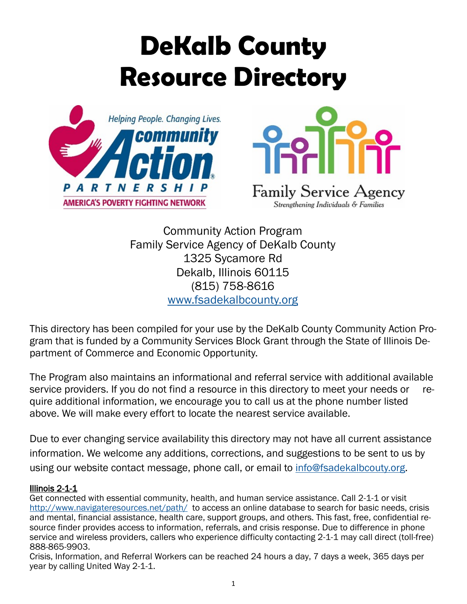# **DeKalb County Resource Directory**





Strengthening Individuals & Families

Community Action Program Family Service Agency of DeKalb County 1325 Sycamore Rd Dekalb, Illinois 60115 (815) 758-8616 [www.fsadekalbcounty.org](http://www.fsadekalbcounty.org)

This directory has been compiled for your use by the DeKalb County Community Action Program that is funded by a Community Services Block Grant through the State of Illinois Department of Commerce and Economic Opportunity.

The Program also maintains an informational and referral service with additional available service providers. If you do not find a resource in this directory to meet your needs or require additional information, we encourage you to call us at the phone number listed above. We will make every effort to locate the nearest service available.

Due to ever changing service availability this directory may not have all current assistance information. We welcome any additions, corrections, and suggestions to be sent to us by using our website contact message, phone call, or email to info@fsadekalbcouty.org.

## Illinois 2-1-1

Get connected with essential community, health, and human service assistance. Call 2-1-1 or visit <http://www.navigateresources.net/path/>to access an online database to search for basic needs, crisis and mental, financial assistance, health care, support groups, and others. This fast, free, confidential resource finder provides access to information, referrals, and crisis response. Due to difference in phone service and wireless providers, callers who experience difficulty contacting 2-1-1 may call direct (toll-free) 888-865-9903.

Crisis, Information, and Referral Workers can be reached 24 hours a day, 7 days a week, 365 days per year by calling United Way 2-1-1.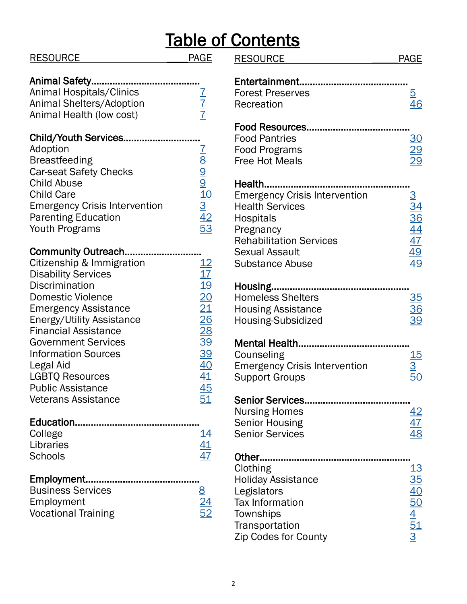| <b>RESOURCE</b>                      | <b>PAGE</b>                                              | $\overline{\mathsf{R}}$ |
|--------------------------------------|----------------------------------------------------------|-------------------------|
| Animal Safety                        |                                                          | E                       |
| Animal Hospitals/Clinics             |                                                          | F                       |
| Animal Shelters/Adoption             | $\frac{7}{7}$                                            | R                       |
| Animal Health (low cost)             |                                                          |                         |
| Child/Youth Services                 |                                                          | F<br>F                  |
| Adoption                             |                                                          | F                       |
| <b>Breastfeeding</b>                 | $\frac{7}{8}$ $\frac{1}{9}$ $\frac{1}{3}$ $\frac{1}{42}$ | F <sub>1</sub>          |
| <b>Car-seat Safety Checks</b>        |                                                          |                         |
| <b>Child Abuse</b>                   |                                                          | H                       |
| <b>Child Care</b>                    |                                                          | E                       |
| <b>Emergency Crisis Intervention</b> |                                                          | $\overline{H}$          |
| <b>Parenting Education</b>           |                                                          | $\mathsf{H}$            |
| <b>Youth Programs</b>                | 53                                                       | P                       |
|                                      |                                                          | R                       |
| Community Outreach                   |                                                          | S                       |
| Citizenship & Immigration            | $\frac{12}{17}$                                          | S                       |
| <b>Disability Services</b>           |                                                          |                         |
| <b>Discrimination</b>                | <u> 19</u>                                               | H                       |
| <b>Domestic Violence</b>             | 20                                                       | $\overline{\mathsf{H}}$ |
| <b>Emergency Assistance</b>          | 21                                                       | $\overline{\mathsf{H}}$ |
| <b>Energy/Utility Assistance</b>     | 26                                                       | $\overline{H}$          |
| <b>Financial Assistance</b>          | 28                                                       |                         |
| <b>Government Services</b>           | <u>39</u>                                                | N                       |
| <b>Information Sources</b>           | <u>39</u>                                                |                         |
| Legal Aid                            | $\overline{40}$                                          | C<br>E                  |
| <b>LGBTQ Resources</b>               | <u>41</u>                                                | S                       |
| <b>Public Assistance</b>             | <u>45</u>                                                |                         |
| <b>Veterans Assistance</b>           | <u>51</u>                                                | S                       |
|                                      |                                                          | $\overline{\mathsf{N}}$ |
| College                              | 14                                                       | S<br>S                  |
| Libraries                            | <u>41</u>                                                |                         |
| Schools                              | 47                                                       | 0                       |
|                                      |                                                          | $\mathsf C$             |
|                                      |                                                          | $\overline{\mathsf{H}}$ |
| <b>Business Services</b>             |                                                          |                         |
| Employment                           |                                                          | T                       |
| <b>Vocational Training</b>           | 52                                                       | T)                      |
|                                      |                                                          | Tı                      |

|                                                                                      | <b>Table of Contents</b>                        |                                                      |
|--------------------------------------------------------------------------------------|-------------------------------------------------|------------------------------------------------------|
| <b>PAGE</b>                                                                          | <b>RESOURCE</b>                                 | <b>PAGE</b>                                          |
|                                                                                      | Entertainment                                   |                                                      |
|                                                                                      | <b>Forest Preserves</b>                         | <u>5</u>                                             |
|                                                                                      | Recreation                                      | 46                                                   |
| $\frac{1}{7}$                                                                        |                                                 |                                                      |
|                                                                                      | <b>Food Resources.</b>                          |                                                      |
|                                                                                      | <b>Food Pantries</b>                            | <u>30</u>                                            |
|                                                                                      | <b>Food Programs</b>                            |                                                      |
|                                                                                      | <b>Free Hot Meals</b>                           | $\frac{29}{29}$                                      |
|                                                                                      |                                                 |                                                      |
| $\frac{7}{8}$ $\frac{8}{9}$ $\frac{9}{10}$ $\frac{1}{2}$ $\frac{4}{5}$ $\frac{4}{2}$ | Health                                          |                                                      |
|                                                                                      | <b>Emergency Crisis Intervention</b>            |                                                      |
|                                                                                      | <b>Health Services</b>                          | $\frac{3}{34}$<br>$\frac{36}{44}$<br>$\frac{47}{47}$ |
|                                                                                      | <b>Hospitals</b>                                |                                                      |
|                                                                                      | Pregnancy                                       |                                                      |
|                                                                                      | <b>Rehabilitation Services</b>                  |                                                      |
|                                                                                      | <b>Sexual Assault</b>                           | <u>49</u>                                            |
| $\frac{12}{17}$                                                                      | <b>Substance Abuse</b>                          | 49                                                   |
|                                                                                      |                                                 |                                                      |
| $\frac{19}{20}$                                                                      | Housing.                                        |                                                      |
|                                                                                      | <b>Homeless Shelters</b>                        |                                                      |
| 21                                                                                   | <b>Housing Assistance</b>                       | $\frac{35}{36}$                                      |
| 26                                                                                   | Housing-Subsidized                              |                                                      |
| $\frac{28}{1}$                                                                       |                                                 |                                                      |
| <u>39</u>                                                                            | <b>Mental Health.</b>                           |                                                      |
| <u>39</u>                                                                            | Counseling                                      | 15                                                   |
| 40                                                                                   | <b>Emergency Crisis Intervention</b>            | <u>З</u>                                             |
| <u>41</u>                                                                            | <b>Support Groups</b>                           | <u>50</u>                                            |
| $\overline{45}$<br>51                                                                | <b>Senior Services.</b>                         |                                                      |
|                                                                                      |                                                 |                                                      |
|                                                                                      | <b>Nursing Homes</b>                            | <u>42</u>                                            |
| <u> 14</u>                                                                           | <b>Senior Housing</b><br><b>Senior Services</b> | $\frac{47}{48}$                                      |
|                                                                                      |                                                 |                                                      |
| $\frac{41}{47}$                                                                      | Other                                           |                                                      |
|                                                                                      | Clothing                                        | <u> 13</u>                                           |
|                                                                                      | <b>Holiday Assistance</b>                       | $\frac{35}{5}$                                       |
|                                                                                      | Legislators                                     |                                                      |
| $\frac{8}{24}$ $\frac{24}{52}$                                                       | Tax Information                                 |                                                      |
|                                                                                      | Townships                                       |                                                      |
|                                                                                      | Transportation                                  |                                                      |
|                                                                                      | Zip Codes for County                            | $\frac{40}{50}$<br>$\frac{4}{51}$<br>$\frac{3}{51}$  |
|                                                                                      |                                                 |                                                      |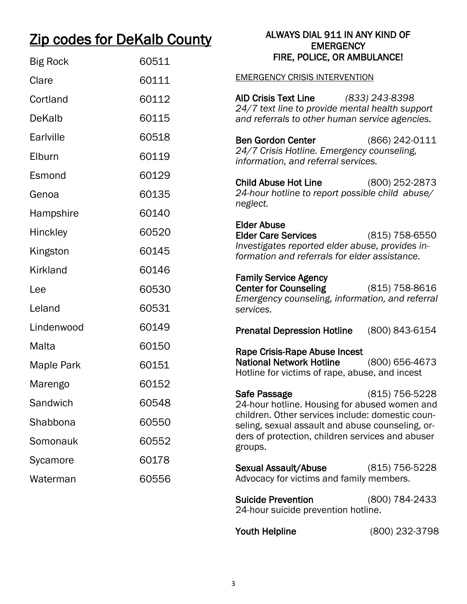# <span id="page-2-0"></span>Zip codes for DeKalb County

## ALWAYS DIAL 911 IN ANY KIND OF **EMERGENCY** FIRE, POLICE, OR AMBULANCE!

| <b>Big Rock</b> | 60511 | FIRE, POLICE, OR AMBULANCE!                                                                          |
|-----------------|-------|------------------------------------------------------------------------------------------------------|
| Clare           | 60111 | <b>EMERGENCY CRISIS INTERVENTION</b>                                                                 |
| Cortland        | 60112 | <b>AID Crisis Text Line</b><br>(833) 243-8398                                                        |
| <b>DeKalb</b>   | 60115 | 24/7 text line to provide mental health support<br>and referrals to other human service agencies.    |
| Earlville       | 60518 | <b>Ben Gordon Center</b><br>(866) 242-0111                                                           |
| Elburn          | 60119 | 24/7 Crisis Hotline. Emergency counseling,<br>information, and referral services.                    |
| Esmond          | 60129 | <b>Child Abuse Hot Line</b><br>(800) 252-2873                                                        |
| Genoa           | 60135 | 24-hour hotline to report possible child abuse/<br>neglect.                                          |
| Hampshire       | 60140 |                                                                                                      |
| <b>Hinckley</b> | 60520 | <b>Elder Abuse</b><br><b>Elder Care Services</b><br>$(815)$ 758-6550                                 |
| Kingston        | 60145 | Investigates reported elder abuse, provides in-<br>formation and referrals for elder assistance.     |
| Kirkland        | 60146 | <b>Family Service Agency</b>                                                                         |
| Lee             | 60530 | <b>Center for Counseling</b><br>$(815)$ 758-8616<br>Emergency counseling, information, and referral  |
| Leland          | 60531 | services.                                                                                            |
| Lindenwood      | 60149 | (800) 843-6154<br><b>Prenatal Depression Hotline</b>                                                 |
| Malta           | 60150 | Rape Crisis-Rape Abuse Incest                                                                        |
| Maple Park      | 60151 | <b>National Network Hotline</b><br>(800) 656-4673<br>Hotline for victims of rape, abuse, and incest  |
| Marengo         | 60152 | (815) 756-5228<br>Safe Passage                                                                       |
| Sandwich        | 60548 | 24-hour hotline. Housing for abused women and                                                        |
| Shabbona        | 60550 | children. Other services include: domestic coun-<br>seling, sexual assault and abuse counseling, or- |
| Somonauk        | 60552 | ders of protection, children services and abuser<br>groups.                                          |
| Sycamore        | 60178 | <b>Sexual Assault/Abuse</b><br>(815) 756-5228                                                        |
| Waterman        | 60556 | Advocacy for victims and family members.                                                             |
|                 |       | <b>Suicide Prevention</b><br>(800) 784-2433<br>24-hour suicide prevention hotline.                   |

Youth Helpline (800) 232-3798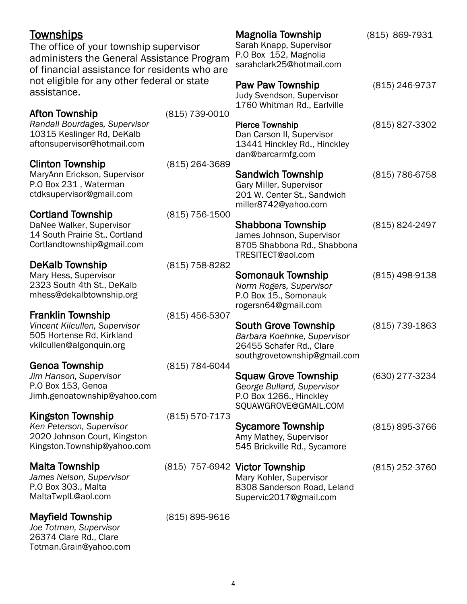## <span id="page-3-0"></span>**Townships**

The office of your township supervisor administers the General Assistance Prog of financial assistance for residents who not eligible for any other federal or state assistance.

## Afton Township (815) 739-

*Randall Bourdages, Supervisor* 10315 Keslinger Rd, DeKalb aftonsupervisor@hotmail.com

## Clinton Township (815) 264

MaryAnn Erickson, Supervisor P.O Box 231 , Waterman ctdksupervisor@gmail.com

## Cortland Township (815) 756-1500

DaNee Walker, Supervisor 14 South Prairie St., Cortland Cortlandtownship@gmail.com

## DeKalb Township (815) 758-8282

Mary Hess, Supervisor 2323 South 4th St., DeKalb mhess@dekalbtownship.org

## Franklin Township (815) 456-5307

*Vincent Kilcullen, Supervisor* 505 Hortense Rd, Kirkland vkilcullen@algonquin.org

## Genoa Township (815) 784-6044

*Jim Hanson, Supervisor* P.O Box 153, Genoa Jimh.genoatownship@yahoo.com

## Kingston Township (815) 570-7173

*Ken Peterson, Supervisor* 2020 Johnson Court, Kingston Kingston.Township@yahoo.com

*James Nelson, Supervisor* P.O Box 303., Malta MaltaTwpIL@aol.com

## Mayfield Township (815) 895-9616

*Joe Totman, Supervisor* 26374 Clare Rd., Clare Totman.Grain@yahoo.com

| gram<br>o are | P.O Box 152, Magnolia<br>sarahclark25@hotmail.com                                                 |                |
|---------------|---------------------------------------------------------------------------------------------------|----------------|
| ŗ<br>0010     | Paw Paw Township<br>Judy Svendson, Supervisor<br>1760 Whitman Rd., Earlville                      | (815) 246-9737 |
|               | Pierce Township<br>Dan Carson II, Supervisor<br>13441 Hinckley Rd., Hinckley<br>dan@barcarmfg.com | (815) 827-3302 |
| -3689         | <b>Sandwich Township</b>                                                                          | (815) 786-6758 |

Sarah Knapp, Supervisor

Magnolia Township (815) 869-7931

## Gary Miller, Supervisor 201 W. Center St., Sandwich miller8742@yahoo.com

## Shabbona Township (815) 824-2497 James Johnson, Supervisor 8705 Shabbona Rd., Shabbona TRESITECT@aol.com

## Somonauk Township (815) 498-9138 *Norm Rogers, Supervisor* P.O Box 15., Somonauk rogersn64@gmail.com

South Grove Township (815) 739-1863 *Barbara Koehnke, Supervisor* 26455 Schafer Rd., Clare southgrovetownship@gmail.com

## Squaw Grove Township (630) 277-3234 *George Bullard, Supervisor* P.O Box 1266., Hinckley SQUAWGROVE@GMAIL.COM

- Sycamore Township (815) 895-3766 Amy Mathey, Supervisor 545 Brickville Rd., Sycamore
- Malta Township (815) 757-6942 Victor Township (815) 252-3760 Mary Kohler, Supervisor 8308 Sanderson Road, Leland Supervic2017@gmail.com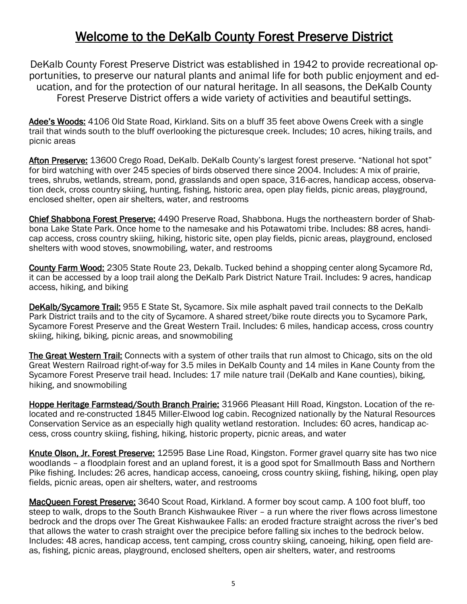## Welcome to the DeKalb County Forest Preserve District

<span id="page-4-0"></span>DeKalb County Forest Preserve District was established in 1942 to provide recreational opportunities, to preserve our natural plants and animal life for both public enjoyment and education, and for the protection of our natural heritage. In all seasons, the DeKalb County Forest Preserve District offers a wide variety of activities and beautiful settings.

Adee's Woods: 4106 Old State Road, Kirkland. Sits on a bluff 35 feet above Owens Creek with a single trail that winds south to the bluff overlooking the picturesque creek. Includes; 10 acres, hiking trails, and picnic areas

Afton Preserve: 13600 Crego Road, DeKalb. DeKalb County's largest forest preserve. "National hot spot" for bird watching with over 245 species of birds observed there since 2004. Includes: A mix of prairie, trees, shrubs, wetlands, stream, pond, grasslands and open space, 316-acres, handicap access, observation deck, cross country skiing, hunting, fishing, historic area, open play fields, picnic areas, playground, enclosed shelter, open air shelters, water, and restrooms

Chief Shabbona Forest Preserve: 4490 Preserve Road, Shabbona. Hugs the northeastern border of Shabbona Lake State Park. Once home to the namesake and his Potawatomi tribe. Includes: 88 acres, handicap access, cross country skiing, hiking, historic site, open play fields, picnic areas, playground, enclosed shelters with wood stoves, snowmobiling, water, and restrooms

County Farm Wood: 2305 State Route 23, Dekalb. Tucked behind a shopping center along Sycamore Rd, it can be accessed by a loop trail along the DeKalb Park District Nature Trail. Includes: 9 acres, handicap access, hiking, and biking

DeKalb/Sycamore Trail: 955 E State St, Sycamore. Six mile asphalt paved trail connects to the DeKalb Park District trails and to the city of Sycamore. A shared street/bike route directs you to Sycamore Park, Sycamore Forest Preserve and the Great Western Trail. Includes: 6 miles, handicap access, cross country skiing, hiking, biking, picnic areas, and snowmobiling

The Great Western Trail: Connects with a system of other trails that run almost to Chicago, sits on the old Great Western Railroad right-of-way for 3.5 miles in DeKalb County and 14 miles in Kane County from the Sycamore Forest Preserve trail head. Includes: 17 mile nature trail (DeKalb and Kane counties), biking, hiking, and snowmobiling

Hoppe Heritage Farmstead/South Branch Prairie: 31966 Pleasant Hill Road, Kingston. Location of the relocated and re-constructed 1845 Miller-Elwood log cabin. Recognized nationally by the Natural Resources Conservation Service as an especially high quality wetland restoration. Includes: 60 acres, handicap access, cross country skiing, fishing, hiking, historic property, picnic areas, and water

Knute Olson, Jr. Forest Preserve: 12595 Base Line Road, Kingston. Former gravel quarry site has two nice woodlands – a floodplain forest and an upland forest, it is a good spot for Smallmouth Bass and Northern Pike fishing. Includes: 26 acres, handicap access, canoeing, cross country skiing, fishing, hiking, open play fields, picnic areas, open air shelters, water, and restrooms

MacQueen Forest Preserve: 3640 Scout Road, Kirkland. A former boy scout camp. A 100 foot bluff, too steep to walk, drops to the South Branch Kishwaukee River – a run where the river flows across limestone bedrock and the drops over The Great Kishwaukee Falls: an eroded fracture straight across the river's bed that allows the water to crash straight over the precipice before falling six inches to the bedrock below. Includes: 48 acres, handicap access, tent camping, cross country skiing, canoeing, hiking, open field areas, fishing, picnic areas, playground, enclosed shelters, open air shelters, water, and restrooms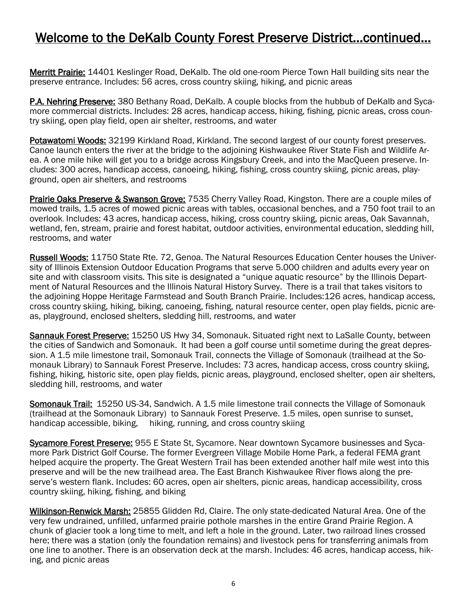## Welcome to the DeKalb County Forest Preserve District...continued…

Merritt Prairie: 14401 Keslinger Road, DeKalb. The old one-room Pierce Town Hall building sits near the preserve entrance. Includes: 56 acres, cross country skiing, hiking, and picnic areas

P.A. Nehring Preserve: 380 Bethany Road, DeKalb. A couple blocks from the hubbub of DeKalb and Sycamore commercial districts. Includes: 28 acres, handicap access, hiking, fishing, picnic areas, cross country skiing, open play field, open air shelter, restrooms, and water

Potawatomi Woods: 32199 Kirkland Road, Kirkland. The second largest of our county forest preserves. Canoe launch enters the river at the bridge to the adjoining Kishwaukee River State Fish and Wildlife Area. A one mile hike will get you to a bridge across Kingsbury Creek, and into the MacQueen preserve. Includes: 300 acres, handicap access, canoeing, hiking, fishing, cross country skiing, picnic areas, playground, open air shelters, and restrooms

Prairie Oaks Preserve & Swanson Grove: 7535 Cherry Valley Road, Kingston. There are a couple miles of mowed trails, 1.5 acres of mowed picnic areas with tables, occasional benches, and a 750 foot trail to an overlook. Includes: 43 acres, handicap access, hiking, cross country skiing, picnic areas, Oak Savannah, wetland, fen, stream, prairie and forest habitat, outdoor activities, environmental education, sledding hill, restrooms, and water

Russell Woods: 11750 State Rte. 72, Genoa. The Natural Resources Education Center houses the University of Illinois Extension Outdoor Education Programs that serve 5.000 children and adults every year on site and with classroom visits. This site is designated a "unique aquatic resource" by the Illinois Department of Natural Resources and the Illinois Natural History Survey. There is a trail that takes visitors to the adjoining Hoppe Heritage Farmstead and South Branch Prairie. Includes:126 acres, handicap access, cross country skiing, hiking, biking, canoeing, fishing, natural resource center, open play fields, picnic areas, playground, enclosed shelters, sledding hill, restrooms, and water

Sannauk Forest Preserve: 15250 US Hwy 34, Somonauk. Situated right next to LaSalle County, between the cities of Sandwich and Somonauk. It had been a golf course until sometime during the great depression. A 1.5 mile limestone trail, Somonauk Trail, connects the Village of Somonauk (trailhead at the Somonauk Library) to Sannauk Forest Preserve. Includes: 73 acres, handicap access, cross country skiing, fishing, hiking, historic site, open play fields, picnic areas, playground, enclosed shelter, open air shelters, sledding hill, restrooms, and water

Somonauk Trail: 15250 US-34, Sandwich. A 1.5 mile limestone trail connects the Village of Somonauk (trailhead at the Somonauk Library) to Sannauk Forest Preserve. 1.5 miles, open sunrise to sunset, handicap accessible, biking, hiking, running, and cross country skiing

Sycamore Forest Preserve: 955 E State St, Sycamore. Near downtown Sycamore businesses and Sycamore Park District Golf Course. The former Evergreen Village Mobile Home Park, a federal FEMA grant helped acquire the property. The Great Western Trail has been extended another half mile west into this preserve and will be the new trailhead area. The East Branch Kishwaukee River flows along the preserve's western flank. Includes: 60 acres, open air shelters, picnic areas, handicap accessibility, cross country skiing, hiking, fishing, and biking

Wilkinson-Renwick Marsh: 25855 Glidden Rd, Claire. The only state-dedicated Natural Area. One of the very few undrained, unfilled, unfarmed prairie pothole marshes in the entire Grand Prairie Region. A chunk of glacier took a long time to melt, and left a hole in the ground. Later, two railroad lines crossed here; there was a station (only the foundation remains) and livestock pens for transferring animals from one line to another. There is an observation deck at the marsh. Includes: 46 acres, handicap access, hiking, and picnic areas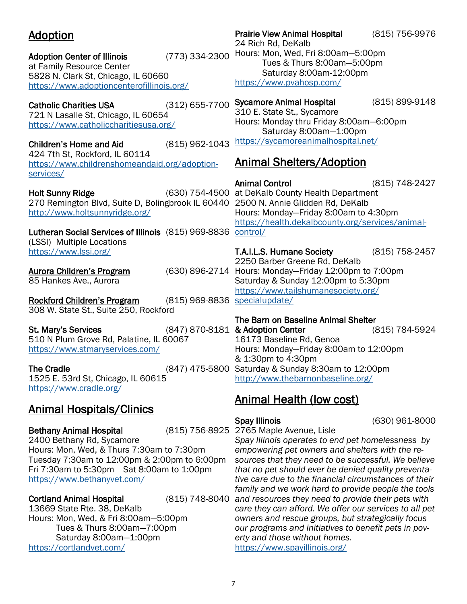## <span id="page-6-0"></span>Adoption

Adoption Center of Illinois (773) 334-2300 at Family Resource Center 5828 N. Clark St, Chicago, IL 60660 <https://www.adoptioncenterofillinois.org/>

Catholic Charities USA (312) 655-7700 721 N Lasalle St, Chicago, IL 60654 <https://www.catholiccharitiesusa.org/>

Children's Home and Aid (815) 962-1043 424 7th St, Rockford, IL 60114 [https://www.childrenshomeandaid.org/adoption](https://www.childrenshomeandaid.org/adoption-services/)[services/](https://www.childrenshomeandaid.org/adoption-services/)

Holt Sunny Ridge 270 Remington Blvd, Suite D, Bolingbrook IL 60440 2500 N. Annie Glidden Rd, DeKalb <http://www.holtsunnyridge.org/>

Lutheran Social Services of Illinois (815) 969-8836 [control/](https://health.dekalbcounty.org/services/animal-control/) (LSSI) Multiple Locations <https://www.lssi.org/>

Aurora Children's Program 85 Hankes Ave., Aurora

Rockford Children's Program 308 W. State St., Suite 250, Rockford (815) 969-8836 [specialupdate/](https://www.tailshumanesociety.org/specialupdate/)

St. Mary's Services 510 N Plum Grove Rd, Palatine, IL 60067 <https://www.stmaryservices.com/>

The Cradle **The Cradle Cradle 12:00pm** (847) 475-5800 Saturday & Sunday 8:30am to 12:00pm 1525 E. 53rd St, Chicago, IL 60615 <https://www.cradle.org/>

## Animal Hospitals/Clinics

Bethany Animal Hospital 2400 Bethany Rd, Sycamore Hours: Mon, Wed, & Thurs 7:30am to 7:30pm Tuesday 7:30am to 12:00pm & 2:00pm to 6:00pm Fri 7:30am to 5:30pm Sat 8:00am to 1:00pm <https://www.bethanyvet.com/>

**Cortland Animal Hospital** 13669 State Rte. 38, DeKalb Hours: Mon, Wed, & Fri 8:00am—5:00pm Tues & Thurs 8:00am—7:00pm Saturday 8:00am—1:00pm <https://cortlandvet.com/>

Prairie View Animal Hospital (815) 756-9976 24 Rich Rd, DeKalb Hours: Mon, Wed, Fri 8:00am—5:00pm Tues & Thurs 8:00am—5:00pm Saturday 8:00am-12:00pm <https://www.pvahosp.com/>

Sycamore Animal Hospital (815) 899-9148

310 E. State St., Sycamore Hours: Monday thru Friday 8:00am—6:00pm Saturday 8:00am—1:00pm <https://sycamoreanimalhospital.net/>

## Animal Shelters/Adoption

Animal Control (815) 748-2427 (630) 754-4500 at DeKalb County Health Department Hours: Monday—Friday 8:00am to 4:30pm [https://health.dekalbcounty.org/services/animal-](https://health.dekalbcounty.org/services/animal-control/)

T.A.I.L.S. Humane Society (815) 758-2457 2250 Barber Greene Rd, DeKalb (630) 896-2714 Hours: Monday–Friday 12:00pm to 7:00pm Saturday & Sunday 12:00pm to 5:30pm [https://www.tailshumanesociety.org/](https://www.tailshumanesociety.org/specialupdate/)

The Barn on Baseline Animal Shelter & Adoption Center (815) 784-5924 16173 Baseline Rd, Genoa Hours: Monday—Friday 8:00am to 12:00pm & 1:30pm to 4:30pm <http://www.thebarnonbaseline.org/>

## Animal Health (low cost)

Spay Illinois (630) 961-8000

(815) 756-8925 2765 Maple Avenue, Lisle *Spay Illinois operates to end pet homelessness by empowering pet owners and shelters with the resources that they need to be successful. We believe that no pet should ever be denied quality preventative care due to the financial circumstances of their* 

*family and we work hard to provide people the tools and resources they need to provide their pets with care they can afford. We offer our services to all pet owners and rescue groups, but strategically focus our programs and initiatives to benefit pets in poverty and those without homes.*

<https://www.spayillinois.org/>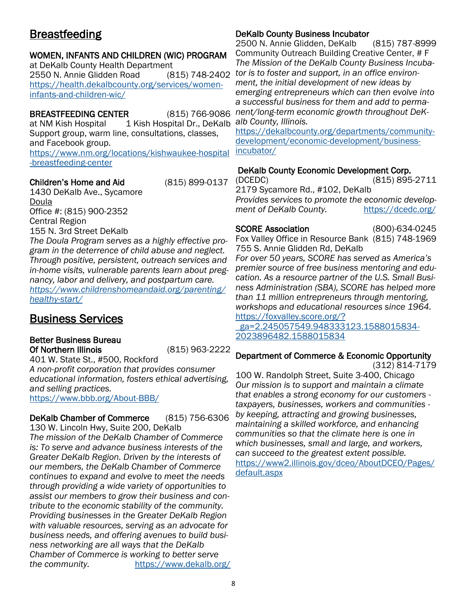## <span id="page-7-0"></span>Breastfeeding

## WOMEN, INFANTS AND CHILDREN (WIC) PROGRAM

at DeKalb County Health Department 2550 N. Annie Glidden Road (815) 748-2402 [https://health.dekalbcounty.org/services/women](https://health.dekalbcounty.org/services/women-infants-and-children-wic/)[infants-and-children-wic/](https://health.dekalbcounty.org/services/women-infants-and-children-wic/)

BREASTFEEDING CENTER (815) 766-9086 at NM Kish Hospital 1 Kish Hospital Dr., DeKalb Support group, warm line, consultations, classes, and Facebook group. [https://www.nm.org/locations/kishwaukee-hospital](https://www.nm.org/locations/kishwaukee-hospital-breastfeeding-center) [-breastfeeding-center](https://www.nm.org/locations/kishwaukee-hospital-breastfeeding-center)

## Children's Home and Aid (815) 899-0137

1430 DeKalb Ave., Sycamore Doula Office #: (815) 900-2352 Central Region 155 N. 3rd Street DeKalb

*The Doula Program serves as a highly effective program in the deterrence of child abuse and neglect. Through positive, persistent, outreach services and in-home visits, vulnerable parents learn about pregnancy, labor and delivery, and postpartum care. [https://www.childrenshomeandaid.org/parenting/](https://www.childrenshomeandaid.org/parenting/healthy-start/) [healthy-start/](https://www.childrenshomeandaid.org/parenting/healthy-start/)*

## Business Services

## Better Business Bureau Of Northern Illinois (815) 963-2222

401 W. State St., #500, Rockford *A non-profit corporation that provides consumer educational information, fosters ethical advertising, and selling practices.*  <https://www.bbb.org/About-BBB/>

DeKalb Chamber of Commerce (815) 756-6306 130 W. Lincoln Hwy, Suite 200, DeKalb *The mission of the DeKalb Chamber of Commerce is: To serve and advance business interests of the Greater DeKalb Region. Driven by the interests of our members, the DeKalb Chamber of Commerce continues to expand and evolve to meet the needs through providing a wide variety of opportunities to assist our members to grow their business and contribute to the economic stability of the community. Providing businesses in the Greater DeKalb Region with valuable resources, serving as an advocate for business needs, and offering avenues to build business networking are all ways that the DeKalb Chamber of Commerce is working to better serve the community.* <https://www.dekalb.org/>

## DeKalb County Business Incubator

2500 N. Annie Glidden, DeKalb (815) 787-8999 Community Outreach Building Creative Center, # F *The Mission of the DeKalb County Business Incubator is to foster and support, in an office environment, the initial development of new ideas by emerging entrepreneurs which can then evolve into a successful business for them and add to permanent/long-term economic growth throughout DeKalb County, Illinois.* 

[https://dekalbcounty.org/departments/community](https://dekalbcounty.org/departments/community-development/economic-development/business-incubator/)[development/economic-development/business](https://dekalbcounty.org/departments/community-development/economic-development/business-incubator/)[incubator/](https://dekalbcounty.org/departments/community-development/economic-development/business-incubator/)

## DeKalb County Economic Development Corp.

(DCEDC) (815) 895-2711 2179 Sycamore Rd., #102, DeKalb *Provides services to promote the economic development of DeKalb County.* <https://dcedc.org/>

SCORE Association (800)-634-0245 Fox Valley Office in Resource Bank (815) 748-1969 755 S. Annie Glidden Rd, DeKalb

*For over 50 years, SCORE has served as America's premier source of free business mentoring and education. As a resource partner of the U.S. Small Business Administration (SBA), SCORE has helped more than 11 million entrepreneurs through mentoring, workshops and educational resources since 1964.*  [https://foxvalley.score.org/?](https://foxvalley.score.org/?_ga=2.245057549.948333123.1588015834-2023896482.1588015834)

[\\_ga=2.245057549.948333123.1588015834-](https://foxvalley.score.org/?_ga=2.245057549.948333123.1588015834-2023896482.1588015834) [2023896482.1588015834](https://foxvalley.score.org/?_ga=2.245057549.948333123.1588015834-2023896482.1588015834) 

## Department of Commerce & Economic Opportunity

(312) 814-7179

100 W. Randolph Street, Suite 3-400, Chicago *Our mission is to support and maintain a climate that enables a strong economy for our customers taxpayers, businesses, workers and communities by keeping, attracting and growing businesses, maintaining a skilled workforce, and enhancing communities so that the climate here is one in which businesses, small and large, and workers, can succeed to the greatest extent possible.*  [https://www2.illinois.gov/dceo/AboutDCEO/Pages/](https://www2.illinois.gov/dceo/AboutDCEO/Pages/default.aspx) [default.aspx](https://www2.illinois.gov/dceo/AboutDCEO/Pages/default.aspx)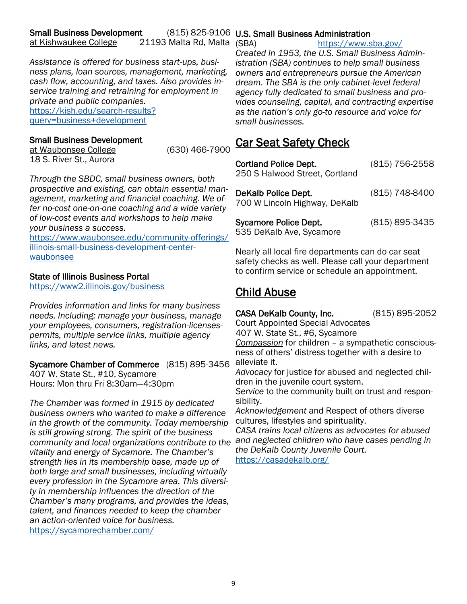<span id="page-8-0"></span>*Assistance is offered for business start-ups, business plans, loan sources, management, marketing, cash flow, accounting, and taxes. Also provides inservice training and retraining for employment in private and public companies.* [https://kish.edu/search-results?](https://kish.edu/search-results?query=business+development) [query=business+development](https://kish.edu/search-results?query=business+development)

## Small Business Development

at Waubonsee College (630) 466-7900 18 S. River St., Aurora

*Through the SBDC, small business owners, both prospective and existing, can obtain essential management, marketing and financial coaching. We offer no-cost one-on-one coaching and a wide variety of low-cost events and workshops to help make your business a success.* 

[https://www.waubonsee.edu/community-offerings/](https://www.waubonsee.edu/community-offerings/illinois-small-business-development-center-waubonsee) [illinois-small-business-development-center](https://www.waubonsee.edu/community-offerings/illinois-small-business-development-center-waubonsee)waubonsee

## State of Illinois Business Portal

<https://www2.illinois.gov/business>

*Provides information and links for many business needs. Including: manage your business, manage your employees, consumers, registration-licensespermits, multiple service links, multiple agency links, and latest news.*

Sycamore Chamber of Commerce (815) 895-3456 407 W. State St., #10, Sycamore Hours: Mon thru Fri 8:30am—4:30pm

*The Chamber was formed in 1915 by dedicated business owners who wanted to make a difference in the growth of the community. Today membership is still growing strong. The spirit of the business community and local organizations contribute to the and neglected children who have cases pending in vitality and energy of Sycamore. The Chamber's strength lies in its membership base, made up of both large and small businesses, including virtually every profession in the Sycamore area. This diversity in membership influences the direction of the Chamber's many programs, and provides the ideas, talent, and finances needed to keep the chamber an action-oriented voice for business.*  <https://sycamorechamber.com/>

## (815) 825-9106 U.S. Small Business Administration

<https://www.sba.gov/>

*Created in 1953, the U.S. Small Business Administration (SBA) continues to help small business owners and entrepreneurs pursue the American dream. The SBA is the only cabinet-level federal agency fully dedicated to small business and provides counseling, capital, and contracting expertise as the nation's only go-to resource and voice for small businesses.* 

## Car Seat Safety Check

| <b>Cortland Police Dept.</b><br>250 S Halwood Street, Cortland | (815) 756-2558 |
|----------------------------------------------------------------|----------------|
| DeKalb Police Dept.<br>700 W Lincoln Highway, DeKalb           | (815) 748-8400 |
| <b>Sycamore Police Dept.</b><br>535 DeKalb Ave, Sycamore       | (815) 895-3435 |

Nearly all local fire departments can do car seat safety checks as well. Please call your department to confirm service or schedule an appointment.

## Child Abuse

CASA DeKalb County, Inc. (815) 895-2052

Court Appointed Special Advocates

407 W. State St., #6, Sycamore *Compassion* for children – a sympathetic consciousness of others' distress together with a desire to alleviate it.

*Advocacy* for justice for abused and neglected children in the juvenile court system.

*Service* to the community built on trust and responsibility.

*Acknowledgement* and Respect of others diverse cultures, lifestyles and spirituality.

*CASA trains local citizens as advocates for abused the DeKalb County Juvenile Court.* <https://casadekalb.org/>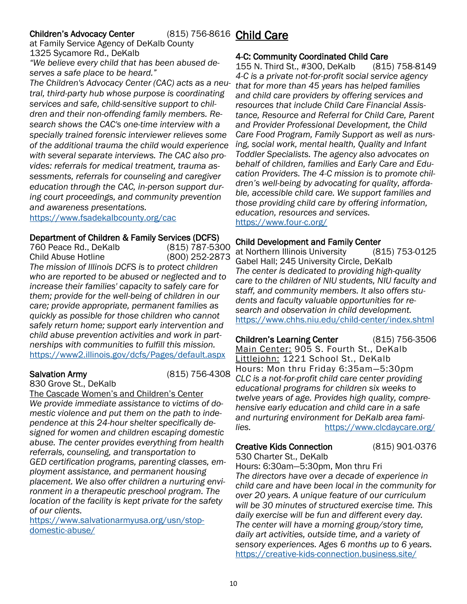## <span id="page-9-0"></span>Children's Advocacy Center

at Family Service Agency of DeKalb County 1325 Sycamore Rd., DeKalb *"We believe every child that has been abused de-*

*serves a safe place to be heard." The Children's Advocacy Center (CAC) acts as a neutral, third-party hub whose purpose is coordinating services and safe, child-sensitive support to children and their non-offending family members. Research shows the CAC's one-time interview with a specially trained forensic interviewer relieves some of the additional trauma the child would experience with several separate interviews. The CAC also provides: referrals for medical treatment, trauma assessments, referrals for counseling and caregiver education through the CAC, in-person support during court proceedings, and community prevention and awareness presentations.*

<https://www.fsadekalbcounty.org/cac>

#### Department of Children & Family Services (DCFS)

760 Peace Rd., DeKalb (815) 787-5300 Child Abuse Hotline (800) 252-2873 *The mission of Illinois DCFS is to protect children who are reported to be abused or neglected and to increase their families' capacity to safely care for them; provide for the well-being of children in our care; provide appropriate, permanent families as quickly as possible for those children who cannot safely return home; support early intervention and child abuse prevention activities and work in partnerships with communities to fulfill this mission.* <https://www2.illinois.gov/dcfs/Pages/default.aspx>

### Salvation Army (815) 756-4308

830 Grove St., DeKalb

The Cascade Women's and Children's Center *We provide immediate assistance to victims of domestic violence and put them on the path to independence at this 24-hour shelter specifically designed for women and children escaping domestic abuse. The center provides everything from health referrals, counseling, and transportation to GED certification programs, parenting classes, employment assistance, and permanent housing placement. We also offer children a nurturing environment in a therapeutic preschool program. The location of the facility is kept private for the safety of our clients.* 

[https://www.salvationarmyusa.org/usn/stop](https://www.salvationarmyusa.org/usn/stop-domestic-abuse/)[domestic-abuse/](https://www.salvationarmyusa.org/usn/stop-domestic-abuse/)

## (815) 756-8616 Child Care

### 4-C: Community Coordinated Child Care

155 N. Third St., #300, DeKalb (815) 758-8149 *4-C is a private not-for-profit social service agency that for more than 45 years has helped families and child care providers by offering services and resources that include Child Care Financial Assistance, Resource and Referral for Child Care, Parent and Provider Professional Development, the Child Care Food Program, Family Support as well as nursing, social work, mental health, Quality and Infant Toddler Specialists. The agency also advocates on behalf of children, families and Early Care and Education Providers. The 4-C mission is to promote children's well-being by advocating for quality, affordable, accessible child care. We support families and those providing child care by offering information, education, resources and services.*  <https://www.four-c.org/>

### Child Development and Family Center

at Northern Illinois University (815) 753-0125 Gabel Hall; 245 University Circle, DeKalb *The center is dedicated to providing high-quality care to the children of NIU students, NIU faculty and staff, and community members. It also offers students and faculty valuable opportunities for research and observation in child development.* <https://www.chhs.niu.edu/child-center/index.shtml>

Children's Learning Center (815) 756-3506 Main Center: 905 S. Fourth St., DeKalb Littlejohn: 1221 School St., DeKalb Hours: Mon thru Friday 6:35am—5:30pm *CLC is a not-for-profit child care center providing educational programs for children six weeks to twelve years of age. Provides high quality, comprehensive early education and child care in a safe and nurturing environment for DeKalb area families.* <https://www.clcdaycare.org/>

## Creative Kids Connection (815) 901-0376

530 Charter St., DeKalb Hours: 6:30am—5:30pm, Mon thru Fri *The directors have over a decade of experience in child care and have been local in the community for over 20 years. A unique feature of our curriculum will be 30 minutes of structured exercise time. This daily exercise will be fun and different every day. The center will have a morning group/story time, daily art activities, outside time, and a variety of sensory experiences. Ages 6 months up to 6 years.* <https://creative-kids-connection.business.site/>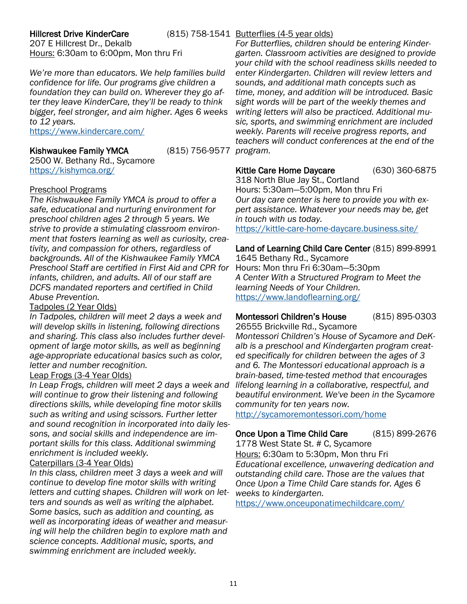### **Hillcrest Drive KinderCare**

(815) 758-1541 Butterflies (4-5 year olds)

207 E Hillcrest Dr., Dekalb Hours: 6:30am to 6:00pm, Mon thru Fri

*We're more than educators. We help families build confidence for life. Our programs give children a foundation they can build on. Wherever they go after they leave KinderCare, they'll be ready to think bigger, feel stronger, and aim higher. Ages 6 weeks to 12 years.* 

<https://www.kindercare.com/>

### Kishwaukee Family YMCA (815) 756-9577

2500 W. Bethany Rd., Sycamore <https://kishymca.org/>

#### Preschool Programs

*The Kishwaukee Family YMCA is proud to offer a safe, educational and nurturing environment for preschool children ages 2 through 5 years. We strive to provide a stimulating classroom environment that fosters learning as well as curiosity, creativity, and compassion for others, regardless of backgrounds. All of the Kishwaukee Family YMCA Preschool Staff are certified in First Aid and CPR for infants, children, and adults. All of our staff are DCFS mandated reporters and certified in Child Abuse Prevention.* 

### Tadpoles (2 Year Olds)

*In Tadpoles, children will meet 2 days a week and will develop skills in listening, following directions and sharing. This class also includes further development of large motor skills, as well as beginning age-appropriate educational basics such as color, letter and number recognition.*

## Leap Frogs (3-4 Year Olds)

*In Leap Frogs, children will meet 2 days a week and will continue to grow their listening and following directions skills, while developing fine motor skills such as writing and using scissors. Further letter and sound recognition in incorporated into daily lessons, and social skills and independence are important skills for this class. Additional swimming enrichment is included weekly.*

## Caterpillars (3-4 Year Olds)

*In this class, children meet 3 days a week and will continue to develop fine motor skills with writing letters and cutting shapes. Children will work on letters and sounds as well as writing the alphabet. Some basics, such as addition and counting, as well as incorporating ideas of weather and measuring will help the children begin to explore math and science concepts. Additional music, sports, and swimming enrichment are included weekly.*

*For Butterflies, children should be entering Kindergarten. Classroom activities are designed to provide your child with the school readiness skills needed to enter Kindergarten. Children will review letters and sounds, and additional math concepts such as time, money, and addition will be introduced. Basic sight words will be part of the weekly themes and writing letters will also be practiced. Additional music, sports, and swimming enrichment are included weekly. Parents will receive progress reports, and teachers will conduct conferences at the end of the program.*

### Kittle Care Home Daycare (630) 360-6875

318 North Blue Jay St., Cortland Hours: 5:30am—5:00pm, Mon thru Fri *Our day care center is here to provide you with expert assistance. Whatever your needs may be, get in touch with us today.*  <https://kittle-care-home-daycare.business.site/>

Land of Learning Child Care Center (815) 899-8991

1645 Bethany Rd., Sycamore Hours: Mon thru Fri 6:30am—5:30pm *A Center With a Structured Program to Meet the learning Needs of Your Children.* <https://www.landoflearning.org/>

### Montessori Children's House (815) 895-0303

26555 Brickville Rd., Sycamore *Montessori Children's House of Sycamore and DeKalb is a preschool and Kindergarten program created specifically for children between the ages of 3 and 6. The Montessori educational approach is a brain-based, time-tested method that encourages lifelong learning in a collaborative, respectful, and beautiful environment. We've been in the Sycamore community for ten years now.* 

<http://sycamoremontessori.com/home>

## Once Upon a Time Child Care (815) 899-2676

1778 West State St. # C, Sycamore Hours: 6:30am to 5:30pm, Mon thru Fri *Educational excellence, unwavering dedication and outstanding child care. Those are the values that Once Upon a Time Child Care stands for. Ages 6 weeks to kindergarten.*

<https://www.onceuponatimechildcare.com/>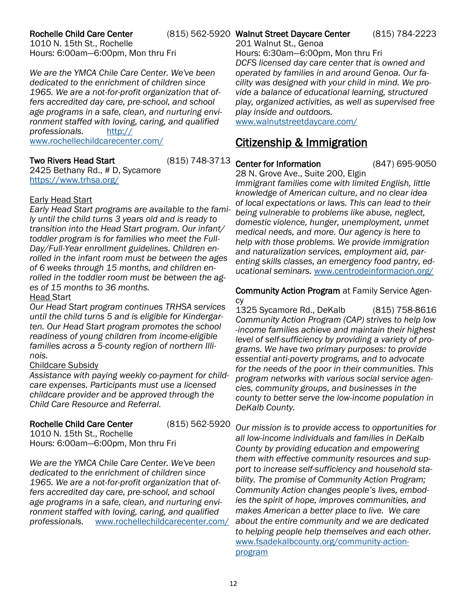## <span id="page-11-0"></span>Rochelle Child Care Center

1010 N. 15th St., Rochelle Hours: 6:00am—6:00pm, Mon thru Fri

*We are the YMCA Chile Care Center. We've been dedicated to the enrichment of children since 1965. We are a not-for-profit organization that offers accredited day care, pre-school, and school age programs in a safe, clean, and nurturing environment staffed with loving, caring, and qualified professionals.* [http://](http://www.rochellechildcarecenter.com/) [www.rochellechildcarecenter.com/](http://www.rochellechildcarecenter.com/)

### Two Rivers Head Start (815) 748-3713

2425 Bethany Rd., # D, Sycamore <https://www.trhsa.org/>

#### Early Head Start

*Early Head Start programs are available to the family until the child turns 3 years old and is ready to transition into the Head Start program. Our infant/ toddler program is for families who meet the Full-Day/Full-Year enrollment guidelines. Children enrolled in the infant room must be between the ages of 6 weeks through 15 months, and children enrolled in the toddler room must be between the ages of 15 months to 36 months.*  Head Start

*Our Head Start program continues TRHSA services until the child turns 5 and is eligible for Kindergarten. Our Head Start program promotes the school readiness of young children from income-eligible families across a 5-county region of northern Illinois.* 

### Childcare Subsidy

*Assistance with paying weekly co-payment for childcare expenses. Participants must use a licensed childcare provider and be approved through the Child Care Resource and Referral.*

### Rochelle Child Care Center (815) 562-5920

1010 N. 15th St., Rochelle Hours: 6:00am—6:00pm, Mon thru Fri

*We are the YMCA Chile Care Center. We've been dedicated to the enrichment of children since 1965. We are a not-for-profit organization that offers accredited day care, pre-school, and school age programs in a safe, clean, and nurturing environment staffed with loving, caring, and qualified professionals.* [www.rochellechildcarecenter.com/](http://www.rochellechildcarecenter.com/)

### (815) 562-5920 Walnut Street Daycare Center (815) 784-2223

201 Walnut St., Genoa

Hours: 6:30am—6:00pm, Mon thru Fri *DCFS licensed day care center that is owned and operated by families in and around Genoa. Our facility was designed with your child in mind. We provide a balance of educational learning, structured play, organized activities, as well as supervised free play inside and outdoors.* 

[www.walnutstreetdaycare.com/](https://www.walnutstreetdaycare.com/)

## Citizenship & Immigration

### Center for Information (847) 695-9050

28 N. Grove Ave., Suite 200, Elgin *Immigrant families come with limited English, little knowledge of American culture, and no clear idea of local expectations or laws. This can lead to their being vulnerable to problems like abuse, neglect, domestic violence, hunger, unemployment, unmet medical needs, and more. Our agency is here to help with those problems. We provide immigration and naturalization services, employment aid, parenting skills classes, an emergency food pantry, educational seminars.* [www.centrodeinformacion.org/](https://www.centrodeinformacion.org/en/)

Community Action Program at Family Service Agency

1325 Sycamore Rd., DeKalb (815) 758-8616 *Community Action Program (CAP) strives to help low -income families achieve and maintain their highest level of self-sufficiency by providing a variety of programs. We have two primary purposes: to provide essential anti-poverty programs, and to advocate for the needs of the poor in their communities. This program networks with various social service agencies, community groups, and businesses in the county to better serve the low-income population in DeKalb County.*

*Our mission is to provide access to opportunities for all low-income individuals and families in DeKalb County by providing education and empowering them with effective community resources and support to increase self-sufficiency and household stability. The promise of Community Action Program; Community Action changes people's lives, embodies the spirit of hope, improves communities, and makes American a better place to live. We care about the entire community and we are dedicated to helping people help themselves and each other.*  [www.fsadekalbcounty.org/community-action](https://www.fsadekalbcounty.org/community-action-program)[program](https://www.fsadekalbcounty.org/community-action-program)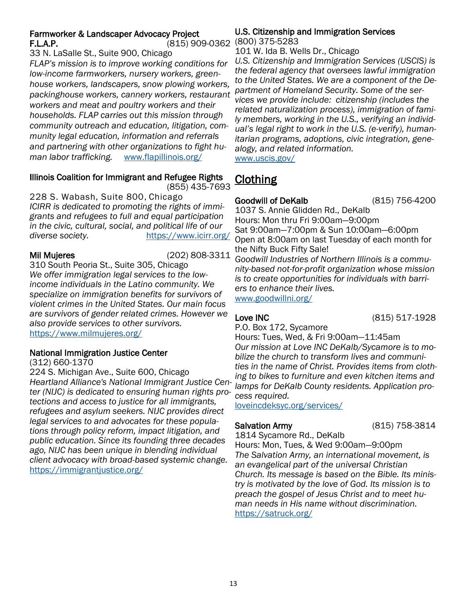## <span id="page-12-0"></span>Farmworker & Landscaper Advocacy Project F.L.A.P. (815) 909-0362 (800) 375-5283

33 N. LaSalle St., Suite 900, Chicago *FLAP's mission is to improve working conditions for low-income farmworkers, nursery workers, greenhouse workers, landscapers, snow plowing workers, packinghouse workers, cannery workers, restaurant workers and meat and poultry workers and their households. FLAP carries out this mission through community outreach and education, litigation, community legal education, information and referrals and partnering with other organizations to fight human labor trafficking.* [www.flapillinois.org/](https://www.flapillinois.org/)

## Illinois Coalition for Immigrant and Refugee Rights

(855) 435-7693

228 S. Wabash, Suite 800, Chicago *ICIRR is dedicated to promoting the rights of immigrants and refugees to full and equal participation in the civic, cultural, social, and political life of our diverse society.* <https://www.icirr.org/>

Mil Mujeres (202) 808-3311

310 South Peoria St., Suite 305, Chicago *We offer immigration legal services to the lowincome individuals in the Latino community. We specialize on immigration benefits for survivors of violent crimes in the United States. Our main focus are survivors of gender related crimes. However we also provide services to other survivors.*  <https://www.milmujeres.org/>

## National Immigration Justice Center

(312) 660-1370

224 S. Michigan Ave., Suite 600, Chicago *Heartland Alliance's National Immigrant Justice Center (NIJC) is dedicated to ensuring human rights protections and access to justice for all immigrants, refugees and asylum seekers. NIJC provides direct legal services to and advocates for these populations through policy reform, impact litigation, and public education. Since its founding three decades ago, NIJC has been unique in blending individual client advocacy with broad-based systemic change.*  <https://immigrantjustice.org/>

# U.S. Citizenship and Immigration Services

101 W. Ida B. Wells Dr., Chicago

*U.S. Citizenship and Immigration Services (USCIS) is the federal agency that oversees lawful immigration to the United States. We are a component of the Department of Homeland Security. Some of the services we provide include: citizenship (includes the related naturalization process), immigration of family members, working in the U.S., verifying an individual's legal right to work in the U.S. (e-verify), humanitarian programs, adoptions, civic integration, genealogy, and related information.*  [www.uscis.gov/](https://www.uscis.gov/)

## Clothing

Goodwill of DeKalb (815) 756-4200

1037 S. Annie Glidden Rd., DeKalb Hours: Mon thru Fri 9:00am—9:00pm Sat 9:00am—7:00pm & Sun 10:00am—6:00pm Open at 8:00am on last Tuesday of each month for the Nifty Buck Fifty Sale! *Goodwill Industries of Northern Illinois is a community-based not-for-profit organization whose mission is to create opportunities for individuals with barriers to enhance their lives.* 

[www.goodwillni.org/](http://www.goodwillni.org/)

## Love INC (815) 517-1928

P.O. Box 172, Sycamore

Hours: Tues, Wed, & Fri 9:00am—11:45am *Our mission at Love INC DeKalb/Sycamore is to mobilize the church to transform lives and communities in the name of Christ. Provides items from clothing to bikes to furniture and even kitchen items and lamps for DeKalb County residents. Application process required.* 

[loveincdeksyc.org/services/](https://loveincdeksyc.org/services/)

## Salvation Army (815) 758-3814

1814 Sycamore Rd., DeKalb

Hours: Mon, Tues, & Wed 9:00am—9:00pm *The Salvation Army, an international movement, is an evangelical part of the universal Christian Church. Its message is based on the Bible. Its ministry is motivated by the love of God. Its mission is to preach the gospel of Jesus Christ and to meet human needs in His name without discrimination.*  <https://satruck.org/>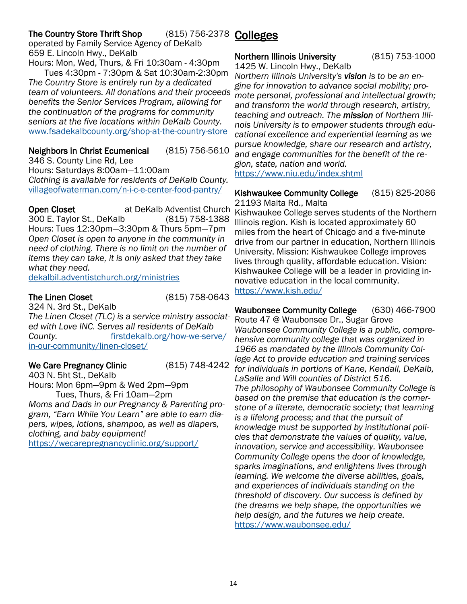#### <span id="page-13-0"></span>The Country Store Thrift Shop operated by Family Service Agency of DeKalb (815) 756-2378 Colleges

659 E. Lincoln Hwy., DeKalb Hours: Mon, Wed, Thurs, & Fri 10:30am - 4:30pm

 Tues 4:30pm - 7:30pm & Sat 10:30am-2:30pm *The Country Store is entirely run by a dedicated team of volunteers. All donations and their proceeds benefits the Senior Services Program, allowing for the continuation of the programs for community seniors at the five locations within DeKalb County.* [www.fsadekalbcounty.org/shop-at-the-country-store](https://www.fsadekalbcounty.org/shop-at-the-country-store)

Neighbors in Christ Ecumenical (815) 756-5610 346 S. County Line Rd, Lee Hours: Saturdays 8:00am—11:00am *Clothing is available for residents of DeKalb County.* [villageofwaterman.com/n-i-c-e-center-food-pantry/](https://villageofwaterman.com/n-i-c-e-center-food-pantry/)

**Open Closet at DeKalb Adventist Church** 300 E. Taylor St., DeKalb (815) 758-1388 Hours: Tues 12:30pm—3:30pm & Thurs 5pm—7pm *Open Closet is open to anyone in the community in need of clothing. There is no limit on the number of items they can take, it is only asked that they take what they need.* 

[dekalbil.adventistchurch.org/ministries](https://dekalbil.adventistchurch.org/ministries)

The Linen Closet (815) 758-0643

324 N. 3rd St., DeKalb *The Linen Closet (TLC) is a service ministry associated with Love INC. Serves all residents of DeKalb County.* [firstdekalb.org/how-we-serve/](https://firstdekalb.org/how-we-serve/in-our-community/linen-closet/) [in-our-community/linen-closet/](https://firstdekalb.org/how-we-serve/in-our-community/linen-closet/)

## We Care Pregnancy Clinic (815) 748-4242

403 N. 5ht St., DeKalb Hours: Mon 6pm—9pm & Wed 2pm—9pm Tues, Thurs, & Fri 10am—2pm

*Moms and Dads in our Pregnancy & Parenting program, "Earn While You Learn" are able to earn diapers, wipes, lotions, shampoo, as well as diapers, clothing, and baby equipment!* 

<https://wecarepregnancyclinic.org/support/>

## Northern Illinois University (815) 753-1000

1425 W. Lincoln Hwy., DeKalb *Northern Illinois University's vision is to be an engine for innovation to advance social mobility; promote personal, professional and intellectual growth; and transform the world through research, artistry, teaching and outreach. The mission of Northern Illinois University is to empower students through educational excellence and experiential learning as we pursue knowledge, share our research and artistry, and engage communities for the benefit of the region, state, nation and world.* <https://www.niu.edu/index.shtml>

Kishwaukee Community College (815) 825-2086 21193 Malta Rd., Malta

Kishwaukee College serves students of the Northern Illinois region. Kish is located approximately 60 miles from the heart of Chicago and a five-minute drive from our partner in education, Northern Illinois University. Mission: Kishwaukee College improves lives through quality, affordable education. Vision: Kishwaukee College will be a leader in providing innovative education in the local community. <https://www.kish.edu/>

Waubonsee Community College (630) 466-7900 Route 47 @ Waubonsee Dr., Sugar Grove *Waubonsee Community College is a public, comprehensive community college that was organized in 1966 as mandated by the Illinois Community College Act to provide education and training services for individuals in portions of Kane, Kendall, DeKalb, LaSalle and Will counties of District 516. The philosophy of Waubonsee Community College is based on the premise that education is the cornerstone of a literate, democratic society; that learning is a lifelong process; and that the pursuit of knowledge must be supported by institutional policies that demonstrate the values of quality, value, innovation, service and accessibility. Waubonsee Community College opens the door of knowledge, sparks imaginations, and enlightens lives through learning. We welcome the diverse abilities, goals, and experiences of individuals standing on the threshold of discovery. Our success is defined by the dreams we help shape, the opportunities we help design, and the futures we help create.*  <https://www.waubonsee.edu/>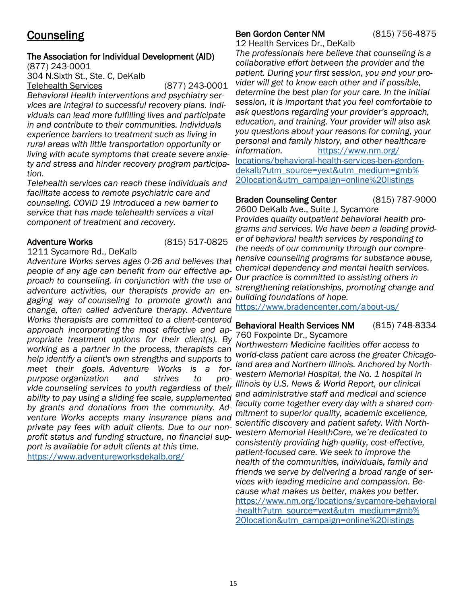## <span id="page-14-0"></span>**Counseling**

## The Association for Individual Development (AID)

(877) 243-0001

304 N.Sixth St., Ste. C, DeKalb

Telehealth Services (877) 243-0001 *Behavioral Health interventions and psychiatry services are integral to successful recovery plans. Individuals can lead more fulfilling lives and participate in and contribute to their communities. Individuals experience barriers to treatment such as living in rural areas with little transportation opportunity or living with acute symptoms that create severe anxiety and stress and hinder recovery program participation.*

*Telehealth services can reach these individuals and facilitate access to remote psychiatric care and counseling. COVID 19 introduced a new barrier to service that has made telehealth services a vital component of treatment and recovery.*

## Adventure Works (815) 517-0825

1211 Sycamore Rd., DeKalb

*Adventure Works serves ages 0-26 and believes that people of any age can benefit from our effective approach to counseling. In conjunction with the use of Our practice is committed to assisting others in adventure activities, our therapists provide an engaging way of counseling to promote growth and building foundations of hope. change, often called adventure therapy. Adventure Works therapists are committed to a client-centered approach incorporating the most effective and appropriate treatment options for their client(s). By working as a partner in the process, therapists can help identify a client's own strengths and supports to meet their goals. Adventure Works is a forpurpose organization and strives to provide counseling services to youth regardless of their ability to pay using a sliding fee scale, supplemented by grants and donations from the community. Adventure Works accepts many insurance plans and mitment to superior quality, academic excellence, private pay fees with adult clients. Due to our nonprofit status and funding structure, no financial support is available for adult clients at this time.* <https://www.adventureworksdekalb.org/>

## Ben Gordon Center NM (815) 756-4875

12 Health Services Dr., DeKalb

*The professionals here believe that counseling is a collaborative effort between the provider and the patient. During your first session, you and your provider will get to know each other and if possible, determine the best plan for your care. In the initial session, it is important that you feel comfortable to ask questions regarding your provider's approach, education, and training. Your provider will also ask you questions about your reasons for coming, your personal and family history, and other healthcare information.* [https://www.nm.org/](https://www.nm.org/locations/behavioral-health-services-ben-gordon-dekalb?utm_source=yext&utm_medium=gmb%20location&utm_campaign=online%20listings) [locations/behavioral-health-services-ben-gordon](https://www.nm.org/locations/behavioral-health-services-ben-gordon-dekalb?utm_source=yext&utm_medium=gmb%20location&utm_campaign=online%20listings)[dekalb?utm\\_source=yext&utm\\_medium=gmb%](https://www.nm.org/locations/behavioral-health-services-ben-gordon-dekalb?utm_source=yext&utm_medium=gmb%20location&utm_campaign=online%20listings) [20location&utm\\_campaign=online%20listings](https://www.nm.org/locations/behavioral-health-services-ben-gordon-dekalb?utm_source=yext&utm_medium=gmb%20location&utm_campaign=online%20listings)

#### Braden Counseling Center (815) 787-9000 2600 DeKalb Ave., Suite J, Sycamore

P*rovides quality outpatient behavioral health programs and services. We have been a leading provider of behavioral health services by responding to the needs of our community through our comprehensive counseling programs for substance abuse, chemical dependency and mental health services. strengthening relationships, promoting change and* 

<https://www.bradencenter.com/about-us/>

### Behavioral Health Services NM (815) 748-8334 760 Foxpointe Dr., Sycamore

*Northwestern Medicine facilities offer access to world-class patient care across the greater Chicagoland area and Northern Illinois. Anchored by Northwestern Memorial Hospital, the No. 1 hospital in Illinois by [U.S. News & World Report,](https://health.usnews.com/best-hospitals/area/il/northwestern-memorial-hospital-6430545?utm_medium=gmb%2520location&utm_source=yext) our clinical and administrative staff and medical and science faculty come together every day with a shared comscientific discovery and patient safety. With Northwestern Memorial HealthCare, we're dedicated to consistently providing high-quality, cost-effective, patient-focused care. We seek to improve the health of the communities, individuals, family and friends we serve by delivering a broad range of services with leading medicine and compassion. Because what makes us better, makes you better.* [https://www.nm.org/locations/sycamore-behavioral](https://www.nm.org/locations/sycamore-behavioral-health?utm_source=yext&utm_medium=gmb%20location&utm_campaign=online%20listings) [-health?utm\\_source=yext&utm\\_medium=gmb%](https://www.nm.org/locations/sycamore-behavioral-health?utm_source=yext&utm_medium=gmb%20location&utm_campaign=online%20listings) [20location&utm\\_campaign=online%20listings](https://www.nm.org/locations/sycamore-behavioral-health?utm_source=yext&utm_medium=gmb%20location&utm_campaign=online%20listings)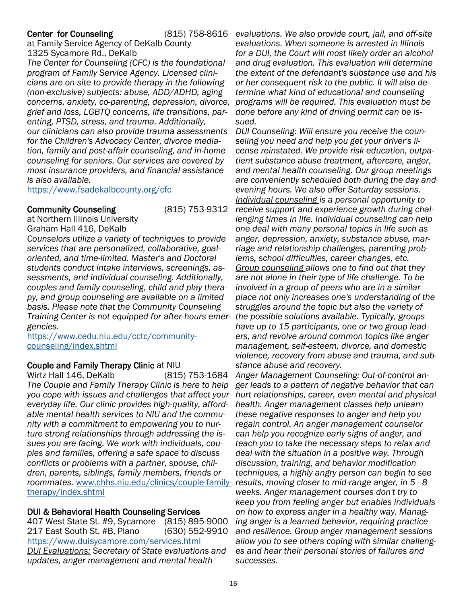#### Center for Counseling

at Family Service Agency of DeKalb County 1325 Sycamore Rd., DeKalb

*The Center for Counseling (CFC) is the foundational program of Family Service Agency. Licensed clinicians are on-site to provide therapy in the following (non-exclusive) subjects: abuse, ADD/ADHD, aging concerns, anxiety, co-parenting, depression, divorce, grief and loss, LGBTQ concerns, life transitions, parenting, PTSD, stress, and trauma. Additionally, our clinicians can also provide trauma assessments for the Children's Advocacy Center, divorce mediation, family and post-affair counseling, and in-home counseling for seniors. Our services are covered by most insurance providers, and financial assistance is also available.*

<https://www.fsadekalbcounty.org/cfc>

#### Community Counseling (815) 753-9312

at Northern Illinois University Graham Hall 416, DeKalb

*Counselors utilize a variety of techniques to provide services that are personalized, collaborative, goaloriented, and time-limited. Master's and Doctoral students conduct intake interviews, screenings, assessments, and individual counseling. Additionally, couples and family counseling, child and play therapy, and group counseling are available on a limited basis. Please note that the Community Counseling Training Center is not equipped for after-hours emer-the possible solutions available. Typically, groups gencies.* 

[https://www.cedu.niu.edu/cctc/community](https://www.cedu.niu.edu/cctc/community-counseling/index.shtml)[counseling/index.shtml](https://www.cedu.niu.edu/cctc/community-counseling/index.shtml)

### Couple and Family Therapy Clinic at NIU

Wirtz Hall 146, DeKalb (815) 753-1684 *The Couple and Family Therapy Clinic is here to help you cope with issues and challenges that affect your everyday life. Our clinic provides high-quality, affordable mental health services to NIU and the community with a commitment to empowering you to nurture strong relationships through addressing the issues you are facing. We work with individuals, couples and families, offering a safe space to discuss conflicts or problems with a partner, spouse, children, parents, siblings, family members, friends or roommates.* [www.chhs.niu.edu/clinics/couple-family-](https://www.chhs.niu.edu/clinics/couple-family-therapy/index.shtml)*results, moving closer to mid-range anger, in 5 - 8*  [therapy/index.shtml](https://www.chhs.niu.edu/clinics/couple-family-therapy/index.shtml)

## DUI & Behavioral Health Counseling Services

407 West State St. #9, Sycamore (815) 895-9000 217 East South St. #B, Plano (630) 552-9910 <https://www.duisycamore.com/services.html> *DUI Evaluations: Secretary of State evaluations and updates, anger management and mental health* 

*evaluations. We also provide court, jail, and off-site evaluations. When someone is arrested in Illinois for a DUI, the Court will most likely order an alcohol and drug evaluation. This evaluation will determine the extent of the defendant's substance use and his or her consequent risk to the public. It will also determine what kind of educational and counseling programs will be required. This evaluation must be done before any kind of driving permit can be issued.* 

> *DUI Counseling: Will ensure you receive the counseling you need and help you get your driver's license reinstated. We provide risk education, outpatient substance abuse treatment, aftercare, anger, and mental health counseling. Our group meetings are conveniently scheduled both during the day and evening hours. We also offer Saturday sessions. Individual counseling is a personal opportunity to receive support and experience growth during challenging times in life. Individual counseling can help one deal with many personal topics in life such as anger, depression, anxiety, substance abuse, marriage and relationship challenges, parenting problems, school difficulties, career changes, etc. Group counseling allows one to find out that they are not alone in their type of life challenge. To be involved in a group of peers who are in a similar place not only increases one's understanding of the struggles around the topic but also the variety of have up to 15 participants, one or two group leaders, and revolve around common topics like anger management, self-esteem, divorce, and domestic violence, recovery from abuse and trauma, and substance abuse and recovery.*

> *Anger Management Counseling: Out-of-control anger leads to a pattern of negative behavior that can hurt relationships, career, even mental and physical health. Anger management classes help unlearn these negative responses to anger and help you regain control. An anger management counselor can help you recognize early signs of anger, and teach you to take the necessary steps to relax and deal with the situation in a positive way. Through discussion, training, and behavior modification techniques, a highly angry person can begin to see weeks. Anger management courses don't try to keep you from feeling anger but enables individuals on how to express anger in a healthy way. Managing anger is a learned behavior, requiring practice and resilience. Group anger management sessions allow you to see others coping with similar challenges and hear their personal stories of failures and successes.*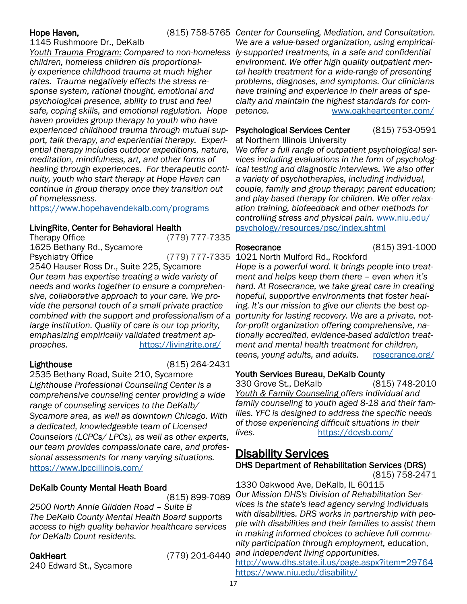1145 Rushmoore Dr., DeKalb

*Youth Trauma Program: Compared to non-homeless ly-supported treatments, in a safe and confidential children, homeless children dis proportionally experience childhood trauma at much higher rates. Trauma negatively effects the stress response system, rational thought, emotional and psychological presence, ability to trust and feel safe, coping skills, and emotional regulation. Hope haven provides group therapy to youth who have experienced childhood trauma through mutual support, talk therapy, and experiential therapy. Experiential therapy includes outdoor expeditions, nature, meditation, mindfulness, art, and other forms of healing through experiences. For therapeutic continuity, youth who start therapy at Hope Haven can continue in group therapy once they transition out of homelessness.* 

<https://www.hopehavendekalb.com/programs>

## LivingRite, Center for Behavioral Health

Therapy Office (779) 777-7335 1625 Bethany Rd., Sycamore Psychiatry Office **Fig. 31 and 33 and 33 am 777-7335** 1021 North Mulford Rd., Rockford 2540 Hauser Ross Dr., Suite 225, Sycamore *Our team has expertise treating a wide variety of needs and works together to ensure a comprehensive, collaborative approach to your care. We provide the personal touch of a small private practice combined with the support and professionalism of a large institution. Quality of care is our top priority, emphasizing empirically validated treatment approaches.* <https://livingrite.org/>

Lighthouse (815) 264-2431

2535 Bethany Road, Suite 210, Sycamore *Lighthouse Professional Counseling Center is a comprehensive counseling center providing a wide range of counseling services to the DeKalb/ Sycamore area, as well as downtown Chicago. With a dedicated, knowledgeable team of Licensed Counselors (LCPCs/ LPCs), as well as other experts, our team provides compassionate care, and professional assessments for many varying situations.*  <https://www.lpccillinois.com/>

## DeKalb County Mental Heath Board

(815) 899-7089

*2500 North Annie Glidden Road – Suite B The DeKalb County Mental Health Board supports access to high quality behavior healthcare services for DeKalb Count residents.*

240 Edward St., Sycamore

OakHeart (779) 201-6440

<span id="page-16-0"></span>Hope Haven, **Exercity 2014** (815) 758-5765 Center for Counseling, Mediation, and Consultation. *We are a value-based organization, using empiricalenvironment. We offer high quality outpatient mental health treatment for a wide-range of presenting problems, diagnoses, and symptoms. Our clinicians have training and experience in their areas of specialty and maintain the highest standards for competence.* [www.oakheartcenter.com/](https://www.oakheartcenter.com/)

## Psychological Services Center (815) 753-0591

at Northern Illinois University *We offer a full range of outpatient psychological services including evaluations in the form of psychological testing and diagnostic interviews. We also offer a variety of psychotherapies, including individual, couple, family and group therapy; parent education; and play-based therapy for children. We offer relaxation training, biofeedback and other methods for controlling stress and physical pain.* [www.niu.edu/](https://www.niu.edu/psychology/resources/psc/index.shtml) [psychology/resources/psc/index.shtml](https://www.niu.edu/psychology/resources/psc/index.shtml)

Rosecrance (815) 391-1000

*Hope is a powerful word. It brings people into treatment and helps keep them there – even when it's hard. At Rosecrance, we take great care in creating hopeful, supportive environments that foster healing. It's our mission to give our clients the best opportunity for lasting recovery. We are a private, notfor-profit organization offering comprehensive, nationally accredited, evidence-based addiction treatment and mental health treatment for children, teens, young adults, and adults.* [rosecrance.org/](https://rosecrance.org/)

## Youth Services Bureau, DeKalb County

330 Grove St., DeKalb (815) 748-2010 *Youth & Family Counseling offers individual and family counseling to youth aged 8-18 and their families. YFC is designed to address the specific needs of those experiencing difficult situations in their lives.* <https://dcysb.com/>

## Disability Services DHS Department of Rehabilitation Services (DRS)

[\(815\) 758-2471](https://www.google.com/search?rlz=1C1GCEA_enUS866US866&sxsrf=ALeKk03gghEML2zgTm5wY6EmfwJV7ByItw%3A1591125681465&ei=sabWXovnG5uE9PwPz_Gp4Aw&q=department+of+rehabilitation+services+dors+dekalb+il&oq=department+of+rehabilitation+services+dors+dekalb&gs_lcp=CgZwc) 

1330 Oakwood Ave, DeKalb, IL 60115 *Our Mission DHS's Division of Rehabilitation Services is the state's lead agency serving individuals with disabilities. DRS works in partnership with people with disabilities and their families to assist them in making informed choices to achieve full community participation through employment,* education, *and independent living opportunities.* <http://www.dhs.state.il.us/page.aspx?item=29764>

<https://www.niu.edu/disability/>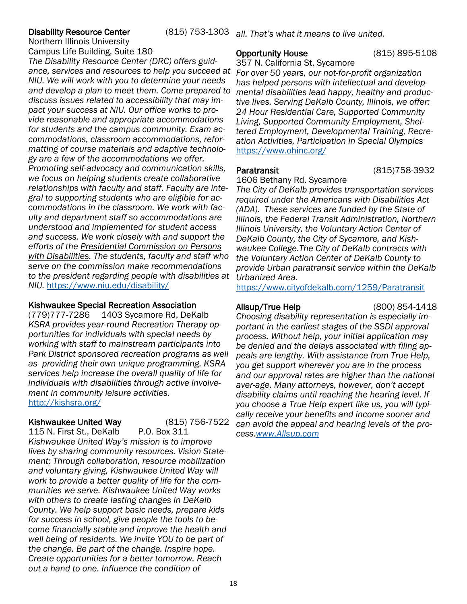## **Disability Resource Center**

Northern Illinois University Campus Life Building, Suite 180

*The Disability Resource Center (DRC) offers guidance, services and resources to help you succeed at NIU. We will work with you to determine your needs and develop a plan to meet them. Come prepared to discuss issues related to accessibility that may impact your success at NIU. Our office works to provide reasonable and appropriate accommodations for students and the campus community. Exam accommodations, classroom accommodations, reformatting of course materials and adaptive technology are a few of the accommodations we offer. Promoting self-advocacy and communication skills, we focus on helping students create collaborative relationships with faculty and staff. Faculty are integral to supporting students who are eligible for accommodations in the classroom. We work with faculty and department staff so accommodations are understood and implemented for student access and success. We work closely with and support the efforts of the [Presidential Commission on Persons](http://niu.edu/president/commissions/disabilities/index.shtml)  [with Disabilities.](http://niu.edu/president/commissions/disabilities/index.shtml) The students, faculty and staff who serve on the commission make recommendations to the president regarding people with disabilities at NIU.* <https://www.niu.edu/disability/>

## Kishwaukee Special Recreation Association

(779)777-7286 1403 Sycamore Rd, DeKalb *KSRA provides year-round Recreation Therapy opportunities for individuals with special needs by working with staff to mainstream participants into Park District sponsored recreation programs as well as providing their own unique programming. KSRA services help increase the overall quality of life for individuals with disabilities through active involvement in community leisure activities.*  <http://kishsra.org/>

## Kishwaukee United Way (815) 756-7522

115 N. First St., DeKalb P.O. Box 311 *Kishwaukee United Way's mission is to improve lives by sharing community resources. Vision Statement; Through collaboration, resource mobilization and voluntary giving, Kishwaukee United Way will work to provide a better quality of life for the communities we serve. Kishwaukee United Way works with others to create lasting changes in DeKalb County. We help support basic needs, prepare kids for success in school, give people the tools to become financially stable and improve the health and well being of residents. We invite YOU to be part of the change. Be part of the change. Inspire hope. Create opportunities for a better tomorrow. Reach out a hand to one. Influence the condition of* 

### Opportunity House (815) 895-5108

357 N. California St, Sycamore

*For over 50 years, our not-for-profit organization has helped persons with intellectual and developmental disabilities lead happy, healthy and productive lives. Serving DeKalb County, Illinois, we offer: 24 Hour Residential Care, Supported Community Living, Supported Community Employment, Sheltered Employment, Developmental Training, Recreation Activities, Participation in Special Olympics* <https://www.ohinc.org/>

## Paratransit (815)758-3932

1606 Bethany Rd. Sycamore

*The City of DeKalb provides transportation services required under the Americans with Disabilities Act (ADA). These services are funded by the State of Illinois, the Federal Transit Administration, Northern Illinois University, the Voluntary Action Center of DeKalb County, the City of Sycamore, and Kishwaukee College.The City of DeKalb contracts with the Voluntary Action Center of DeKalb County to provide Urban paratransit service within the DeKalb Urbanized Area.* 

<https://www.cityofdekalb.com/1259/Paratransit>

Allsup/True Help (800) 854-1418

*Choosing disability representation is especially important in the earliest stages of the SSDI approval process. Without help, your initial application may be denied and the delays associated with filing appeals are lengthy. With assistance from True Help, you get support wherever you are in the process and our approval rates are higher than the national aver-age. Many attorneys, however, don't accept disability claims until reaching the hearing level. If you choose a True Help expert like us, you will typically receive your benefits and income sooner and can avoid the appeal and hearing levels of the process.[www.Allsup.com](http://www.Allsup.com)*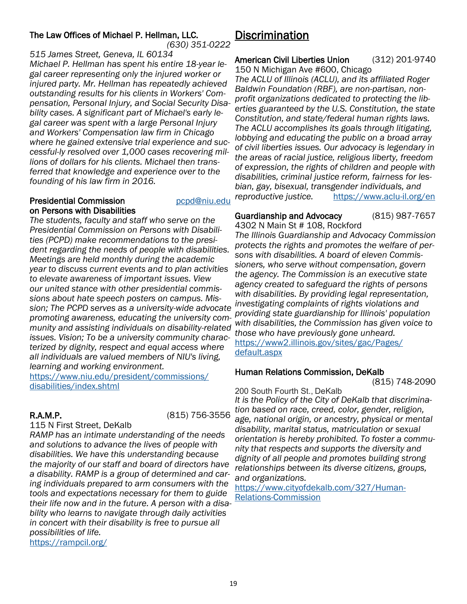## <span id="page-18-0"></span>The Law Offices of Michael P. Hellman, LLC.

*(630) 351-0222*

*515 James Street, Geneva, IL 60134 Michael P. Hellman has spent his entire 18-year legal career representing only the injured worker or injured party. Mr. Hellman has repeatedly achieved outstanding results for his clients in Workers' Compensation, Personal Injury, and Social Security Disability cases. A significant part of Michael's early legal career was spent with a large Personal Injury and Workers' Compensation law firm in Chicago where he gained extensive trial experience and successful-ly resolved over 1,000 cases recovering millions of dollars for his clients. Michael then transferred that knowledge and experience over to the founding of his law firm in 2016.*

## **Presidential Commission** [pcpd@niu.edu](mailto:pcpd@niu.edu) on Persons with Disabilities

*The students, faculty and staff who serve on the Presidential Commission on Persons with Disabilities (PCPD) make recommendations to the president regarding the needs of people with disabilities. Meetings are held monthly during the academic year to discuss current events and to plan activities to elevate awareness of important issues. View our united stance with other presidential commissions about hate speech posters on campus. Mission; The PCPD serves as a university-wide advocate promoting awareness, educating the university community and assisting individuals on disability-related issues. Vision; To be a university community characterized by dignity, respect and equal access where all individuals are valued members of NIU's living, learning and working environment.*

[https://www.niu.edu/president/commissions/](https://www.niu.edu/president/commissions/disabilities/index.shtml) [disabilities/index.shtml](https://www.niu.edu/president/commissions/disabilities/index.shtml) 

R.A.M.P. (815) 756-3556

115 N First Street, DeKalb *RAMP has an intimate understanding of the needs and solutions to advance the lives of people with disabilities. We have this understanding because the majority of our staff and board of directors have a disability. RAMP is a group of determined and caring individuals prepared to arm consumers with the tools and expectations necessary for them to guide their life now and in the future. A person with a disability who learns to navigate through daily activities in concert with their disability is free to pursue all possibilities of life.*  <https://rampcil.org/>

## **Discrimination**

## American Civil Liberties Union (312) 201-9740

150 N Michigan Ave #600, Chicago

*The ACLU of Illinois (ACLU), and its affiliated Roger Baldwin Foundation (RBF), are non-partisan, nonprofit organizations dedicated to protecting the liberties guaranteed by the U.S. Constitution, the state Constitution, and state/federal human rights laws. The ACLU accomplishes its goals through litigating, lobbying and educating the public on a broad array of civil liberties issues. Our advocacy is legendary in the areas of racial justice, religious liberty, freedom of expression, the rights of children and people with disabilities, criminal justice reform, fairness for lesbian, gay, bisexual, transgender individuals, and reproductive justice.* <https://www.aclu-il.org/en>

## Guardianship and Advocacy (815) 987-7657

4302 N Main St # 108, Rockford *The Illinois Guardianship and Advocacy Commission protects the rights and promotes the welfare of persons with disabilities. A board of eleven Commissioners, who serve without compensation, govern the agency. The Commission is an executive state agency created to safeguard the rights of persons with disabilities. By providing legal representation, investigating complaints of rights violations and providing state guardianship for Illinois' population with disabilities, the Commission has given voice to those who have previously gone unheard.* [https://www2.illinois.gov/sites/gac/Pages/](https://www2.illinois.gov/sites/gac/Pages/default.aspx)

[default.aspx](https://www2.illinois.gov/sites/gac/Pages/default.aspx)

## Human Relations Commission, DeKalb

(815) 748-2090

200 South Fourth St., DeKalb *It is the Policy of the City of DeKalb that discrimination based on race, creed, color, gender, religion, age, national origin, or ancestry, physical or mental disability, marital status, matriculation or sexual orientation is hereby prohibited. To foster a community that respects and supports the diversity and dignity of all people and promotes building strong relationships between its diverse citizens, groups, and organizations.* 

[https://www.cityofdekalb.com/327/Human-](https://www.cityofdekalb.com/327/Human-Relations-Commission)[Relations-Commission](https://www.cityofdekalb.com/327/Human-Relations-Commission)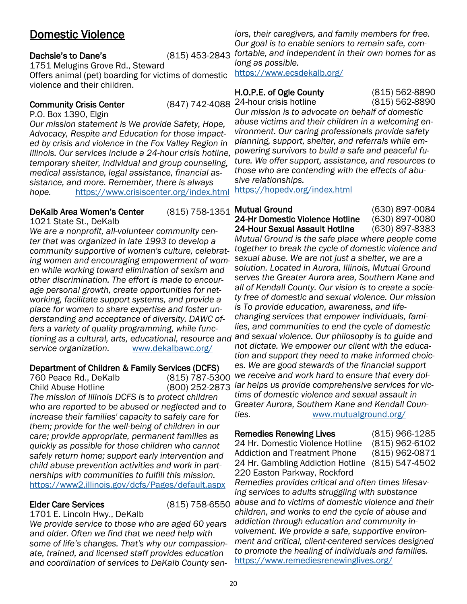## <span id="page-19-0"></span>Domestic Violence

## Dachsie's to Dane's (815) 453-2843

1751 Melugins Grove Rd., Steward Offers animal (pet) boarding for victims of domestic violence and their children.

## **Community Crisis Center**

P.O. Box 1390, Elgin

*Our mission statement is We provide Safety, Hope, Advocacy, Respite and Education for those impacted by crisis and violence in the Fox Valley Region in Illinois. Our services include a 24-hour crisis hotline, temporary shelter, individual and group counseling, medical assistance, legal assistance, financial assistance, and more. Remember, there is always hope.* <https://www.crisiscenter.org/index.html>

## DeKalb Area Women's Center

1021 State St., DeKalb

*We are a nonprofit, all-volunteer community center that was organized in late 1993 to develop a community supportive of women's culture, celebrating women and encouraging empowerment of women while working toward elimination of sexism and other discrimination. The effort is made to encourage personal growth, create opportunities for networking, facilitate support systems, and provide a place for women to share expertise and foster understanding and acceptance of diversity. DAWC offers a variety of quality programming, while functioning as a cultural, arts, educational, resource and and sexual violence. Our philosophy is to guide and service organization.* [www.dekalbawc.org/](https://www.dekalbawc.org/)

# Department of Children & Family Services (DCFS)<br>760 Peace Rd., DeKalb (815) 787-5300

760 Peace Rd., DeKalb Child Abuse Hotline (800) 252-2873 *The mission of Illinois DCFS is to protect children who are reported to be abused or neglected and to increase their families' capacity to safely care for them; provide for the well-being of children in our care; provide appropriate, permanent families as quickly as possible for those children who cannot safely return home; support early intervention and child abuse prevention activities and work in partnerships with communities to fulfill this mission.* <https://www2.illinois.gov/dcfs/Pages/default.aspx>

1701 E. Lincoln Hwy., DeKalb *We provide service to those who are aged 60 years and older. Often we find that we need help with some of life's changes. That's why our compassionate, trained, and licensed staff provides education and coordination of services to DeKalb County sen-*

*iors, their caregivers, and family members for free. Our goal is to enable seniors to remain safe, comfortable, and independent in their own homes for as long as possible.* 

<https://www.ecsdekalb.org/>

## H.O.P.E. of Ogle County (815) 562-8890

24-hour crisis hotline (815) 562-8890

*Our mission is to advocate on behalf of domestic abuse victims and their children in a welcoming environment. Our caring professionals provide safety planning, support, shelter, and referrals while empowering survivors to build a safe and peaceful future. We offer support, assistance, and resources to those who are contending with the effects of abusive relationships.*

<https://hopedv.org/index.html>

(815) 758-1351 Mutual Ground (630) 897-0084 24-Hr Domestic Violence Hotline (630) 897-0080 24-Hour Sexual Assault Hotline (630) 897-8383

*Mutual Ground is the safe place where people come together to break the cycle of domestic violence and sexual abuse. We are not just a shelter, we are a solution. Located in Aurora, Illinois, Mutual Ground serves the Greater Aurora area, Southern Kane and all of Kendall County. Our vision is to create a society free of domestic and sexual violence. Our mission is To provide education, awareness, and lifechanging services that empower individuals, families, and communities to end the cycle of domestic not dictate. We empower our client with the education and support they need to make informed choices. We are good stewards of the financial support we receive and work hard to ensure that every dollar helps us provide comprehensive services for victims of domestic violence and sexual assault in Greater Aurora, Southern Kane and Kendall Counties.* [www.mutualground.org/](https://www.mutualground.org/)

## Remedies Renewing Lives (815) 966-1285

24 Hr. Domestic Violence Hotline (815) 962-6102 Addiction and Treatment Phone (815) 962-0871 24 Hr. Gambling Addiction Hotline (815) 547-4502 220 Easton Parkway, Rockford

Elder Care Services (815) 758-6550 *abuse and to victims of domestic violence and their Remedies provides critical and often times lifesaving services to adults struggling with substance children, and works to end the cycle of abuse and addiction through education and community involvement. We provide a safe, supportive environment and critical, client-centered services designed to promote the healing of individuals and families.* <https://www.remediesrenewinglives.org/>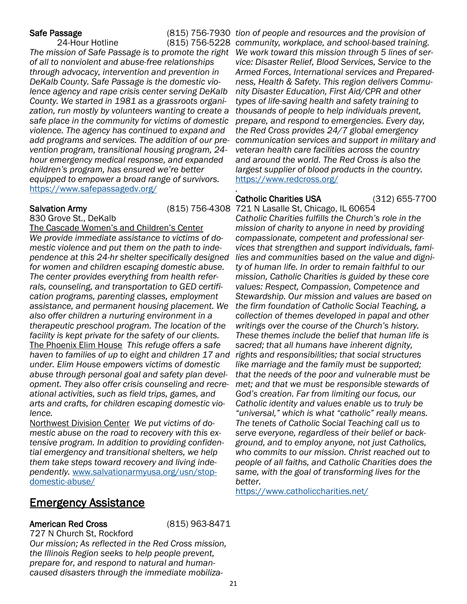*The mission of Safe Passage is to promote the right We work toward this mission through 5 lines of serof all to nonviolent and abuse-free relationships through advocacy, intervention and prevention in DeKalb County. Safe Passage is the domestic violence agency and rape crisis center serving DeKalb County. We started in 1981 as a grassroots organization, run mostly by volunteers wanting to create a safe place in the community for victims of domestic violence. The agency has continued to expand and add programs and services. The addition of our prevention program, transitional housing program, 24 hour emergency medical response, and expanded children's program, has ensured we're better equipped to empower a broad range of survivors.*  <https://www.safepassagedv.org/>

Salvation Army (815) 756-4308 721 N Lasalle St, Chicago, IL 60654

830 Grove St., DeKalb The Cascade Women's and Children's Center *We provide immediate assistance to victims of domestic violence and put them on the path to independence at this 24-hr shelter specifically designed for women and children escaping domestic abuse. The center provides everything from health referrals, counseling, and transportation to GED certification programs, parenting classes, employment assistance, and permanent housing placement. We also offer children a nurturing environment in a therapeutic preschool program. The location of the facility is kept private for the safety of our clients.*  The Phoenix Elim House *This refuge offers a safe*  haven to families of up to eight and children 17 and rights and responsibilities; that social structures *under. Elim House empowers victims of domestic abuse through personal goal and safety plan development. They also offer crisis counseling and recreational activities, such as field trips, games, and arts and crafts, for children escaping domestic violence.* 

Northwest Division Center *We put victims of domestic abuse on the road to recovery with this extensive program. In addition to providing confidential emergency and transitional shelters, we help them take steps toward recovery and living independently.* [www.salvationarmyusa.org/usn/stop](https://www.salvationarmyusa.org/usn/stop-domestic-abuse/)[domestic-abuse/](https://www.salvationarmyusa.org/usn/stop-domestic-abuse/)

<span id="page-20-0"></span>Safe Passage (815) 756-7930 *tion of people and resources and the provision of*  24-Hour Hotline (815) 756-5228 *community, workplace, and school-based training. vice: Disaster Relief, Blood Services, Service to the Armed Forces, International services and Preparedness, Health & Safety. This region delivers Community Disaster Education, First Aid/CPR and other types of life-saving health and safety training to thousands of people to help individuals prevent, prepare, and respond to emergencies. Every day, the Red Cross provides 24/7 global emergency communication services and support in military and veteran health care facilities across the country and around the world. The Red Cross is also the largest supplier of blood products in the country.* <https://www.redcross.org/> *.*

## Catholic Charities USA (312) 655-7700

*Catholic Charities fulfills the Church's role in the mission of charity to anyone in need by providing compassionate, competent and professional services that strengthen and support individuals, families and communities based on the value and dignity of human life. In order to remain faithful to our mission, Catholic Charities is guided by these core values: Respect, Compassion, Competence and Stewardship. Our mission and values are based on the firm foundation of Catholic Social Teaching, a collection of themes developed in papal and other writings over the course of the Church's history. These themes include the belief that human life is sacred; that all humans have inherent dignity, like marriage and the family must be supported; that the needs of the poor and vulnerable must be met; and that we must be responsible stewards of God's creation. Far from limiting our focus, our Catholic identity and values enable us to truly be "universal," which is what "catholic" really means. The tenets of Catholic Social Teaching call us to serve everyone, regardless of their belief or background, and to employ anyone, not just Catholics, who commits to our mission. Christ reached out to people of all faiths, and Catholic Charities does the same, with the goal of transforming lives for the better.* 

<https://www.catholiccharities.net/>

## Emergency Assistance

## American Red Cross (815) 963-8471

727 N Church St, Rockford *Our mission; As reflected in the Red Cross mission, the Illinois Region seeks to help people prevent, prepare for, and respond to natural and humancaused disasters through the immediate mobiliza-*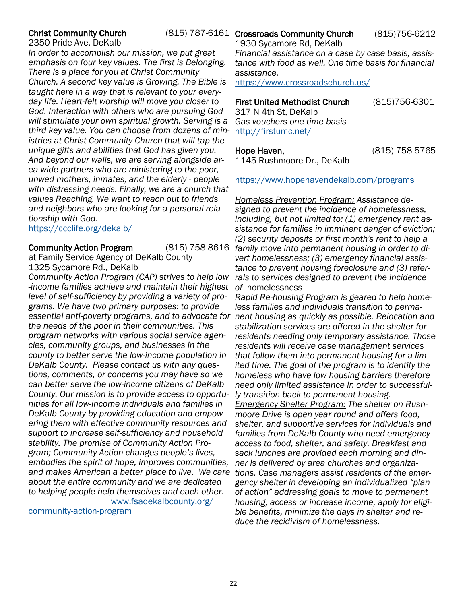## **Christ Community Church**

2350 Pride Ave, DeKalb

*In order to accomplish our mission, we put great emphasis on four key values. The first is Belonging. There is a place for you at Christ Community Church. A second key value is Growing. The Bible is taught here in a way that is relevant to your everyday life. Heart-felt worship will move you closer to God. Interaction with others who are pursuing God will stimulate your own spiritual growth. Serving is a third key value. You can choose from dozens of ministries at Christ Community Church that will tap the unique gifts and abilities that God has given you. And beyond our walls, we are serving alongside area-wide partners who are ministering to the poor, unwed mothers, inmates, and the elderly - people with distressing needs. Finally, we are a church that values Reaching. We want to reach out to friends and neighbors who are looking for a personal relationship with God.* 

<https://ccclife.org/dekalb/>

### **Community Action Program**

at Family Service Agency of DeKalb County 1325 Sycamore Rd., DeKalb

*Community Action Program (CAP) strives to help low -income families achieve and maintain their highest level of self-sufficiency by providing a variety of programs. We have two primary purposes: to provide*  essential anti-poverty programs, and to advocate for nent housing as quickly as possible. Relocation and *the needs of the poor in their communities. This program networks with various social service agencies, community groups, and businesses in the county to better serve the low-income population in DeKalb County. Please contact us with any questions, comments, or concerns you may have so we can better serve the low-income citizens of DeKalb County. Our mission is to provide access to opportunities for all low-income individuals and families in DeKalb County by providing education and empowering them with effective community resources and support to increase self-sufficiency and household stability. The promise of Community Action Program; Community Action changes people's lives, embodies the spirit of hope, improves communities, and makes American a better place to live. We care tions. Case managers assist residents of the emerabout the entire community and we are dedicated to helping people help themselves and each other.*  [www.fsadekalbcounty.org/](https://www.fsadekalbcounty.org/community-action-program)

[community-action-program](https://www.fsadekalbcounty.org/community-action-program)

#### (815) 787-6161 Crossroads Community Church (815) 756-6212 1930 Sycamore Rd, DeKalb

*Financial assistance on a case by case basis, assistance with food as well. One time basis for financial assistance.* 

<https://www.crossroadschurch.us/>

## First United Methodist Church (815)756-6301

317 N 4th St, DeKalb *Gas vouchers one time basis*  <http://firstumc.net/>

Hope Haven, (815) 758-5765

1145 Rushmoore Dr., DeKalb

### <https://www.hopehavendekalb.com/programs>

*Homeless Prevention Program: Assistance designed to prevent the incidence of homelessness, including, but not limited to: (1) emergency rent assistance for families in imminent danger of eviction; (2) security deposits or first month's rent to help a family move into permanent housing in order to divert homelessness; (3) emergency financial assistance to prevent housing foreclosure and (3) referrals to services designed to prevent the incidence of* homelessness

> *Rapid Re-housing Program is geared to help homeless families and individuals transition to permastabilization services are offered in the shelter for residents needing only temporary assistance. Those residents will receive case management services that follow them into permanent housing for a limited time. The goal of the program is to identify the homeless who have low housing barriers therefore need only limited assistance in order to successfully transition back to permanent housing. Emergency Shelter Program: The shelter on Rushmoore Drive is open year round and offers food, shelter, and supportive services for individuals and families from DeKalb County who need emergency access to food, shelter, and safety. Breakfast and sack lunches are provided each morning and dinner is delivered by area churches and organizagency shelter in developing an individualized "plan of action" addressing goals to move to permanent housing, access or increase income, apply for eligible benefits, minimize the days in shelter and reduce the recidivism of homelessness*.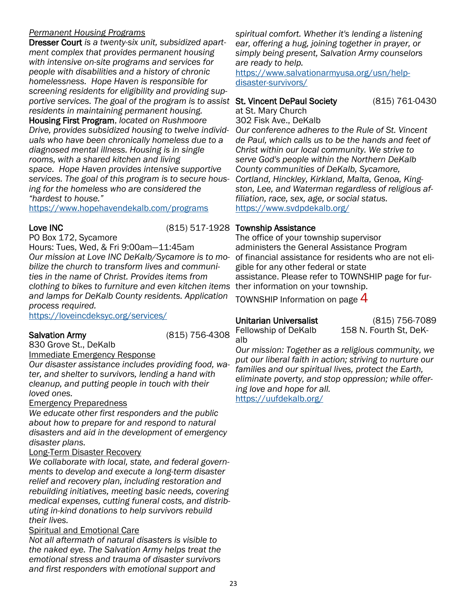## *Permanent Housing Programs*

Dresser Court *is a twenty-six unit, subsidized apartment complex that provides permanent housing with intensive on-site programs and services for people with disabilities and a history of chronic homelessness. Hope Haven is responsible for screening residents for eligibility and providing sup*portive services. The goal of the program is to assist St. Vincent DePaul Society (815) 761-0430 *residents in maintaining permanent housing.*  Housing First Program, *located on Rushmoore Drive, provides subsidized housing to twelve individuals who have been chronically homeless due to a diagnosed mental illness. Housing is in single rooms, with a shared kitchen and living space. Hope Haven provides intensive supportive services. The goal of this program is to secure housing for the homeless who are considered the "hardest to house."* 

<https://www.hopehavendekalb.com/programs>

PO Box 172, Sycamore Hours: Tues, Wed, & Fri 9:00am—11:45am *Our mission at Love INC DeKalb/Sycamore is to mobilize the church to transform lives and communities in the name of Christ. Provides items from clothing to bikes to furniture and even kitchen items*  ther information on your township. *and lamps for DeKalb County residents. Application process required.*

<https://loveincdeksyc.org/services/>

Salvation Army (815) 756-4308

830 Grove St., DeKalb

Immediate Emergency Response

*Our disaster assistance includes providing food, water, and shelter to survivors, lending a hand with cleanup, and putting people in touch with their loved ones.*

Emergency Preparedness

*We educate other first responders and the public about how to prepare for and respond to natural disasters and aid in the development of emergency disaster plans.* 

## Long-Term Disaster Recovery

*We collaborate with local, state, and federal governments to develop and execute a long-term disaster relief and recovery plan, including restoration and rebuilding initiatives, meeting basic needs, covering medical expenses, cutting funeral costs, and distributing in-kind donations to help survivors rebuild their lives.* 

## Spiritual and Emotional Care

*Not all aftermath of natural disasters is visible to the naked eye. The Salvation Army helps treat the emotional stress and trauma of disaster survivors and first responders with emotional support and* 

*spiritual comfort. Whether it's lending a listening ear, offering a hug, joining together in prayer, or simply being present, Salvation Army counselors are ready to help.* 

[https://www.salvationarmyusa.org/usn/help](https://www.salvationarmyusa.org/usn/help-disaster-survivors/)[disaster-survivors/](https://www.salvationarmyusa.org/usn/help-disaster-survivors/)

at St. Mary Church

302 Fisk Ave., DeKalb

*Our conference adheres to the Rule of St. Vincent de Paul, which calls us to be the hands and feet of Christ within our local community. We strive to serve God's people within the Northern DeKalb County communities of DeKalb, Sycamore, Cortland, Hinckley, Kirkland, Malta, Genoa, Kingston, Lee, and Waterman regardless of religious affiliation, race, sex, age, or social status.* <https://www.svdpdekalb.org/>

## Love INC (815) 517-1928 Township Assistance

The office of your township supervisor administers the General Assistance Program of financial assistance for residents who are not eligible for any other federal or state assistance. Please refer to TOWNSHIP page for fur-

TOWNSHIP Information on page  $4$ 

Fellowship of DeKalb 158 N. Fourth St, DeKalb

Unitarian Universalist (815) 756-7089

*Our mission: Together as a religious community, we put our liberal faith in action; striving to nurture our families and our spiritual lives, protect the Earth, eliminate poverty, and stop oppression; while offering love and hope for all.* <https://uufdekalb.org/>

23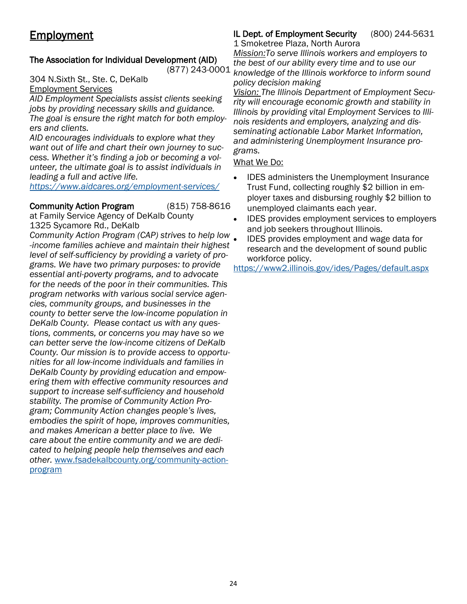## <span id="page-23-0"></span>**Employment**

## The Association for Individual Development (AID)

304 N.Sixth St., Ste. C, DeKalb Employment Services

*AID Employment Specialists assist clients seeking jobs by providing necessary skills and guidance. The goal is ensure the right match for both employers and clients.*

*AID encourages individuals to explore what they want out of life and chart their own journey to success. Whether it's finding a job or becoming a volunteer, the ultimate goal is to assist individuals in leading a full and active life.*

*<https://www.aidcares.org/employment-services/>*

### Community Action Program (815) 758-8616

at Family Service Agency of DeKalb County 1325 Sycamore Rd., DeKalb

*Community Action Program (CAP) strives to help low -income families achieve and maintain their highest level of self-sufficiency by providing a variety of programs. We have two primary purposes: to provide essential anti-poverty programs, and to advocate for the needs of the poor in their communities. This program networks with various social service agencies, community groups, and businesses in the county to better serve the low-income population in DeKalb County. Please contact us with any questions, comments, or concerns you may have so we can better serve the low-income citizens of DeKalb County. Our mission is to provide access to opportunities for all low-income individuals and families in DeKalb County by providing education and empowering them with effective community resources and support to increase self-sufficiency and household stability. The promise of Community Action Program; Community Action changes people's lives, embodies the spirit of hope, improves communities, and makes American a better place to live. We care about the entire community and we are dedicated to helping people help themselves and each other.* [www.fsadekalbcounty.org/community-action](https://www.fsadekalbcounty.org/community-action-program)[program](https://www.fsadekalbcounty.org/community-action-program)

#### IL Dept. of Employment Security (800) 244-5631 1 Smoketree Plaza, North Aurora

(877) 243-0001 *knowledge of the Illinois workforce to inform sound Mission:To serve Illinois workers and employers to the best of our ability every time and to use our policy decision making*

*Vision: The Illinois Department of Employment Security will encourage economic growth and stability in Illinois by providing vital Employment Services to Illinois residents and employers, analyzing and disseminating actionable Labor Market Information, and administering Unemployment Insurance programs.*

## What We Do:

- IDES administers the Unemployment Insurance Trust Fund, collecting roughly \$2 billion in employer taxes and disbursing roughly \$2 billion to unemployed claimants each year.
- IDES provides employment services to employers and job seekers throughout Illinois.
- IDES provides employment and wage data for research and the development of sound public workforce policy.

<https://www2.illinois.gov/ides/Pages/default.aspx>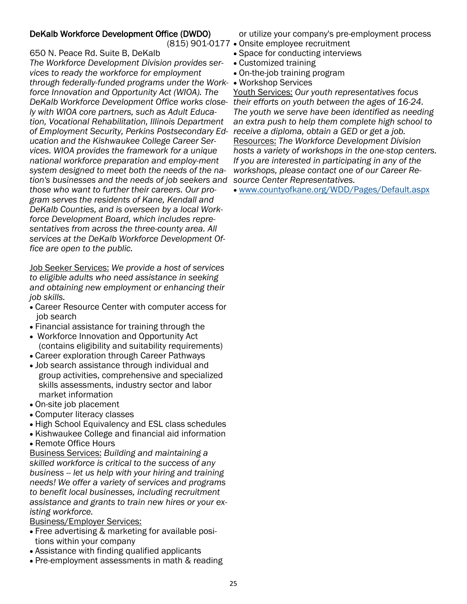## DeKalb Workforce Development Office (DWDO)

650 N. Peace Rd. Suite B, DeKalb

*The Workforce Development Division provides services to ready the workforce for employment through federally-funded programs under the Work-*• Workshop Services *force Innovation and Opportunity Act (WIOA). The DeKalb Workforce Development Office works close-their efforts on youth between the ages of 16-24. ly with WIOA core partners, such as Adult Education, Vocational Rehabilitation, Illinois Department of Employment Security, Perkins Postsecondary Ed-receive a diploma, obtain a GED or get a job. ucation and the Kishwaukee College Career Services. WIOA provides the framework for a unique national workforce preparation and employ-ment system designed to meet both the needs of the nation's businesses and the needs of job seekers and source Center Representatives. those who want to further their careers. Our program serves the residents of Kane, Kendall and DeKalb Counties, and is overseen by a local Workforce Development Board, which includes representatives from across the three-county area. All services at the DeKalb Workforce Development Office are open to the public.* 

Job Seeker Services: *We provide a host of services to eligible adults who need assistance in seeking and obtaining new employment or enhancing their job skills.* 

- Career Resource Center with computer access for job search
- Financial assistance for training through the
- Workforce Innovation and Opportunity Act (contains eligibility and suitability requirements)
- Career exploration through Career Pathways
- Job search assistance through individual and group activities, comprehensive and specialized skills assessments, industry sector and labor market information
- On-site job placement
- Computer literacy classes
- High School Equivalency and ESL class schedules
- Kishwaukee College and financial aid information
- Remote Office Hours

Business Services: *Building and maintaining a skilled workforce is critical to the success of any business -- let us help with your hiring and training needs! We offer a variety of services and programs to benefit local businesses, including recruitment assistance and grants to train new hires or your existing workforce.* 

Business/Employer Services:

- Free advertising & marketing for available positions within your company
- Assistance with finding qualified applicants
- Pre-employment assessments in math & reading

or utilize your company's pre-employment process

- (815) 901-0177 Onsite employee recruitment
	- Space for conducting interviews
	- Customized training
	- On-the-job training program
	-

Youth Services: *Our youth representatives focus The youth we serve have been identified as needing an extra push to help them complete high school to*  Resources: *The Workforce Development Division hosts a variety of workshops in the one-stop centers. If you are interested in participating in any of the workshops, please contact one of our Career Re-*

• [www.countyofkane.org/WDD/Pages/Default.aspx](https://www.countyofkane.org/WDD/Pages/Default.aspx)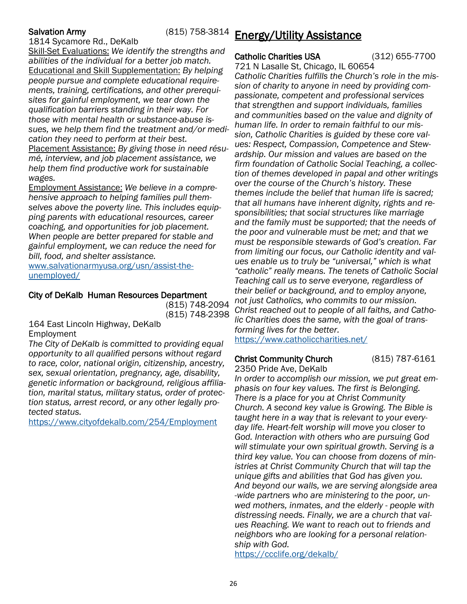## <span id="page-25-0"></span>Salvation Army (815) 758-3814

1814 Sycamore Rd., DeKalb

Skill-Set Evaluations: *We identify the strengths and abilities of the individual for a better job match.*  Educational and Skill Supplementation: *By helping people pursue and complete educational requirements, training, certifications, and other prerequisites for gainful employment, we tear down the qualification barriers standing in their way. For those with mental health or substance-abuse issues, we help them find the treatment and/or medication they need to perform at their best.*  Placement Assistance: *By giving those in need résumé, interview, and job placement assistance, we* 

*help them find productive work for sustainable wages.* 

Employment Assistance: *We believe in a comprehensive approach to helping families pull themselves above the poverty line. This includes equipping parents with educational resources, career coaching, and opportunities for job placement. When people are better prepared for stable and gainful employment, we can reduce the need for bill, food, and shelter assistance.* 

[www.salvationarmyusa.org/usn/assist-the](https://www.salvationarmyusa.org/usn/assist-the-unemployed/)[unemployed/](https://www.salvationarmyusa.org/usn/assist-the-unemployed/)

## City of DeKalb Human Resources Department

(815) 748-2094 (815) 748-2398

164 East Lincoln Highway, DeKalb Employment

*The City of DeKalb is committed to providing equal opportunity to all qualified persons without regard to race, color, national origin, citizenship, ancestry, sex, sexual orientation, pregnancy, age, disability, genetic information or background, religious affiliation, marital status, military status, order of protection status, arrest record, or any other legally protected status.* 

<https://www.cityofdekalb.com/254/Employment>

## Energy/Utility Assistance

## Catholic Charities USA (312) 655-7700

721 N Lasalle St, Chicago, IL 60654 *Catholic Charities fulfills the Church's role in the mission of charity to anyone in need by providing compassionate, competent and professional services that strengthen and support individuals, families and communities based on the value and dignity of human life. In order to remain faithful to our mission, Catholic Charities is guided by these core values: Respect, Compassion, Competence and Stewardship. Our mission and values are based on the firm foundation of Catholic Social Teaching, a collection of themes developed in papal and other writings over the course of the Church's history. These themes include the belief that human life is sacred; that all humans have inherent dignity, rights and responsibilities; that social structures like marriage and the family must be supported; that the needs of the poor and vulnerable must be met; and that we must be responsible stewards of God's creation. Far from limiting our focus, our Catholic identity and values enable us to truly be "universal," which is what "catholic" really means. The tenets of Catholic Social Teaching call us to serve everyone, regardless of their belief or background, and to employ anyone, not just Catholics, who commits to our mission. Christ reached out to people of all faiths, and Catholic Charities does the same, with the goal of transforming lives for the better.*  <https://www.catholiccharities.net/>

## Christ Community Church (815) 787-6161

2350 Pride Ave, DeKalb *In order to accomplish our mission, we put great emphasis on four key values. The first is Belonging. There is a place for you at Christ Community Church. A second key value is Growing. The Bible is taught here in a way that is relevant to your everyday life. Heart-felt worship will move you closer to God. Interaction with others who are pursuing God will stimulate your own spiritual growth. Serving is a third key value. You can choose from dozens of ministries at Christ Community Church that will tap the unique gifts and abilities that God has given you. And beyond our walls, we are serving alongside area -wide partners who are ministering to the poor, unwed mothers, inmates, and the elderly - people with distressing needs. Finally, we are a church that values Reaching. We want to reach out to friends and neighbors who are looking for a personal relationship with God.*  <https://ccclife.org/dekalb/>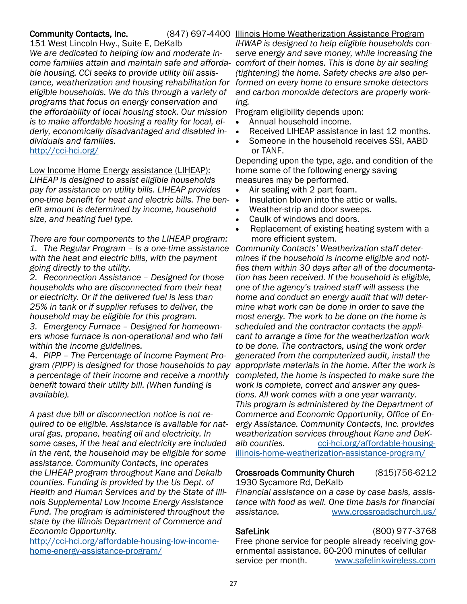### Community Contacts, Inc.

(847) 697-4400 Illinois Home Weatherization Assistance Program

151 West Lincoln Hwy., Suite E, DeKalb *We are dedicated to helping low and moderate income families attain and maintain safe and affordable housing. CCI seeks to provide utility bill assistance, weatherization and housing rehabilitation for formed on every home to ensure smoke detectors eligible households. We do this through a variety of programs that focus on energy conservation and the affordability of local housing stock. Our mission is to make affordable housing a reality for local, elderly, economically disadvantaged and disabled individuals and families.*

<http://cci-hci.org/>

Low Income Home Energy assistance (LIHEAP):

*LIHEAP is designed to assist eligible households pay for assistance on utility bills. LIHEAP provides one-time benefit for heat and electric bills. The benefit amount is determined by income, household size, and heating fuel type.*

*There are four components to the LIHEAP program: 1. The Regular Program – Is a one-time assistance with the heat and electric bills, with the payment going directly to the utility.*

*2. Reconnection Assistance – Designed for those households who are disconnected from their heat or electricity. Or if the delivered fuel is less than 25% in tank or if supplier refuses to deliver, the household may be eligible for this program.*

*3. Emergency Furnace – Designed for homeowners whose furnace is non-operational and who fall within the income guidelines.*

4. *PIPP – The Percentage of Income Payment Program (PIPP) is designed for those households to pay a percentage of their income and receive a monthly benefit toward their utility bill. (When funding is available).*

*A past due bill or disconnection notice is not required to be eligible. Assistance is available for natural gas, propane, heating oil and electricity. In some cases, if the heat and electricity are included in the rent, the household may be eligible for some assistance. Community Contacts, Inc operates the LIHEAP program throughout Kane and Dekalb counties. Funding is provided by the Us Dept. of Health and Human Services and by the State of Illinois Supplemental Low Income Energy Assistance Fund. The program is administered throughout the state by the Illinois Department of Commerce and Economic Opportunity.*

[http://cci-hci.org/affordable-housing-low-income](http://cci-hci.org/affordable-housing-low-income-home-energy-assistance-program/)[home-energy-assistance-program/](http://cci-hci.org/affordable-housing-low-income-home-energy-assistance-program/)

*IHWAP is designed to help eligible households conserve energy and save money, while increasing the comfort of their homes. This is done by air sealing (tightening) the home. Safety checks are also perand carbon monoxide detectors are properly working.* 

Program eligibility depends upon:

- Annual household income.
- Received LIHEAP assistance in last 12 months.
- Someone in the household receives SSI, AABD or TANF.

Depending upon the type, age, and condition of the home some of the following energy saving measures may be performed.

- Air sealing with 2 part foam.
- Insulation blown into the attic or walls.
- Weather-strip and door sweeps.
- Caulk of windows and doors.
- Replacement of existing heating system with a more efficient system.

*Community Contacts' Weatherization staff determines if the household is income eligible and notifies them within 30 days after all of the documentation has been received. If the household is eligible, one of the agency's trained staff will assess the home and conduct an energy audit that will determine what work can be done in order to save the most energy. The work to be done on the home is scheduled and the contractor contacts the applicant to arrange a time for the weatherization work to be done. The contractors, using the work order generated from the computerized audit, install the appropriate materials in the home. After the work is completed, the home is inspected to make sure the work is complete, correct and answer any questions. All work comes with a one year warranty. This program is administered by the Department of Commerce and Economic Opportunity, Office of Energy Assistance. Community Contacts, Inc. provides weatherization services throughout Kane and DeK*alb counties. [cci-hci.org/affordable-housing](http://cci-hci.org/affordable-housing-illinois-home-weatherization-assistance-program/)[illinois-home-weatherization-assistance-program/](http://cci-hci.org/affordable-housing-illinois-home-weatherization-assistance-program/)

## Crossroads Community Church (815)756-6212

1930 Sycamore Rd, DeKalb *Financial assistance on a case by case basis, assistance with food as well. One time basis for financial assistance.* [www.crossroadschurch.us/](https://www.crossroadschurch.us/)

## SafeLink (800) 977-3768

Free phone service for people already receiving governmental assistance. 60-200 minutes of cellular service per month.[www.safelinkwireless.com](https://www.safelinkwireless.com/Enrollment/Safelink/en/Web/www/default/index.html#!/newHome)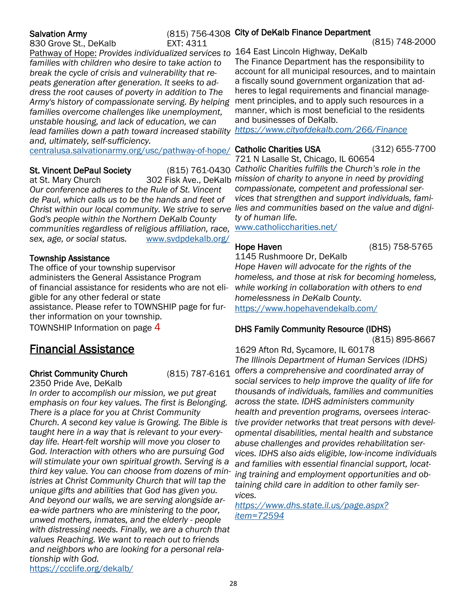830 Grove St., DeKalb EXT: 4311

<span id="page-27-0"></span>Salvation Army **Compact Armoration Contract Control** (815) 756-4308 City of DeKalb Finance Department

(815) 748-2000

Pathway of Hope: *Provides individualized services to*  164 East Lincoln Highway, DeKalb *families with children who desire to take action to break the cycle of crisis and vulnerability that repeats generation after generation. It seeks to address the root causes of poverty in addition to The Army's history of compassionate serving. By helping families overcome challenges like unemployment, unstable housing, and lack of education, we can lead families down a path toward increased stability and, ultimately, self-sufficiency.* 

[centralusa.salvationarmy.org/usc/pathway-of-hope/](https://centralusa.salvationarmy.org/usc/pathway-of-hope/) Catholic Charities USA (312) 655-7700

## **St. Vincent DePaul Society**

*Our conference adheres to the Rule of St. Vincent de Paul, which calls us to be the hands and feet of* 

*God's people within the Northern DeKalb County communities regardless of religious affiliation, race, sex, age, or social status.* [www.svdpdekalb.org/](https://www.svdpdekalb.org/)

## Township Assistance

The office of your township supervisor administers the General Assistance Program of financial assistance for residents who are not eligible for any other federal or state assistance. Please refer to TOWNSHIP page for further information on your township. TOWNSHIP Information on page 4

## Financial Assistance

## Christ Community Church (815) 787-6161

2350 Pride Ave, DeKalb

*In order to accomplish our mission, we put great emphasis on four key values. The first is Belonging. There is a place for you at Christ Community Church. A second key value is Growing. The Bible is taught here in a way that is relevant to your everyday life. Heart-felt worship will move you closer to God. Interaction with others who are pursuing God will stimulate your own spiritual growth. Serving is a third key value. You can choose from dozens of ministries at Christ Community Church that will tap the unique gifts and abilities that God has given you. And beyond our walls, we are serving alongside area-wide partners who are ministering to the poor, unwed mothers, inmates, and the elderly - people with distressing needs. Finally, we are a church that values Reaching. We want to reach out to friends and neighbors who are looking for a personal relationship with God.*  <https://ccclife.org/dekalb/>

The Finance Department has the responsibility to account for all municipal resources, and to maintain a fiscally sound government organization that adheres to legal requirements and financial management principles, and to apply such resources in a manner, which is most beneficial to the residents and businesses of DeKalb.

*<https://www.cityofdekalb.com/266/Finance>*

at St. Mary Church 302 Fisk Ave., DeKalb *mission of charity to anyone in need by providing*  Christ within our local community. We strive to serve lies and communities based on the value and digni-721 N Lasalle St, Chicago, IL 60654 *Catholic Charities fulfills the Church's role in the compassionate, competent and professional services that strengthen and support individuals, famity of human life.* 

[www.catholiccharities.net/](https://www.catholiccharities.net/)

Hope Haven (815) 758-5765

1145 Rushmoore Dr, DeKalb

*Hope Haven will advocate for the rights of the homeless, and those at risk for becoming homeless, while working in collaboration with others to end homelessness in DeKalb County.* <https://www.hopehavendekalb.com/>

## DHS Family Community Resource (IDHS)

(815) 895-8667

1629 Afton Rd, Sycamore, IL 60178 *The Illinois Department of Human Services (IDHS) offers a comprehensive and coordinated array of social services to help improve the quality of life for thousands of individuals, families and communities across the state. IDHS administers community health and prevention programs, oversees interactive provider networks that treat persons with developmental disabilities, mental health and substance abuse challenges and provides rehabilitation services. IDHS also aids eligible, low-income individuals and families with essential financial support, locating training and employment opportunities and obtaining child care in addition to other family services.* 

*[https://www.dhs.state.il.us/page.aspx?](https://www.dhs.state.il.us/page.aspx?item=72594) [item=72594](https://www.dhs.state.il.us/page.aspx?item=72594)*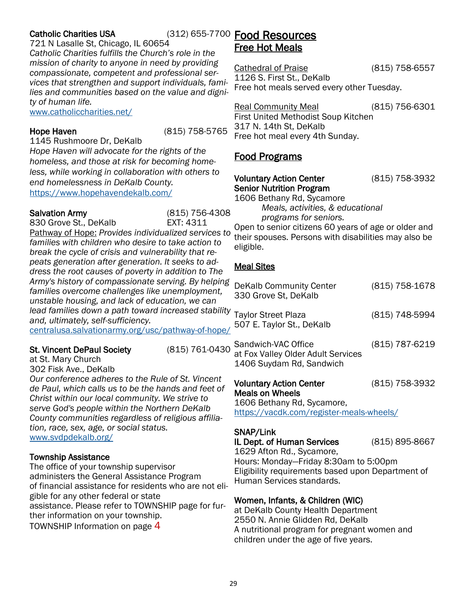## <span id="page-28-0"></span>**Catholic Charities USA**

## (312) 655-7700 Food Resources

721 N Lasalle St, Chicago, IL 60654 *Catholic Charities fulfills the Church's role in the mission of charity to anyone in need by providing compassionate, competent and professional services that strengthen and support individuals, families and communities based on the value and dignity of human life.* 

[www.catholiccharities.net/](https://www.catholiccharities.net/)

Hope Haven (815) 758-5765

1145 Rushmoore Dr, DeKalb

*Hope Haven will advocate for the rights of the homeless, and those at risk for becoming homeless, while working in collaboration with others to end homelessness in DeKalb County.* <https://www.hopehavendekalb.com/>

Salvation Army (815) 756-4308 830 Grove St., DeKalb **EXT: 4311** Pathway of Hope: *Provides individualized services to families with children who desire to take action to break the cycle of crisis and vulnerability that repeats generation after generation. It seeks to address the root causes of poverty in addition to The Army's history of compassionate serving. By helping families overcome challenges like unemployment, unstable housing, and lack of education, we can lead families down a path toward increased stability and, ultimately, self-sufficiency.* 

## [centralusa.salvationarmy.org/usc/pathway-of-hope/](https://centralusa.salvationarmy.org/usc/pathway-of-hope/)

## St. Vincent DePaul Society (815) 761-0430

at St. Mary Church

302 Fisk Ave., DeKalb

*Our conference adheres to the Rule of St. Vincent de Paul, which calls us to be the hands and feet of Christ within our local community. We strive to serve God's people within the Northern DeKalb County communities regardless of religious affiliation, race, sex, age, or social status.*  [www.svdpdekalb.org/](https://www.svdpdekalb.org/)

## Township Assistance

The office of your township supervisor administers the General Assistance Program of financial assistance for residents who are not eligible for any other federal or state assistance. Please refer to TOWNSHIP page for further information on your township. TOWNSHIP Information on page 4

# Free Hot Meals

Cathedral of Praise (815) 758-6557 1126 S. First St., DeKalb Free hot meals served every other Tuesday.

Real Community Meal (815) 756-6301 First United Methodist Soup Kitchen 317 N. 14th St, DeKalb Free hot meal every 4th Sunday.

## Food Programs

## Voluntary Action Center (815) 758-3932 Senior Nutrition Program

1606 Bethany Rd, Sycamore *Meals, activities, & educational* 

*programs for seniors.*

Open to senior citizens 60 years of age or older and their spouses. Persons with disabilities may also be eligible.

## Meal Sites

| DeKalb Community Center<br>330 Grove St, DeKalb                                       | (815) 758-1678 |
|---------------------------------------------------------------------------------------|----------------|
| <b>Taylor Street Plaza</b><br>507 E. Taylor St., DeKalb                               | (815) 748-5994 |
| Sandwich-VAC Office<br>at Fox Valley Older Adult Services<br>1406 Suydam Rd, Sandwich | (815) 787-6219 |

## Voluntary Action Center (815) 758-3932 Meals on Wheels

1606 Bethany Rd, Sycamore, <https://vacdk.com/register-meals-wheels/>

## SNAP/Link

## IL Dept. of Human Services (815) 895-8667

1629 Afton Rd., Sycamore, Hours: Monday—Friday 8:30am to 5:00pm Eligibility requirements based upon Department of Human Services standards.

## Women, Infants, & Children (WIC)

at DeKalb County Health Department 2550 N. Annie Glidden Rd, DeKalb A nutritional program for pregnant women and children under the age of five years.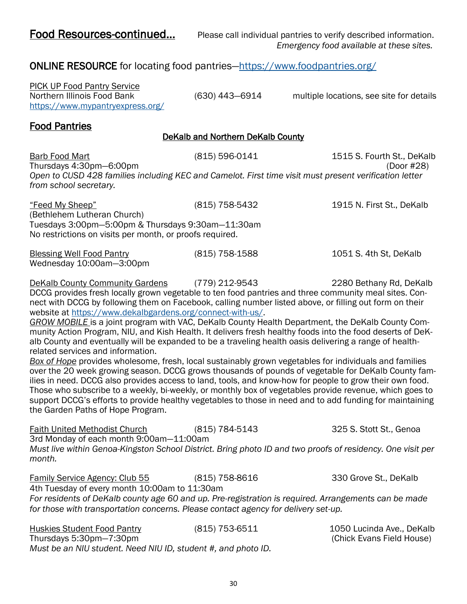<span id="page-29-0"></span>Food Resources-continued... Please call individual pantries to verify described information. *Emergency food available at these sites.*

## ONLINE RESOURCE for locating food pantries—<https://www.foodpantries.org/>

PICK UP Food Pantry Service <https://www.mypantryexpress.org/>

Northern Illinois Food Bank (630) 443—6914 multiple locations, see site for details

## Food Pantries

## DeKalb and Northern DeKalb County

| Barb Food Mart<br>Thursdays 4:30pm-6:00pm                                                                                        | (815) 596-0141 | 1515 S. Fourth St., DeKalb<br>(Door #28) |
|----------------------------------------------------------------------------------------------------------------------------------|----------------|------------------------------------------|
| Open to CUSD 428 families including KEC and Camelot. First time visit must present verification letter<br>from school secretary. |                |                                          |
| "Feed My Sheep"<br>(Bethlehem Lutheran Church)                                                                                   | (815) 758-5432 | 1915 N. First St., DeKalb                |
| Tuesdays 3:00pm-5:00pm & Thursdays 9:30am-11:30am<br>No restrictions on visits per month, or proofs required.                    |                |                                          |
| <b>Blessing Well Food Pantry</b><br>Wednesday 10:00am-3:00pm                                                                     | (815) 758-1588 | 1051 S. 4th St, DeKalb                   |

DeKalb County Community Gardens (779) 212-9543 2280 Bethany Rd, DeKalb DCCG provides fresh locally grown vegetable to ten food pantries and three community meal sites. Connect with DCCG by following them on Facebook, calling number listed above, or filling out form on their website at [https://www.dekalbgardens.org/connect-with-us/.](https://www.dekalbgardens.org/connect-with-us/)

*GROW MOBILE* is a joint program with VAC, DeKalb County Health Department, the DeKalb County Community Action Program, NIU, and Kish Health. It delivers fresh healthy foods into the food deserts of DeKalb County and eventually will be expanded to be a traveling health oasis delivering a range of healthrelated services and information.

*Box of Hope* provides wholesome, fresh, local sustainably grown vegetables for individuals and families over the 20 week growing season. DCCG grows thousands of pounds of vegetable for DeKalb County families in need. DCCG also provides access to land, tools, and know-how for people to grow their own food. Those who subscribe to a weekly, bi-weekly, or monthly box of vegetables provide revenue, which goes to support DCCG's efforts to provide healthy vegetables to those in need and to add funding for maintaining the Garden Paths of Hope Program.

Faith United Methodist Church (815) 784-5143 325 S. Stott St., Genoa 3rd Monday of each month 9:00am—11:00am *Must live within Genoa-Kingston School District. Bring photo ID and two proofs of residency. One visit per month.* 

Family Service Agency: Club 55 (815) 758-8616 330 Grove St., DeKalb 4th Tuesday of every month 10:00am to 11:30am *For residents of DeKalb county age 60 and up. Pre-registration is required. Arrangements can be made for those with transportation concerns. Please contact agency for delivery set-up.*

Huskies Student Food Pantry (815) 753-6511 1050 Lucinda Ave., DeKalb Thursdays 5:30pm—7:30pm (Chick Evans Field House) *Must be an NIU student. Need NIU ID, student #, and photo ID.*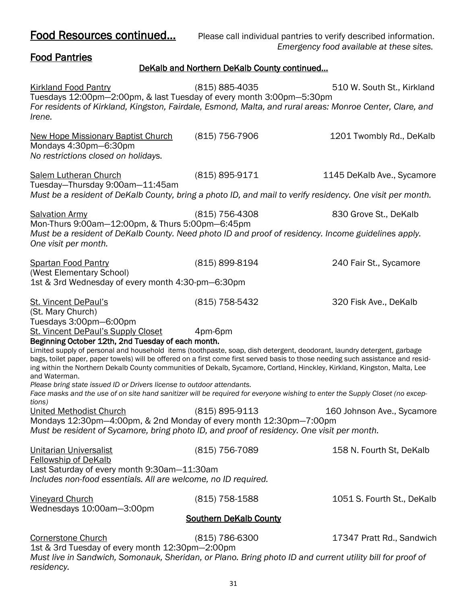Food Resources continued... Please call individual pantries to verify described information. *Emergency food available at these sites.*

## Food Pantries

## DeKalb and Northern DeKalb County continued…

| <b>Kirkland Food Pantry</b><br>Tuesdays 12:00pm-2:00pm, & last Tuesday of every month 3:00pm-5:30pm                                                                                                                                                                                                                                                                                                       | (815) 885-4035                | 510 W. South St., Kirkland |
|-----------------------------------------------------------------------------------------------------------------------------------------------------------------------------------------------------------------------------------------------------------------------------------------------------------------------------------------------------------------------------------------------------------|-------------------------------|----------------------------|
| For residents of Kirkland, Kingston, Fairdale, Esmond, Malta, and rural areas: Monroe Center, Clare, and<br>Irene.                                                                                                                                                                                                                                                                                        |                               |                            |
| <b>New Hope Missionary Baptist Church</b><br>Mondays 4:30pm-6:30pm<br>No restrictions closed on holidays.                                                                                                                                                                                                                                                                                                 | (815) 756-7906                | 1201 Twombly Rd., DeKalb   |
| <b>Salem Lutheran Church</b><br>Tuesday-Thursday 9:00am-11:45am<br>Must be a resident of DeKalb County, bring a photo ID, and mail to verify residency. One visit per month.                                                                                                                                                                                                                              | $(815) 895 - 9171$            | 1145 DeKalb Ave., Sycamore |
|                                                                                                                                                                                                                                                                                                                                                                                                           |                               |                            |
| <b>Salvation Army</b>                                                                                                                                                                                                                                                                                                                                                                                     | (815) 756-4308                | 830 Grove St., DeKalb      |
| Mon-Thurs 9:00am-12:00pm, & Thurs 5:00pm-6:45pm<br>Must be a resident of DeKalb County. Need photo ID and proof of residency. Income guidelines apply.<br>One visit per month.                                                                                                                                                                                                                            |                               |                            |
| <b>Spartan Food Pantry</b><br>(West Elementary School)                                                                                                                                                                                                                                                                                                                                                    | (815) 899-8194                | 240 Fair St., Sycamore     |
| 1st & 3rd Wednesday of every month 4:30-pm-6:30pm                                                                                                                                                                                                                                                                                                                                                         |                               |                            |
| <b>St. Vincent DePaul's</b><br>(St. Mary Church)                                                                                                                                                                                                                                                                                                                                                          | (815) 758-5432                | 320 Fisk Ave., DeKalb      |
| Tuesdays 3:00pm-6:00pm<br><b>St. Vincent DePaul's Supply Closet</b><br>Beginning October 12th, 2nd Tuesday of each month.                                                                                                                                                                                                                                                                                 | 4pm-6pm                       |                            |
| Limited supply of personal and household items (toothpaste, soap, dish detergent, deodorant, laundry detergent, garbage<br>bags, toilet paper, paper towels) will be offered on a first come first served basis to those needing such assistance and resid-<br>ing within the Northern Dekalb County communities of Dekalb, Sycamore, Cortland, Hinckley, Kirkland, Kingston, Malta, Lee<br>and Waterman. |                               |                            |
| Please bring state issued ID or Drivers license to outdoor attendants.                                                                                                                                                                                                                                                                                                                                    |                               |                            |
| Face masks and the use of on site hand sanitizer will be required for everyone wishing to enter the Supply Closet (no excep-<br>tions)                                                                                                                                                                                                                                                                    |                               |                            |
| <b>United Methodist Church</b><br>Mondays 12:30pm-4:00pm, & 2nd Monday of every month 12:30pm-7:00pm                                                                                                                                                                                                                                                                                                      | (815) 895-9113                | 160 Johnson Ave., Sycamore |
| Must be resident of Sycamore, bring photo ID, and proof of residency. One visit per month.                                                                                                                                                                                                                                                                                                                |                               |                            |
| <b>Unitarian Universalist</b><br><b>Fellowship of DeKalb</b>                                                                                                                                                                                                                                                                                                                                              | (815) 756-7089                | 158 N. Fourth St, DeKalb   |
| Last Saturday of every month 9:30am-11:30am<br>Includes non-food essentials. All are welcome, no ID required.                                                                                                                                                                                                                                                                                             |                               |                            |
| <b>Vineyard Church</b><br>Wednesdays 10:00am-3:00pm                                                                                                                                                                                                                                                                                                                                                       | (815) 758-1588                | 1051 S. Fourth St., DeKalb |
|                                                                                                                                                                                                                                                                                                                                                                                                           | <b>Southern DeKalb County</b> |                            |
| <b>Cornerstone Church</b>                                                                                                                                                                                                                                                                                                                                                                                 | (815) 786-6300                | 17347 Pratt Rd., Sandwich  |
| 1st & 3rd Tuesday of every month 12:30pm-2:00pm                                                                                                                                                                                                                                                                                                                                                           |                               |                            |
| Must live in Sandwich, Somonauk, Sheridan, or Plano. Bring photo ID and current utility bill for proof of<br>residency.                                                                                                                                                                                                                                                                                   |                               |                            |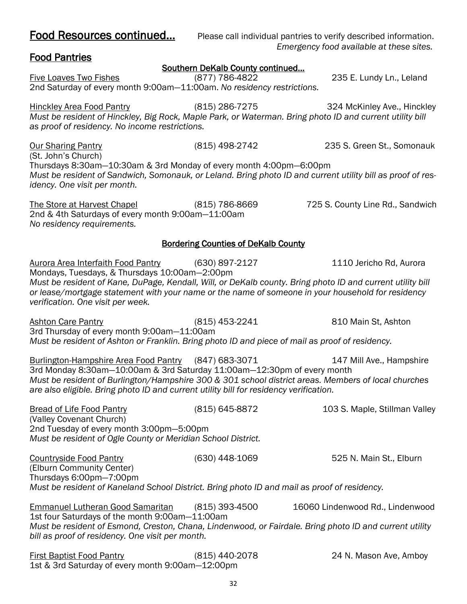| 2nd Saturday of every month 9:00am-11:00am. No residency restrictions.                                                                                                                                                                                                                                                           |                                            |                                  |
|----------------------------------------------------------------------------------------------------------------------------------------------------------------------------------------------------------------------------------------------------------------------------------------------------------------------------------|--------------------------------------------|----------------------------------|
| Hinckley Area Food Pantry<br>Must be resident of Hinckley, Big Rock, Maple Park, or Waterman. Bring photo ID and current utility bill<br>as proof of residency. No income restrictions.                                                                                                                                          | (815) 286-7275                             | 324 McKinley Ave., Hinckley      |
| <b>Our Sharing Pantry</b><br>(St. John's Church)<br>Thursdays 8:30am-10:30am & 3rd Monday of every month 4:00pm-6:00pm<br>Must be resident of Sandwich, Somonauk, or Leland. Bring photo ID and current utility bill as proof of res-                                                                                            | (815) 498-2742                             | 235 S. Green St., Somonauk       |
| idency. One visit per month.                                                                                                                                                                                                                                                                                                     |                                            |                                  |
| The Store at Harvest Chapel<br>2nd & 4th Saturdays of every month 9:00am-11:00am<br>No residency requirements.                                                                                                                                                                                                                   | (815) 786-8669                             | 725 S. County Line Rd., Sandwich |
|                                                                                                                                                                                                                                                                                                                                  | <b>Bordering Counties of DeKalb County</b> |                                  |
| Aurora Area Interfaith Food Pantry (630) 897-2127<br>Mondays, Tuesdays, & Thursdays 10:00am-2:00pm<br>Must be resident of Kane, DuPage, Kendall, Will, or DeKalb county. Bring photo ID and current utility bill                                                                                                                 |                                            | 1110 Jericho Rd, Aurora          |
| or lease/mortgage statement with your name or the name of someone in your household for residency<br>verification. One visit per week.                                                                                                                                                                                           |                                            |                                  |
| <b>Ashton Care Pantry</b><br>3rd Thursday of every month 9:00am-11:00am<br>Must be resident of Ashton or Franklin. Bring photo ID and piece of mail as proof of residency.                                                                                                                                                       | $(815)$ 453-2241                           | 810 Main St, Ashton              |
| Burlington-Hampshire Area Food Pantry (847) 683-3071<br>3rd Monday 8:30am-10:00am & 3rd Saturday 11:00am-12:30pm of every month<br>Must be resident of Burlington/Hampshire 300 & 301 school district areas. Members of local churches<br>are also eligible. Bring photo ID and current utility bill for residency verification. |                                            | 147 Mill Ave., Hampshire         |
| <b>Bread of Life Food Pantry</b><br>(Valley Covenant Church)<br>2nd Tuesday of every month 3:00pm-5:00pm<br>Must be resident of Ogle County or Meridian School District.                                                                                                                                                         | (815) 645-8872                             | 103 S. Maple, Stillman Valley    |
| <b>Countryside Food Pantry</b><br>(Elburn Community Center)<br>Thursdays 6:00pm-7:00pm                                                                                                                                                                                                                                           | (630) 448-1069                             | 525 N. Main St., Elburn          |
| Must be resident of Kaneland School District. Bring photo ID and mail as proof of residency.                                                                                                                                                                                                                                     |                                            |                                  |
| <b>Emmanuel Lutheran Good Samaritan</b><br>1st four Saturdays of the month 9:00am-11:00am<br>Must be resident of Esmond, Creston, Chana, Lindenwood, or Fairdale. Bring photo ID and current utility<br>bill as proof of residency. One visit per month.                                                                         | $(815)$ 393-4500                           | 16060 Lindenwood Rd., Lindenwood |
| <b>First Baptist Food Pantry</b><br>1st & 3rd Saturday of every month 9:00am-12:00pm                                                                                                                                                                                                                                             | (815) 440-2078                             | 24 N. Mason Ave, Amboy           |

Food Resources continued... Please call individual pantries to verify described information. *Emergency food available at these sites.*

## Food Pantries

## Southern DeKalb County continued…

Five Loaves Two Fishes (877) 786-4822 235 E. Lundy Ln., Leland

32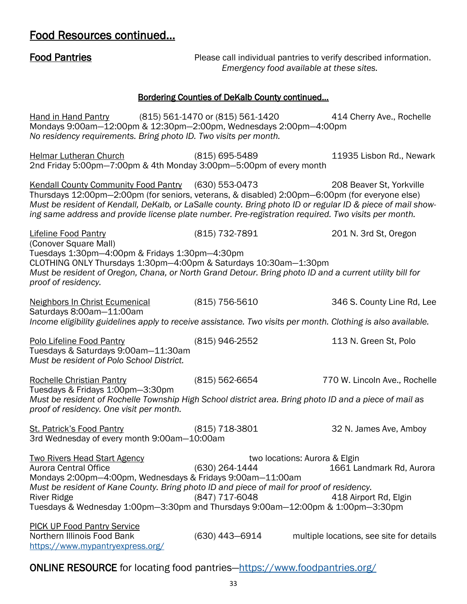## Food Resources continued…

| <b>Food Pantries</b>                                                                                                                                                                                                                                                                                                                                                       | Emergency food available at these sites.                          | Please call individual pantries to verify described information. |
|----------------------------------------------------------------------------------------------------------------------------------------------------------------------------------------------------------------------------------------------------------------------------------------------------------------------------------------------------------------------------|-------------------------------------------------------------------|------------------------------------------------------------------|
|                                                                                                                                                                                                                                                                                                                                                                            | <b>Bordering Counties of DeKalb County continued</b>              |                                                                  |
| Hand in Hand Pantry (815) 561-1470 or (815) 561-1420<br>Mondays 9:00am-12:00pm & 12:30pm-2:00pm, Wednesdays 2:00pm-4:00pm<br>No residency requirements. Bring photo ID. Two visits per month.                                                                                                                                                                              |                                                                   | 414 Cherry Ave., Rochelle                                        |
| <b>Helmar Lutheran Church</b><br>2nd Friday 5:00pm-7:00pm & 4th Monday 3:00pm-5:00pm of every month                                                                                                                                                                                                                                                                        | (815) 695-5489                                                    | 11935 Lisbon Rd., Newark                                         |
| Kendall County Community Food Pantry (630) 553-0473<br>Thursdays 12:00pm-2:00pm (for seniors, veterans, & disabled) 2:00pm-6:00pm (for everyone else)<br>Must be resident of Kendall, DeKalb, or LaSalle county. Bring photo ID or regular ID & piece of mail show-<br>ing same address and provide license plate number. Pre-registration required. Two visits per month. |                                                                   | 208 Beaver St, Yorkville                                         |
| <b>Lifeline Food Pantry</b><br>(Conover Square Mall)<br>Tuesdays 1:30pm-4:00pm & Fridays 1:30pm-4:30pm<br>CLOTHING ONLY Thursdays 1:30pm-4:00pm & Saturdays 10:30am-1:30pm<br>Must be resident of Oregon, Chana, or North Grand Detour. Bring photo ID and a current utility bill for<br>proof of residency.                                                               | (815) 732-7891                                                    | 201 N. 3rd St, Oregon                                            |
| <b>Neighbors In Christ Ecumenical</b><br>Saturdays 8:00am-11:00am<br>Income eligibility guidelines apply to receive assistance. Two visits per month. Clothing is also available.                                                                                                                                                                                          | $(815)$ 756-5610                                                  | 346 S. County Line Rd, Lee                                       |
| Polo Lifeline Food Pantry<br>Tuesdays & Saturdays 9:00am-11:30am<br>Must be resident of Polo School District.                                                                                                                                                                                                                                                              | (815) 946-2552                                                    | 113 N. Green St, Polo                                            |
| <b>Rochelle Christian Pantry</b><br>Tuesdays & Fridays 1:00pm-3:30pm<br>Must be resident of Rochelle Township High School district area. Bring photo ID and a piece of mail as<br>proof of residency. One visit per month.                                                                                                                                                 | (815) 562-6654                                                    | 770 W. Lincoln Ave., Rochelle                                    |
| <b>St. Patrick's Food Pantry</b><br>3rd Wednesday of every month 9:00am-10:00am                                                                                                                                                                                                                                                                                            | $(815)$ 718-3801                                                  | 32 N. James Ave, Amboy                                           |
| <b>Two Rivers Head Start Agency</b><br><b>Aurora Central Office</b><br>Mondays 2:00pm-4:00pm, Wednesdays & Fridays 9:00am-11:00am<br>Must be resident of Kane County. Bring photo ID and piece of mail for proof of residency.<br><b>River Ridge</b><br>Tuesdays & Wednesday 1:00pm-3:30pm and Thursdays 9:00am-12:00pm & 1:00pm-3:30pm                                    | two locations: Aurora & Elgin<br>(630) 264-1444<br>(847) 717-6048 | 1661 Landmark Rd, Aurora<br>418 Airport Rd, Elgin                |
| <b>PICK UP Food Pantry Service</b><br>Northern Illinois Food Bank<br>https://www.mypantryexpress.org/                                                                                                                                                                                                                                                                      | (630) 443-6914                                                    | multiple locations, see site for details                         |

ONLINE RESOURCE for locating food pantries—<https://www.foodpantries.org/>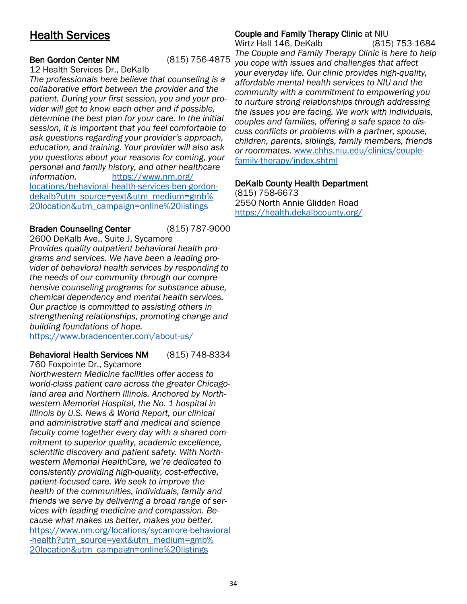## <span id="page-33-0"></span>Health Services

## Ben Gordon Center NM (815) 756-4875

12 Health Services Dr., DeKalb

*The professionals here believe that counseling is a collaborative effort between the provider and the patient. During your first session, you and your provider will get to know each other and if possible, determine the best plan for your care. In the initial session, it is important that you feel comfortable to ask questions regarding your provider's approach, education, and training. Your provider will also ask you questions about your reasons for coming, your personal and family history, and other healthcare information.* [https://www.nm.org/](https://www.nm.org/locations/behavioral-health-services-ben-gordon-dekalb?utm_source=yext&utm_medium=gmb%20location&utm_campaign=online%20listings) [locations/behavioral-health-services-ben-gordon](https://www.nm.org/locations/behavioral-health-services-ben-gordon-dekalb?utm_source=yext&utm_medium=gmb%20location&utm_campaign=online%20listings)[dekalb?utm\\_source=yext&utm\\_medium=gmb%](https://www.nm.org/locations/behavioral-health-services-ben-gordon-dekalb?utm_source=yext&utm_medium=gmb%20location&utm_campaign=online%20listings) [20location&utm\\_campaign=online%20listings](https://www.nm.org/locations/behavioral-health-services-ben-gordon-dekalb?utm_source=yext&utm_medium=gmb%20location&utm_campaign=online%20listings)

Braden Counseling Center (815) 787-9000 2600 DeKalb Ave., Suite J, Sycamore P*rovides quality outpatient behavioral health programs and services. We have been a leading provider of behavioral health services by responding to the needs of our community through our comprehensive counseling programs for substance abuse, chemical dependency and mental health services. Our practice is committed to assisting others in strengthening relationships, promoting change and building foundations of hope.* 

<https://www.bradencenter.com/about-us/>

## Behavioral Health Services NM (815) 748-8334

760 Foxpointe Dr., Sycamore

*Northwestern Medicine facilities offer access to world-class patient care across the greater Chicagoland area and Northern Illinois. Anchored by Northwestern Memorial Hospital, the No. 1 hospital in Illinois by [U.S. News & World Report,](https://health.usnews.com/best-hospitals/area/il/northwestern-memorial-hospital-6430545?utm_medium=gmb%2520location&utm_source=yext) our clinical and administrative staff and medical and science faculty come together every day with a shared commitment to superior quality, academic excellence, scientific discovery and patient safety. With Northwestern Memorial HealthCare, we're dedicated to consistently providing high-quality, cost-effective, patient-focused care. We seek to improve the health of the communities, individuals, family and friends we serve by delivering a broad range of services with leading medicine and compassion. Because what makes us better, makes you better.* [https://www.nm.org/locations/sycamore-behavioral](https://www.nm.org/locations/sycamore-behavioral-health?utm_source=yext&utm_medium=gmb%20location&utm_campaign=online%20listings) [-health?utm\\_source=yext&utm\\_medium=gmb%](https://www.nm.org/locations/sycamore-behavioral-health?utm_source=yext&utm_medium=gmb%20location&utm_campaign=online%20listings) [20location&utm\\_campaign=online%20listings](https://www.nm.org/locations/sycamore-behavioral-health?utm_source=yext&utm_medium=gmb%20location&utm_campaign=online%20listings)

## Couple and Family Therapy Clinic at NIU

Wirtz Hall 146, DeKalb (815) 753-1684 *The Couple and Family Therapy Clinic is here to help you cope with issues and challenges that affect your everyday life. Our clinic provides high-quality, affordable mental health services to NIU and the community with a commitment to empowering you to nurture strong relationships through addressing the issues you are facing. We work with individuals, couples and families, offering a safe space to discuss conflicts or problems with a partner, spouse, children, parents, siblings, family members, friends or roommates.* [www.chhs.niu.edu/clinics/couple](https://www.chhs.niu.edu/clinics/couple-family-therapy/index.shtml)[family-therapy/index.shtml](https://www.chhs.niu.edu/clinics/couple-family-therapy/index.shtml)

## DeKalb County Health Department

(815) 758-6673 2550 North Annie Glidden Road <https://health.dekalbcounty.org/>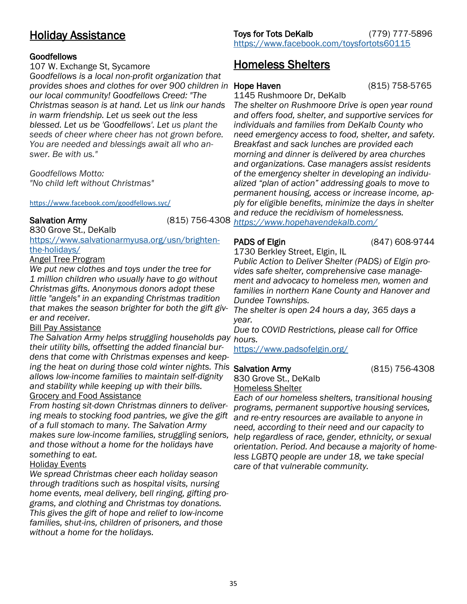## <span id="page-34-0"></span>Holiday Assistance

## Goodfellows

## 107 W. Exchange St, Sycamore

*Goodfellows is a local non-profit organization that provides shoes and clothes for over 900 children in our local community! Goodfellows Creed: "The Christmas season is at hand. Let us link our hands in warm friendship. Let us seek out the less blessed. Let us be 'Goodfellows'. Let us plant the seeds of cheer where cheer has not grown before. You are needed and blessings await all who answer. Be with us."*

*Goodfellows Motto: "No child left without Christmas"*

## <https://www.facebook.com/goodfellows.syc/>

830 Grove St., DeKalb

[https://www.salvationarmyusa.org/usn/brighten](https://www.salvationarmyusa.org/usn/brighten-the-holidays/)[the-holidays/](https://www.salvationarmyusa.org/usn/brighten-the-holidays/)

## Angel Tree Program

*We put new clothes and toys under the tree for 1 million children who usually have to go without Christmas gifts. Anonymous donors adopt these little "angels" in an expanding Christmas tradition that makes the season brighter for both the gift giver and receiver.* 

### Bill Pay Assistance

*The Salvation Army helps struggling households pay hours. their utility bills, offsetting the added financial burdens that come with Christmas expenses and keeping the heat on during those cold winter nights. This Salvation Army allows low-income families to maintain self-dignity and stability while keeping up with their bills.*  Grocery and Food Assistance

*From hosting sit-down Christmas dinners to delivering meals to stocking food pantries, we give the gift of a full stomach to many. The Salvation Army makes sure low-income families, struggling seniors, help regardless of race, gender, ethnicity, or sexual and those without a home for the holidays have something to eat.* 

## Holiday Events

*We spread Christmas cheer each holiday season through traditions such as hospital visits, nursing home events, meal delivery, bell ringing, gifting programs, and clothing and Christmas toy donations. This gives the gift of hope and relief to low-income families, shut-ins, children of prisoners, and those without a home for the holidays.* 

Toys for Tots DeKalb (779) 777-5896 <https://www.facebook.com/toysfortots60115>

## Homeless Shelters

1145 Rushmoore Dr, DeKalb

*The shelter on Rushmoore Drive is open year round and offers food, shelter, and supportive services for individuals and families from DeKalb County who need emergency access to food, shelter, and safety. Breakfast and sack lunches are provided each morning and dinner is delivered by area churches and organizations. Case managers assist residents of the emergency shelter in developing an individualized "plan of action" addressing goals to move to permanent housing, access or increase income, apply for eligible benefits, minimize the days in shelter and reduce the recidivism of homelessness.* 

Salvation Army (815) 756-4308 *<https://www.hopehavendekalb.com/>*

## PADS of Elgin (847) 608-9744

1730 Berkley Street, Elgin, IL

*Public Action to Deliver Shelter (PADS) of Elgin provides safe shelter, comprehensive case management and advocacy to homeless men, women and families in northern Kane County and Hanover and Dundee Townships.*

*The shelter is open 24 hours a day, 365 days a year.*

*Due to COVID Restrictions, please call for Office* 

<https://www.padsofelgin.org/>

830 Grove St., DeKalb Homeless Shelter

*Each of our homeless shelters, transitional housing programs, permanent supportive housing services, and re-entry resources are available to anyone in need, according to their need and our capacity to orientation. Period. And because a majority of homeless LGBTQ people are under 18, we take special care of that vulnerable community.*

35

(815) 758-5765

(815) 756-4308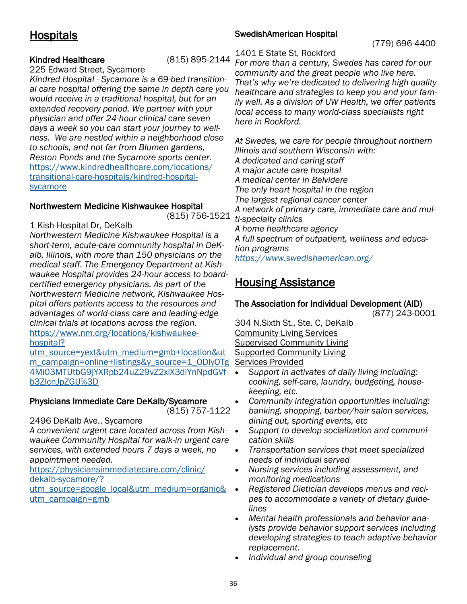## <span id="page-35-0"></span>**Hospitals**

## Kindred Healthcare (815) 895-2144

225 Edward Street, Sycamore

*Kindred Hospital - Sycamore is a 69-bed transitional care hospital offering the same in depth care you would receive in a traditional hospital, but for an extended recovery period. We partner with your physician and offer 24-hour clinical care seven days a week so you can start your journey to wellness. We are nestled within a neighborhood close to schools, and not far from Blumen gardens, Reston Ponds and the Sycamore sports center.*  [https://www.kindredhealthcare.com/locations/](https://www.kindredhealthcare.com/locations/transitional-care-hospitals/kindred-hospital-sycamore) [transitional-care-hospitals/kindred-hospital](https://www.kindredhealthcare.com/locations/transitional-care-hospitals/kindred-hospital-sycamore)[sycamore](https://www.kindredhealthcare.com/locations/transitional-care-hospitals/kindred-hospital-sycamore) 

## Northwestern Medicine Kishwaukee Hospital

(815) 756-1521

1 Kish Hospital Dr, DeKalb

*Northwestern Medicine Kishwaukee Hospital is a short-term, acute-care community hospital in DeKalb, Illinois, with more than 150 physicians on the medical staff. The Emergency Department at Kishwaukee Hospital provides 24-hour access to boardcertified emergency physicians. As part of the Northwestern Medicine network, Kishwaukee Hospital offers patients access to the resources and advantages of world-class care and leading-edge clinical trials at locations across the region.*  [https://www.nm.org/locations/kishwaukee](https://www.nm.org/locations/kishwaukee-hospital?utm_source=yext&utm_medium=gmb+location&utm_campaign=online+listings&y_source=1_ODIyOTg4Mi03MTUtbG9jYXRpb24uZ29vZ2xlX3dlYnNpdGVfb3ZlcnJpZGU%3D)[hospital?](https://www.nm.org/locations/kishwaukee-hospital?utm_source=yext&utm_medium=gmb+location&utm_campaign=online+listings&y_source=1_ODIyOTg4Mi03MTUtbG9jYXRpb24uZ29vZ2xlX3dlYnNpdGVfb3ZlcnJpZGU%3D)

[utm\\_source=yext&utm\\_medium=gmb+location&ut](https://www.nm.org/locations/kishwaukee-hospital?utm_source=yext&utm_medium=gmb+location&utm_campaign=online+listings&y_source=1_ODIyOTg4Mi03MTUtbG9jYXRpb24uZ29vZ2xlX3dlYnNpdGVfb3ZlcnJpZGU%3D) [m\\_campaign=online+listings&y\\_source=1\\_ODIyOTg](https://www.nm.org/locations/kishwaukee-hospital?utm_source=yext&utm_medium=gmb+location&utm_campaign=online+listings&y_source=1_ODIyOTg4Mi03MTUtbG9jYXRpb24uZ29vZ2xlX3dlYnNpdGVfb3ZlcnJpZGU%3D) [4Mi03MTUtbG9jYXRpb24uZ29vZ2xlX3dlYnNpdGVf](https://www.nm.org/locations/kishwaukee-hospital?utm_source=yext&utm_medium=gmb+location&utm_campaign=online+listings&y_source=1_ODIyOTg4Mi03MTUtbG9jYXRpb24uZ29vZ2xlX3dlYnNpdGVfb3ZlcnJpZGU%3D) [b3ZlcnJpZGU%3D](https://www.nm.org/locations/kishwaukee-hospital?utm_source=yext&utm_medium=gmb+location&utm_campaign=online+listings&y_source=1_ODIyOTg4Mi03MTUtbG9jYXRpb24uZ29vZ2xlX3dlYnNpdGVfb3ZlcnJpZGU%3D)

## Physicians Immediate Care DeKalb/Sycamore

(815) 757-1122

## 2496 DeKalb Ave., Sycamore

*A convenient urgent care located across from Kishwaukee Community Hospital for walk-in urgent care services, with extended hours 7 days a week, no appointment needed.* 

[https://physiciansimmediatecare.com/clinic/](https://physiciansimmediatecare.com/clinic/dekalb-sycamore/?utm_source=google_local&utm_medium=organic&utm_campaign=gmb) [dekalb-sycamore/?](https://physiciansimmediatecare.com/clinic/dekalb-sycamore/?utm_source=google_local&utm_medium=organic&utm_campaign=gmb)

[utm\\_source=google\\_local&utm\\_medium=organic&](https://physiciansimmediatecare.com/clinic/dekalb-sycamore/?utm_source=google_local&utm_medium=organic&utm_campaign=gmb) [utm\\_campaign=gmb](https://physiciansimmediatecare.com/clinic/dekalb-sycamore/?utm_source=google_local&utm_medium=organic&utm_campaign=gmb)

## SwedishAmerican Hospital

(779) 696-4400

## 1401 E State St, Rockford

*For more than a century, Swedes has cared for our community and the great people who live here. That's why we're dedicated to delivering high quality healthcare and strategies to keep you and your family well. As a division of UW Health, we offer patients local access to many world-class specialists right here in Rockford.*

*At Swedes, we care for people throughout northern Illinois and southern Wisconsin with: A dedicated and caring staff A major acute care hospital A medical center in Belvidere The only heart hospital in the region The largest regional cancer center A network of primary care, immediate care and multi-specialty clinics A home healthcare agency A full spectrum of outpatient, wellness and education programs <https://www.swedishamerican.org/>*

## Housing Assistance

## The Association for Individual Development (AID)

(877) 243-0001

304 N.Sixth St., Ste. C, DeKalb Community Living Services Supervised Community Living Supported Community Living Services Provided

- *Support in activates of daily living including: cooking, self-care, laundry, budgeting, housekeeping, etc.*
- *Community integration opportunities including: banking, shopping, barber/hair salon services, dining out, sporting events, etc*
- *Support to develop socialization and communication skills*
- *Transportation services that meet specialized needs of individual served*
- *Nursing services including assessment, and monitoring medications*
- *Registered Dietician develops menus and recipes to accommodate a variety of dietary guidelines*
- *Mental health professionals and behavior analysts provide behavior support services including developing strategies to teach adaptive behavior replacement.*
- *Individual and group counseling*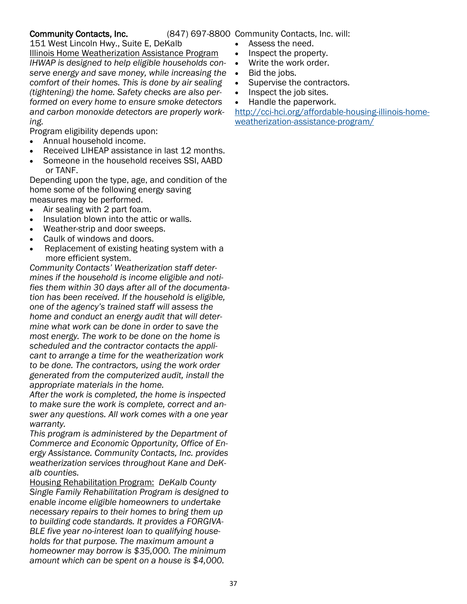## Community Contacts, Inc.

(847) 697-8800 Community Contacts, Inc. will:

- Assess the need.
- Inspect the property.
- Write the work order.
- Bid the jobs.
- Supervise the contractors.
- Inspect the job sites.
- Handle the paperwork.

[http://cci-hci.org/affordable-housing-illinois-home](http://cci-hci.org/affordable-housing-illinois-home-weatherization-assistance-program/)[weatherization-assistance-program/](http://cci-hci.org/affordable-housing-illinois-home-weatherization-assistance-program/)

Program eligibility depends upon:

151 West Lincoln Hwy., Suite E, DeKalb

Illinois Home Weatherization Assistance Program *IHWAP is designed to help eligible households conserve energy and save money, while increasing the comfort of their homes. This is done by air sealing (tightening) the home. Safety checks are also performed on every home to ensure smoke detectors and carbon monoxide detectors are properly work-*

• Annual household income.

*ing.* 

- Received LIHEAP assistance in last 12 months.
- Someone in the household receives SSI, AABD or TANF.

Depending upon the type, age, and condition of the home some of the following energy saving measures may be performed.

- Air sealing with 2 part foam.
- Insulation blown into the attic or walls.
- Weather-strip and door sweeps.
- Caulk of windows and doors.
- Replacement of existing heating system with a more efficient system.

*Community Contacts' Weatherization staff determines if the household is income eligible and notifies them within 30 days after all of the documentation has been received. If the household is eligible, one of the agency's trained staff will assess the home and conduct an energy audit that will determine what work can be done in order to save the most energy. The work to be done on the home is scheduled and the contractor contacts the applicant to arrange a time for the weatherization work to be done. The contractors, using the work order generated from the computerized audit, install the appropriate materials in the home.* 

*After the work is completed, the home is inspected to make sure the work is complete, correct and answer any questions. All work comes with a one year warranty.*

*This program is administered by the Department of Commerce and Economic Opportunity, Office of Energy Assistance. Community Contacts, Inc. provides weatherization services throughout Kane and DeKalb counties.*

Housing Rehabilitation Program: *DeKalb County Single Family Rehabilitation Program is designed to enable income eligible homeowners to undertake necessary repairs to their homes to bring them up to building code standards. It provides a FORGIVA-BLE five year no-interest loan to qualifying households for that purpose. The maximum amount a homeowner may borrow is \$35,000. The minimum amount which can be spent on a house is \$4,000.*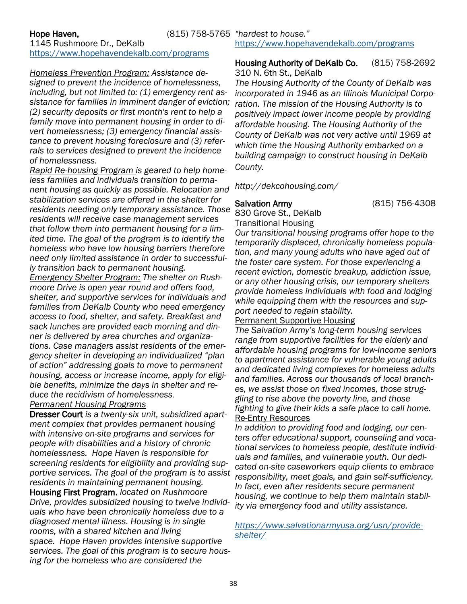## 1145 Rushmoore Dr., DeKalb <https://www.hopehavendekalb.com/programs>

*Homeless Prevention Program: Assistance designed to prevent the incidence of homelessness, including, but not limited to: (1) emergency rent assistance for families in imminent danger of eviction; (2) security deposits or first month's rent to help a family move into permanent housing in order to divert homelessness; (3) emergency financial assistance to prevent housing foreclosure and (3) referrals to services designed to prevent the incidence of homelessness.* 

*Rapid Re-housing Program is geared to help homeless families and individuals transition to permanent housing as quickly as possible. Relocation and stabilization services are offered in the shelter for residents needing only temporary assistance. Those residents will receive case management services that follow them into permanent housing for a limited time. The goal of the program is to identify the homeless who have low housing barriers therefore need only limited assistance in order to successfully transition back to permanent housing.* 

*Emergency Shelter Program: The shelter on Rushmoore Drive is open year round and offers food, shelter, and supportive services for individuals and families from DeKalb County who need emergency access to food, shelter, and safety. Breakfast and sack lunches are provided each morning and dinner is delivered by area churches and organizations. Case managers assist residents of the emergency shelter in developing an individualized "plan of action" addressing goals to move to permanent housing, access or increase income, apply for eligible benefits, minimize the days in shelter and reduce the recidivism of homelessness*.

*Permanent Housing Programs*

Dresser Court *is a twenty-six unit, subsidized apartment complex that provides permanent housing with intensive on-site programs and services for people with disabilities and a history of chronic homelessness. Hope Haven is responsible for screening residents for eligibility and providing supportive services. The goal of the program is to assist residents in maintaining permanent housing.* 

Housing First Program, *located on Rushmoore Drive, provides subsidized housing to twelve individuals who have been chronically homeless due to a diagnosed mental illness. Housing is in single rooms, with a shared kitchen and living space. Hope Haven provides intensive supportive services. The goal of this program is to secure housing for the homeless who are considered the* 

# <https://www.hopehavendekalb.com/programs>

### Housing Authority of DeKalb Co. (815) 758-2692 310 N. 6th St., DeKalb

*The Housing Authority of the County of DeKalb was incorporated in 1946 as an Illinois Municipal Corporation. The mission of the Housing Authority is to positively impact lower income people by providing affordable housing. The Housing Authority of the County of DeKalb was not very active until 1969 at which time the Housing Authority embarked on a building campaign to construct housing in DeKalb County.*

*http://dekcohousing.com/*

## Salvation Army (815) 756-4308

830 Grove St., DeKalb Transitional Housing

*Our transitional housing programs offer hope to the temporarily displaced, chronically homeless population, and many young adults who have aged out of the foster care system. For those experiencing a recent eviction, domestic breakup, addiction issue, or any other housing crisis, our temporary shelters provide homeless individuals with food and lodging while equipping them with the resources and support needed to regain stability.* 

**Permanent Supportive Housing** 

*The Salvation Army's long-term housing services range from supportive facilities for the elderly and affordable housing programs for low-income seniors to apartment assistance for vulnerable young adults and dedicated living complexes for homeless adults and families. Across our thousands of local branches, we assist those on fixed incomes, those struggling to rise above the poverty line, and those fighting to give their kids a safe place to call home.* Re-Entry Resources

*In addition to providing food and lodging, our centers offer educational support, counseling and vocational services to homeless people, destitute individuals and families, and vulnerable youth. Our dedicated on-site caseworkers equip clients to embrace responsibility, meet goals, and gain self-sufficiency. In fact, even after residents secure permanent housing, we continue to help them maintain stability via emergency food and utility assistance.* 

*[https://www.salvationarmyusa.org/usn/provide](https://www.salvationarmyusa.org/usn/provide-shelter/)[shelter/](https://www.salvationarmyusa.org/usn/provide-shelter/)*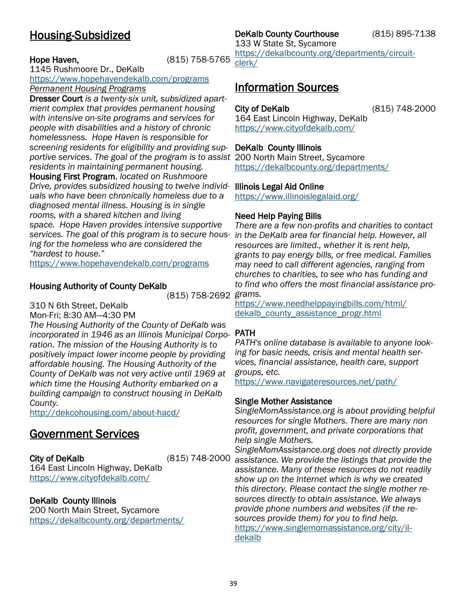## <span id="page-38-0"></span>Housing-Subsidized

## Hope Haven, (815) 758-5765

1145 Rushmoore Dr., DeKalb <https://www.hopehavendekalb.com/programs>

*Permanent Housing Programs* Dresser Court *is a twenty-six unit, subsidized apartment complex that provides permanent housing with intensive on-site programs and services for people with disabilities and a history of chronic homelessness. Hope Haven is responsible for screening residents for eligibility and providing supportive services. The goal of the program is to assist*  200 North Main Street, Sycamore *residents in maintaining permanent housing.*  Housing First Program, *located on Rushmoore Drive, provides subsidized housing to twelve individ-*Illinois Legal Aid Online *uals who have been chronically homeless due to a diagnosed mental illness. Housing is in single rooms, with a shared kitchen and living space. Hope Haven provides intensive supportive services. The goal of this program is to secure housing for the homeless who are considered the "hardest to house."* 

<https://www.hopehavendekalb.com/programs>

## Housing Authority of County DeKalb

(815) 758-2692 *grams.* 

310 N 6th Street, DeKalb

Mon-Fri; 8:30 AM—4:30 PM

*The Housing Authority of the County of DeKalb was incorporated in 1946 as an Illinois Municipal Corporation. The mission of the Housing Authority is to positively impact lower income people by providing affordable housing. The Housing Authority of the County of DeKalb was not very active until 1969 at which time the Housing Authority embarked on a building campaign to construct housing in DeKalb County.* 

<http://dekcohousing.com/about-hacd/>

## Government Services

City of DeKalb (815) 748-2000

164 East Lincoln Highway, DeKalb <https://www.cityofdekalb.com/>

## DeKalb County Illinois

200 North Main Street, Sycamore <https://dekalbcounty.org/departments/>

## DeKalb County Courthouse (815) 895-7138

133 W State St, Sycamore [https://dekalbcounty.org/departments/circuit](https://dekalbcounty.org/departments/circuit-clerk/)[clerk/](https://dekalbcounty.org/departments/circuit-clerk/)

## Information Sources

City of DeKalb (815) 748-2000

164 East Lincoln Highway, DeKalb <https://www.cityofdekalb.com/>

## DeKalb County Illinois

<https://dekalbcounty.org/departments/>

<https://www.illinoislegalaid.org/>

## Need Help Paying Bills

*There are a few non-profits and charities to contact in the DeKalb area for financial help. However, all resources are limited., whether it is rent help, grants to pay energy bills, or free medical. Families may need to call different agencies, ranging from churches to charities, to see who has funding and to find who offers the most financial assistance pro-*

[https://www.needhelppayingbills.com/html/](https://www.needhelppayingbills.com/html/dekalb_county_assistance_progr.html) [dekalb\\_county\\_assistance\\_progr.html](https://www.needhelppayingbills.com/html/dekalb_county_assistance_progr.html)

## PATH

*PATH's online database is available to anyone looking for basic needs, crisis and mental health services, financial assistance, health care, support groups, etc.* 

<https://www.navigateresources.net/path/>

## Single Mother Assistance

*SingleMomAssistance.org is about providing helpful resources for single Mothers. There are many non profit, government, and private corporations that help single Mothers.*

*SingleMomAssistance.org does not directly provide assistance. We provide the listings that provide the assistance. Many of these resources do not readily show up on the Internet which is why we created this directory. Please contact the single mother resources directly to obtain assistance. We always provide phone numbers and websites (if the resources provide them) for you to find help.* [https://www.singlemomassistance.org/city/il](https://www.singlemomassistance.org/city/il-dekalb)[dekalb](https://www.singlemomassistance.org/city/il-dekalb)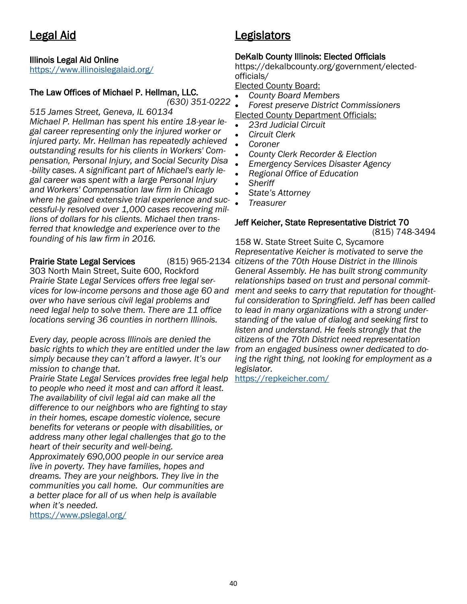## <span id="page-39-0"></span>Legal Aid

## Illinois Legal Aid Online

<https://www.illinoislegalaid.org/>

## The Law Offices of Michael P. Hellman, LLC.

*(630) 351-0222*

*515 James Street, Geneva, IL 60134 Michael P. Hellman has spent his entire 18-year legal career representing only the injured worker or injured party. Mr. Hellman has repeatedly achieved outstanding results for his clients in Workers' Compensation, Personal Injury, and Social Security Disa -bility cases. A significant part of Michael's early legal career was spent with a large Personal Injury and Workers' Compensation law firm in Chicago where he gained extensive trial experience and successful-ly resolved over 1,000 cases recovering millions of dollars for his clients. Michael then transferred that knowledge and experience over to the founding of his law firm in 2016.*

### **Prairie State Legal Services**

303 North Main Street, Suite 600, Rockford *Prairie State Legal Services offers free legal services for low-income persons and those age 60 and over who have serious civil legal problems and need legal help to solve them. There are 11 office locations serving 36 counties in northern Illinois.* 

*Every day, people across Illinois are denied the basic rights to which they are entitled under the law from an engaged business owner dedicated to dosimply because they can't afford a lawyer. It's our mission to change that.*

*Prairie State Legal Services provides free legal help to people who need it most and can afford it least. The availability of civil legal aid can make all the difference to our neighbors who are fighting to stay in their homes, escape domestic violence, secure benefits for veterans or people with disabilities, or address many other legal challenges that go to the heart of their security and well-being.*

*Approximately 690,000 people in our service area live in poverty. They have families, hopes and dreams. They are your neighbors. They live in the communities you call home. Our communities are a better place for all of us when help is available when it's needed.*

<https://www.pslegal.org/>

## Legislators

## DeKalb County Illinois: Elected Officials

https://dekalbcounty.org/government/electedofficials/

Elected County Board:

- *County Board Members*
- *Forest preserve District Commissioners* Elected County Department Officials:
- *23rd Judicial Circuit*
- *Circuit Clerk*
- *Coroner*
- *County Clerk Recorder & Election*
- *Emergency Services Disaster Agency*
- *Regional Office of Education*
- *Sheriff*
- *State's Attorney*
- *Treasurer*

### Jeff Keicher, State Representative District 70 (815) 748-3494

158 W. State Street Suite C, Sycamore *Representative Keicher is motivated to serve the citizens of the 70th House District in the Illinois General Assembly. He has built strong community relationships based on trust and personal commitment and seeks to carry that reputation for thoughtful consideration to Springfield. Jeff has been called to lead in many organizations with a strong understanding of the value of dialog and seeking first to listen and understand. He feels strongly that the citizens of the 70th District need representation ing the right thing, not looking for employment as a legislator.* 

<https://repkeicher.com/>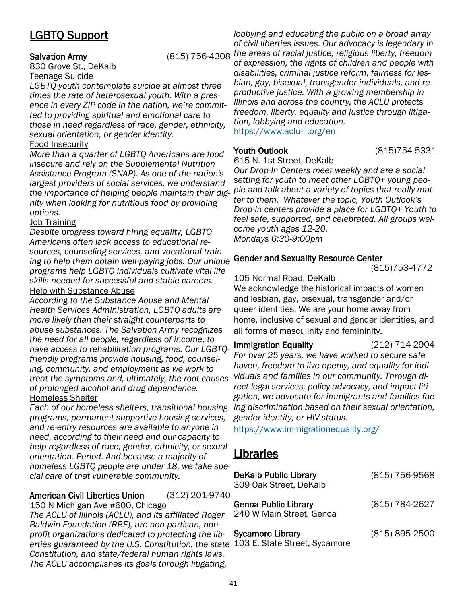## <span id="page-40-0"></span>LGBTQ Support

830 Grove St., DeKalb Teenage Suicide

*LGBTQ youth contemplate suicide at almost three times the rate of heterosexual youth. With a presence in every ZIP code in the nation, we're committed to providing spiritual and emotional care to those in need regardless of race, gender, ethnicity, sexual orientation, or gender identity.* 

## Food Insecurity

*More than a quarter of LGBTQ Americans are food insecure and rely on the Supplemental Nutrition Assistance Program (SNAP). As one of the nation's largest providers of social services, we understand the importance of helping people maintain their dignity when looking for nutritious food by providing options.* 

### Job Training

*Despite progress toward hiring equality, LGBTQ Americans often lack access to educational resources, counseling services, and vocational training to help them obtain well-paying jobs. Our unique programs help LGBTQ individuals cultivate vital life skills needed for successful and stable careers.*  Help with Substance Abuse

*According to the Substance Abuse and Mental Health Services Administration, LGBTQ adults are more likely than their straight counterparts to abuse substances. The Salvation Army recognizes the need for all people, regardless of income, to have access to rehabilitation programs. Our LGBTQfriendly programs provide housing, food, counseling, community, and employment as we work to treat the symptoms and, ultimately, the root causes of prolonged alcohol and drug dependence.* Homeless Shelter

*programs, permanent supportive housing services, and re-entry resources are available to anyone in need, according to their need and our capacity to help regardless of race, gender, ethnicity, or sexual orientation. Period. And because a majority of homeless LGBTQ people are under 18, we take special care of that vulnerable community.*

American Civil Liberties Union (312) 201-9740 150 N Michigan Ave #600, Chicago

*The ACLU of Illinois (ACLU), and its affiliated Roger Baldwin Foundation (RBF), are non-partisan, nonprofit organizations dedicated to protecting the liberties guaranteed by the U.S. Constitution, the state Constitution, and state/federal human rights laws. The ACLU accomplishes its goals through litigating,* 

Salvation Army (815) 756-4308 *the areas of racial justice, religious liberty, freedom lobbying and educating the public on a broad array of civil liberties issues. Our advocacy is legendary in of expression, the rights of children and people with disabilities, criminal justice reform, fairness for lesbian, gay, bisexual, transgender individuals, and reproductive justice. With a growing membership in Illinois and across the country, the ACLU protects freedom, liberty, equality and justice through litigation, lobbying and education.* <https://www.aclu-il.org/en>

Youth Outlook (815)754-5331

615 N. 1st Street, DeKalb

*Our Drop-In Centers meet weekly and are a social setting for youth to meet other LGBTQ+ young people and talk about a variety of topics that really matter to them. Whatever the topic, Youth Outlook's Drop-In centers provide a place for LGBTQ+ Youth to feel safe, supported, and celebrated. All groups welcome youth ages 12-20. Mondays 6:30-9:00pm*

## Gender and Sexuality Resource Center

(815)753-4772

105 Normal Road, DeKalb

We acknowledge the historical impacts of women and lesbian, gay, bisexual, transgender and/or queer identities. We are your home away from home, inclusive of sexual and gender identities, and all forms of masculinity and femininity.

*Each of our homeless shelters, transitional housing ing discrimination based on their sexual orientation,*  Immigration Equality (212) 714-2904 *For over 25 years, we have worked to secure safe haven, freedom to live openly, and equality for individuals and families in our community. Through direct legal services, policy advocacy, and impact litigation, we advocate for immigrants and families facgender identity, or HIV status.* 

<https://www.immigrationequality.org/>

## Libraries

| <b>DeKalb Public Library</b><br>309 Oak Street, DeKalb | (815) 756-9568 |
|--------------------------------------------------------|----------------|
| Genoa Public Library<br>240 W Main Street, Genoa       | (815) 784-2627 |
| Sycamore Library<br>103 E. State Street, Sycamore      | (815) 895-2500 |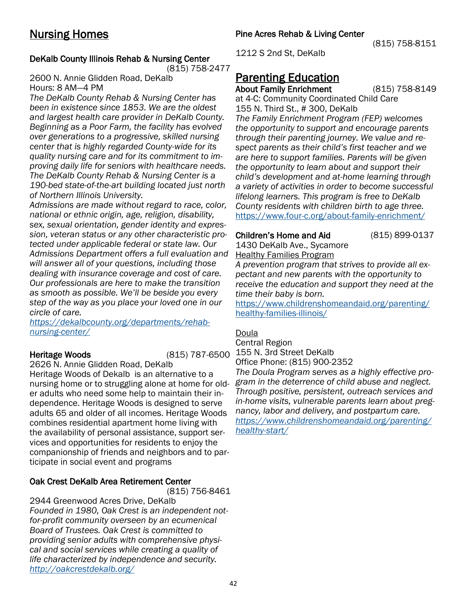## <span id="page-41-0"></span>DeKalb County Illinois Rehab & Nursing Center

(815) 758-2477

2600 N. Annie Glidden Road, DeKalb Hours: 8 AM—4 PM

*The DeKalb County Rehab & Nursing Center has been in existence since 1853. We are the oldest and largest health care provider in DeKalb County. Beginning as a Poor Farm, the facility has evolved over generations to a progressive, skilled nursing center that is highly regarded County-wide for its quality nursing care and for its commitment to improving daily life for seniors with healthcare needs. The DeKalb County Rehab & Nursing Center is a 190-bed state-of-the-art building located just north of Northern Illinois University.* 

*Admissions are made without regard to race, color, national or ethnic origin, age, religion, disability, sex, sexual orientation, gender identity and expression, veteran status or any other characteristic protected under applicable federal or state law. Our Admissions Department offers a full evaluation and will answer all of your questions, including those dealing with insurance coverage and cost of care. Our professionals are here to make the transition as smooth as possible. We'll be beside you every step of the way as you place your loved one in our circle of care.*

*[https://dekalbcounty.org/departments/rehab](https://dekalbcounty.org/departments/rehab-nursing-center/)[nursing-center/](https://dekalbcounty.org/departments/rehab-nursing-center/)*

Heritage Woods (815) 787-6500

2626 N. Annie Glidden Road, DeKalb Heritage Woods of Dekalb is an alternative to a nursing home or to struggling alone at home for older adults who need some help to maintain their independence. Heritage Woods is designed to serve adults 65 and older of all incomes. Heritage Woods combines residential apartment home living with the availability of personal assistance, support services and opportunities for residents to enjoy the companionship of friends and neighbors and to participate in social event and programs

## Oak Crest DeKalb Area Retirement Center

(815) 756-8461 2944 Greenwood Acres Drive, DeKalb

*Founded in 1980, Oak Crest is an independent notfor-profit community overseen by an ecumenical Board of Trustees. Oak Crest is committed to providing senior adults with comprehensive physical and social services while creating a quality of life characterized by independence and security. <http://oakcrestdekalb.org/>*

(815) 758-8151

1212 S 2nd St, DeKalb

## Parenting Education

About Family Enrichment (815) 758-8149 at 4-C: Community Coordinated Child Care 155 N. Third St., # 300, DeKalb *The Family Enrichment Program (FEP) welcomes the opportunity to support and encourage parents through their parenting journey. We value and respect parents as their child's first teacher and we are here to support families. Parents will be given the opportunity to learn about and support their child's development and at-home learning through a variety of activities in order to become successful lifelong learners. This program is free to DeKalb County residents with children birth to age three.*  <https://www.four-c.org/about-family-enrichment/>

## Children's Home and Aid (815) 899-0137

1430 DeKalb Ave., Sycamore Healthy Families Program

*A prevention program that strives to provide all expectant and new parents with the opportunity to receive the education and support they need at the time their baby is born.* 

[https://www.childrenshomeandaid.org/parenting/](https://www.childrenshomeandaid.org/parenting/healthy-families-illinois/) [healthy-families-illinois/](https://www.childrenshomeandaid.org/parenting/healthy-families-illinois/)

## Doula

Central Region 155 N. 3rd Street DeKalb Office Phone: (815) 900-2352

*The Doula Program serves as a highly effective program in the deterrence of child abuse and neglect. Through positive, persistent, outreach services and in-home visits, vulnerable parents learn about pregnancy, labor and delivery, and postpartum care. [https://www.childrenshomeandaid.org/parenting/](https://www.childrenshomeandaid.org/parenting/healthy-start/) [healthy-start/](https://www.childrenshomeandaid.org/parenting/healthy-start/)*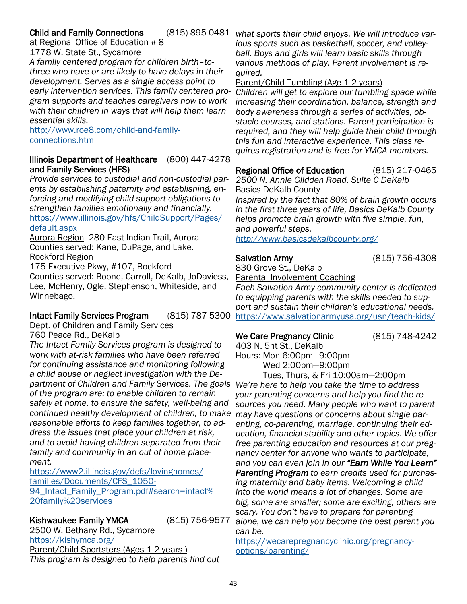## **Child and Family Connections**

at Regional Office of Education # 8

1778 W. State St., Sycamore

*A family centered program for children birth–tothree who have or are likely to have delays in their development. Serves as a single access point to early intervention services. This family centered program supports and teaches caregivers how to work with their children in ways that will help them learn essential skills.* 

[http://www.roe8.com/child-and-family](http://www.roe8.com/child-and-family-connections.html)[connections.html](http://www.roe8.com/child-and-family-connections.html)

## Illinois Department of Healthcare (800) 447-4278 and Family Services (HFS)

*Provide services to custodial and non-custodial parents by establishing paternity and establishing, enforcing and modifying child support obligations to strengthen families emotionally and financially.*  [https://www.illinois.gov/hfs/ChildSupport/Pages/](https://www.illinois.gov/hfs/ChildSupport/Pages/default.aspx) [default.aspx](https://www.illinois.gov/hfs/ChildSupport/Pages/default.aspx)

Aurora Region 280 East Indian Trail, Aurora Counties served: Kane, DuPage, and Lake. Rockford Region

175 Executive Pkwy, #107, Rockford Counties served: Boone, Carroll, DeKalb, JoDaviess, Lee, McHenry, Ogle, Stephenson, Whiteside, and Winnebago.

## Intact Family Services Program (815) 787-5300

Dept. of Children and Family Services 760 Peace Rd., DeKalb

*The Intact Family Services program is designed to work with at-risk families who have been referred for continuing assistance and monitoring following a child abuse or neglect investigation with the Department of Children and Family Services. The goals We're here to help you take the time to address of the program are: to enable children to remain safely at home, to ensure the safety, well-being and continued healthy development of children, to make may have questions or concerns about single parreasonable efforts to keep families together, to address the issues that place your children at risk, and to avoid having children separated from their family and community in an out of home placement.*

[https://www2.illinois.gov/dcfs/lovinghomes/](https://www2.illinois.gov/dcfs/lovinghomes/families/Documents/CFS_1050-94_Intact_Family_Program.pdf#search=intact%20family%20services) [families/Documents/CFS\\_1050-](https://www2.illinois.gov/dcfs/lovinghomes/families/Documents/CFS_1050-94_Intact_Family_Program.pdf#search=intact%20family%20services) 94 Intact Family Program.pdf#search=intact% [20family%20services](https://www2.illinois.gov/dcfs/lovinghomes/families/Documents/CFS_1050-94_Intact_Family_Program.pdf#search=intact%20family%20services)

## Kishwaukee Family YMCA (815) 756-9577

2500 W. Bethany Rd., Sycamore <https://kishymca.org/> Parent/Child Sportsters (Ages 1-2 years ) *This program is designed to help parents find out* 

*what sports their child enjoys. We will introduce various sports such as basketball, soccer, and volleyball. Boys and girls will learn basic skills through various methods of play. Parent involvement is required.*

### Parent/Child Tumbling (Age 1-2 years)

*Children will get to explore our tumbling space while increasing their coordination, balance, strength and body awareness through a series of activities, obstacle courses, and stations. Parent participation is required, and they will help guide their child through this fun and interactive experience. This class requires registration and is free for YMCA members.* 

Regional Office of Education (815) 217-0465

*2500 N. Annie Glidden Road, Suite C DeKalb* Basics DeKalb County

*Inspired by the fact that 80% of brain growth occurs in the first three years of life, Basics DeKalb County helps promote brain growth with five simple, fun, and powerful steps. <http://www.basicsdekalbcounty.org/>*

Salvation Army (815) 756-4308

830 Grove St., DeKalb Parental Involvement Coaching

*Each Salvation Army community center is dedicated to equipping parents with the skills needed to support and sustain their children's educational needs.*  <https://www.salvationarmyusa.org/usn/teach-kids/>

## We Care Pregnancy Clinic (815) 748-4242

403 N. 5ht St., DeKalb Hours: Mon 6:00pm—9:00pm Wed 2:00pm—9:00pm

Tues, Thurs, & Fri 10:00am—2:00pm *your parenting concerns and help you find the resources you need. Many people who want to parent enting, co-parenting, marriage, continuing their education, financial stability and other topics. We offer free parenting education and resources at our pregnancy center for anyone who wants to participate, and you can even join in our "Earn While You Learn" Parenting Program to earn credits used for purchasing maternity and baby items. Welcoming a child into the world means a lot of changes. Some are big, some are smaller; some are exciting, others are scary. You don't have to prepare for parenting alone, we can help you become the best parent you can be.*

[https://wecarepregnancyclinic.org/pregnancy](https://wecarepregnancyclinic.org/pregnancy-options/parenting/)[options/parenting/](https://wecarepregnancyclinic.org/pregnancy-options/parenting/)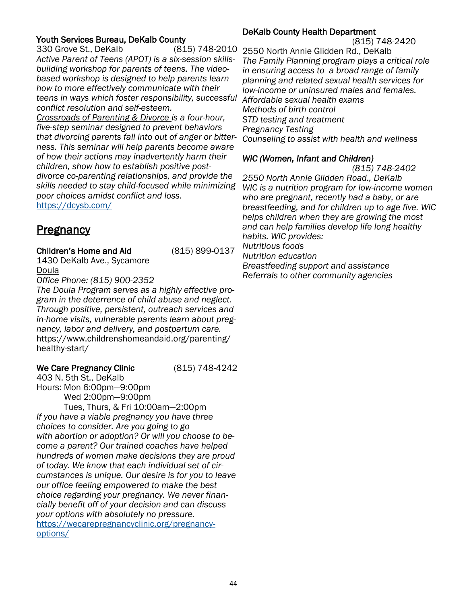## <span id="page-43-0"></span>Youth Services Bureau, DeKalb County

330 Grove St., DeKalb (815) 748-2010 *Active Parent of Teens (APOT) is a six-session skillsbuilding workshop for parents of teens. The videobased workshop is designed to help parents learn how to more effectively communicate with their teens in ways which foster responsibility, successful conflict resolution and self-esteem.* 

*Crossroads of Parenting & Divorce is a four-hour, five-step seminar designed to prevent behaviors that divorcing parents fall into out of anger or bitterness. This seminar will help parents become aware of how their actions may inadvertently harm their children, show how to establish positive postdivorce co-parenting relationships, and provide the skills needed to stay child-focused while minimizing poor choices amidst conflict and loss.*  <https://dcysb.com/>

## **Pregnancy**

## Children's Home and Aid (815) 899-0137

1430 DeKalb Ave., Sycamore Doula

*Office Phone: (815) 900-2352*

*The Doula Program serves as a highly effective program in the deterrence of child abuse and neglect. Through positive, persistent, outreach services and in-home visits, vulnerable parents learn about pregnancy, labor and delivery, and postpartum care.*  https://www.childrenshomeandaid.org/parenting/ healthy-start/

## We Care Pregnancy Clinic (815) 748-4242

403 N. 5th St., DeKalb Hours: Mon 6:00pm—9:00pm Wed 2:00pm—9:00pm

Tues, Thurs, & Fri 10:00am—2:00pm *If you have a viable pregnancy you have three choices to consider. Are you going to go with abortion or adoption? Or will you choose to become a parent? Our trained coaches have helped hundreds of women make decisions they are proud of today. We know that each individual set of circumstances is unique. Our desire is for you to leave our office feeling empowered to make the best choice regarding your pregnancy. We never financially benefit off of your decision and can discuss your options with absolutely no pressure.*  [https://wecarepregnancyclinic.org/pregnancy](https://wecarepregnancyclinic.org/pregnancy-options/)[options/](https://wecarepregnancyclinic.org/pregnancy-options/)

### DeKalb County Health Department

(815) 748-2420

2550 North Annie Glidden Rd., DeKalb *The Family Planning program plays a critical role in ensuring access to a broad range of family planning and related sexual health services for low-income or uninsured males and females. Affordable sexual health exams Methods of birth control STD testing and treatment Pregnancy Testing Counseling to assist with health and wellness*

## *WIC (Women, Infant and Children)*

 *(815) 748-2402* 

*2550 North Annie Glidden Road., DeKalb WIC is a nutrition program for low-income women who are pregnant, recently had a baby, or are breastfeeding, and for children up to age five. WIC helps children when they are growing the most and can help families develop life long healthy habits. WIC provides: Nutritious foods* 

*Nutrition education* 

*Breastfeeding support and assistance Referrals to other community agencies*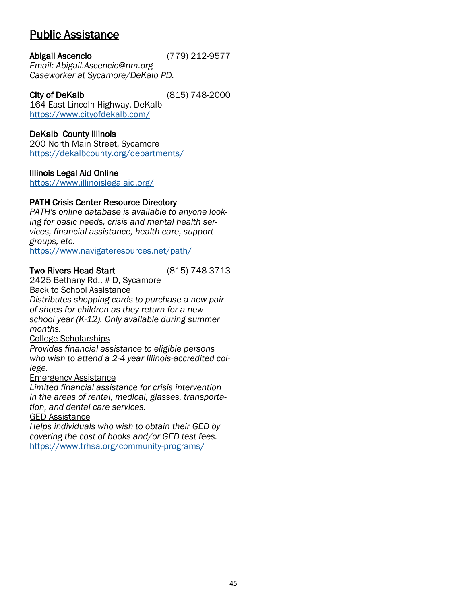## <span id="page-44-0"></span>Public Assistance

Abigail Ascencio (779) 212-9577 *Email: Abigail.Ascencio@nm.org Caseworker at Sycamore/DeKalb PD.*

City of DeKalb (815) 748-2000 164 East Lincoln Highway, DeKalb <https://www.cityofdekalb.com/>

## DeKalb County Illinois

200 North Main Street, Sycamore <https://dekalbcounty.org/departments/>

## Illinois Legal Aid Online

<https://www.illinoislegalaid.org/>

## PATH Crisis Center Resource Directory

*PATH's online database is available to anyone looking for basic needs, crisis and mental health services, financial assistance, health care, support groups, etc.* 

<https://www.navigateresources.net/path/>

## Two Rivers Head Start (815) 748-3713

2425 Bethany Rd., # D, Sycamore Back to School Assistance

*Distributes shopping cards to purchase a new pair of shoes for children as they return for a new school year (K-12). Only available during summer months.*

## College Scholarships

*Provides financial assistance to eligible persons who wish to attend a 2-4 year Illinois-accredited college.* 

## Emergency Assistance

*Limited financial assistance for crisis intervention in the areas of rental, medical, glasses, transportation, and dental care services.*

GED Assistance

*Helps individuals who wish to obtain their GED by covering the cost of books and/or GED test fees.*  <https://www.trhsa.org/community-programs/>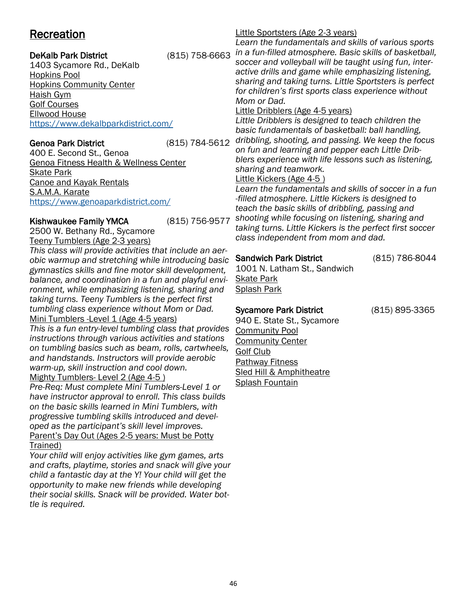## <span id="page-45-0"></span>**Recreation**

## DeKalb Park District (815) 758-6663

1403 Sycamore Rd., DeKalb Hopkins Pool Hopkins Community Center Haish Gym Golf Courses Ellwood House <https://www.dekalbparkdistrict.com/>

## Genoa Park District (815) 784-5612

400 E. Second St., Genoa Genoa Fitness Health & Wellness Center Skate Park Canoe and Kayak Rentals S.A.M.A. Karate <https://www.genoaparkdistrict.com/>

## Kishwaukee Family YMCA (815) 756-9577

2500 W. Bethany Rd., Sycamore Teeny Tumblers (Age 2-3 years)

*This class will provide activities that include an aerobic warmup and stretching while introducing basic gymnastics skills and fine motor skill development, balance, and coordination in a fun and playful environment, while emphasizing listening, sharing and taking turns. Teeny Tumblers is the perfect first tumbling class experience without Mom or Dad.*  Mini Tumblers -Level 1 (Age 4-5 years)

*This is a fun entry-level tumbling class that provides instructions through various activities and stations on tumbling basics such as beam, rolls, cartwheels, and handstands. Instructors will provide aerobic warm-up, skill instruction and cool down.*  Mighty Tumblers- Level 2 (Age 4-5)

*Pre-Req: Must complete Mini Tumblers-Level 1 or have instructor approval to enroll. This class builds on the basic skills learned in Mini Tumblers, with progressive tumbling skills introduced and developed as the participant's skill level improves.*  Parent's Day Out (Ages 2-5 years: Must be Potty Trained)

*Your child will enjoy activities like gym games, arts and crafts, playtime, stories and snack will give your child a fantastic day at the Y! Your child will get the opportunity to make new friends while developing their social skills. Snack will be provided. Water bottle is required.*

## Little Sportsters (Age 2-3 years)

*Learn the fundamentals and skills of various sports in a fun-filled atmosphere. Basic skills of basketball, soccer and volleyball will be taught using fun, interactive drills and game while emphasizing listening, sharing and taking turns. Little Sportsters is perfect for children's first sports class experience without Mom or Dad.* 

## Little Dribblers (Age 4-5 years)

*Little Dribblers is designed to teach children the basic fundamentals of basketball: ball handling, dribbling, shooting, and passing. We keep the focus on fun and learning and pepper each Little Dribblers experience with life lessons such as listening, sharing and teamwork.* 

## Little Kickers (Age 4-5 )

*Learn the fundamentals and skills of soccer in a fun -filled atmosphere. Little Kickers is designed to teach the basic skills of dribbling, passing and shooting while focusing on listening, sharing and taking turns. Little Kickers is the perfect first soccer class independent from mom and dad.*

## Sandwich Park District (815) 786-8044

1001 N. Latham St., Sandwich Skate Park Splash Park

## Sycamore Park District (815) 895-3365

940 E. State St., Sycamore Community Pool Community Center Golf Club Pathway Fitness Sled Hill & Amphitheatre Splash Fountain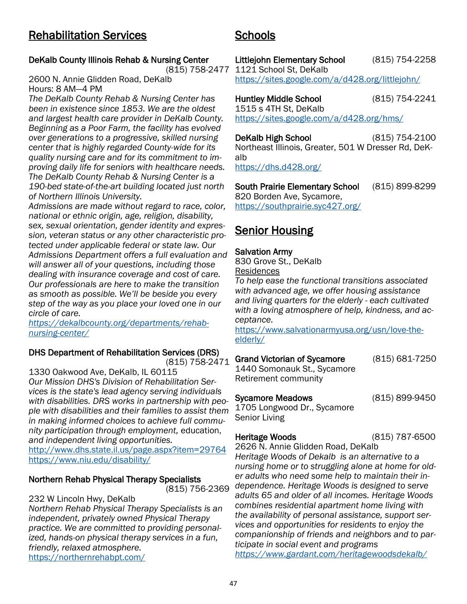## <span id="page-46-0"></span>DeKalb County Illinois Rehab & Nursing Center

(815) 758-2477

2600 N. Annie Glidden Road, DeKalb Hours: 8 AM—4 PM

*The DeKalb County Rehab & Nursing Center has been in existence since 1853. We are the oldest and largest health care provider in DeKalb County. Beginning as a Poor Farm, the facility has evolved over generations to a progressive, skilled nursing center that is highly regarded County-wide for its quality nursing care and for its commitment to improving daily life for seniors with healthcare needs. The DeKalb County Rehab & Nursing Center is a 190-bed state-of-the-art building located just north of Northern Illinois University.* 

*Admissions are made without regard to race, color, national or ethnic origin, age, religion, disability, sex, sexual orientation, gender identity and expression, veteran status or any other characteristic protected under applicable federal or state law. Our Admissions Department offers a full evaluation and will answer all of your questions, including those dealing with insurance coverage and cost of care. Our professionals are here to make the transition as smooth as possible. We'll be beside you every step of the way as you place your loved one in our circle of care.*

*[https://dekalbcounty.org/departments/rehab](https://dekalbcounty.org/departments/rehab-nursing-center/)[nursing-center/](https://dekalbcounty.org/departments/rehab-nursing-center/)*

## DHS Department of Rehabilitation Services (DRS) [\(815\) 758-2471](https://www.google.com/search?rlz=1C1GCEA_enUS866US866&sxsrf=ALeKk03gghEML2zgTm5wY6EmfwJV7ByItw%3A1591125681465&ei=sabWXovnG5uE9PwPz_Gp4Aw&q=department+of+rehabilitation+services+dors+dekalb+il&oq=department+of+rehabilitation+services+dors+dekalb&gs_lcp=CgZwc)

1330 Oakwood Ave, DeKalb, IL 60115 *Our Mission DHS's Division of Rehabilitation Services is the state's lead agency serving individuals with disabilities. DRS works in partnership with people with disabilities and their families to assist them in making informed choices to achieve full community participation through employment,* education, *and independent living opportunities.*

<http://www.dhs.state.il.us/page.aspx?item=29764> <https://www.niu.edu/disability/>

### Northern Rehab Physical Therapy Specialists (815) 756-2369

## 232 W Lincoln Hwy, DeKalb

*Northern Rehab Physical Therapy Specialists is an independent, privately owned Physical Therapy practice. We are committed to providing personalized, hands-on physical therapy services in a fun, friendly, relaxed atmosphere.*  <https://northernrehabpt.com/>

Littlejohn Elementary School (815) 754-2258 1121 School St, DeKalb <https://sites.google.com/a/d428.org/littlejohn/>

Huntley Middle School (815) 754-2241 1515 s 4TH St, DeKalb <https://sites.google.com/a/d428.org/hms/>

DeKalb High School (815) 754-2100 Northeast Illinois, Greater, 501 W Dresser Rd, DeKalb <https://dhs.d428.org/>

South Prairie Elementary School (815) 899-8299 820 Borden Ave, Sycamore, <https://southprairie.syc427.org/>

## Senior Housing

## Salvation Army

Schools

830 Grove St., DeKalb Residences

*To help ease the functional transitions associated with advanced age, we offer housing assistance and living quarters for the elderly - each cultivated with a loving atmosphere of help, kindness, and acceptance.* 

[https://www.salvationarmyusa.org/usn/love-the](https://www.salvationarmyusa.org/usn/love-the-elderly/)[elderly/](https://www.salvationarmyusa.org/usn/love-the-elderly/)

# Grand Victorian of Sycamore (815) 681-7250

1440 Somonauk St., Sycamore Retirement community

Sycamore Meadows (815) 899-9450

1705 Longwood Dr., Sycamore Senior Living

Heritage Woods (815) 787-6500

2626 N. Annie Glidden Road, DeKalb *Heritage Woods of Dekalb is an alternative to a nursing home or to struggling alone at home for older adults who need some help to maintain their independence. Heritage Woods is designed to serve adults 65 and older of all incomes. Heritage Woods combines residential apartment home living with the availability of personal assistance, support services and opportunities for residents to enjoy the companionship of friends and neighbors and to participate in social event and programs <https://www.gardant.com/heritagewoodsdekalb/>*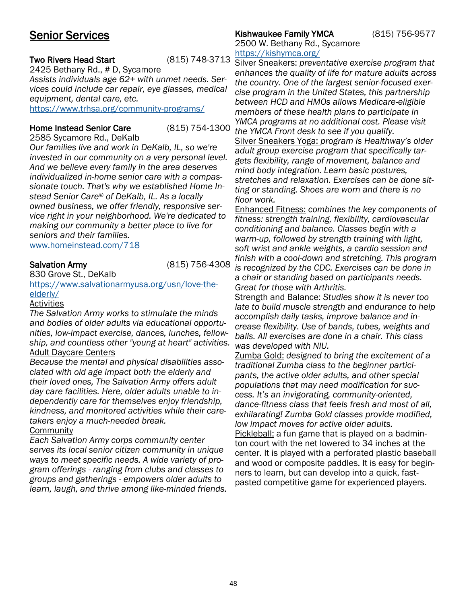## <span id="page-47-0"></span>Senior Services

### Two Rivers Head Start (815) 748-3713

2425 Bethany Rd., # D, Sycamore *Assists individuals age 62+ with unmet needs. Services could include car repair, eye glasses, medical equipment, dental care, etc.* 

<https://www.trhsa.org/community-programs/>

### Home Instead Senior Care (815) 754-1300

2585 Sycamore Rd., DeKalb *Our families live and work in DeKalb, IL, so we're invested in our community on a very personal level. And we believe every family in the area deserves individualized in-home senior care with a compassionate touch. That's why we established Home Instead Senior Care® of DeKalb, IL. As a locally owned business, we offer friendly, responsive service right in your neighborhood. We're dedicated to making our community a better place to live for seniors and their families.* 

[www.homeinstead.com/718](http://www.homeinstead.com/718)

Salvation Army (815) 756-4308

830 Grove St., DeKalb

### [https://www.salvationarmyusa.org/usn/love-the](https://www.salvationarmyusa.org/usn/love-the-elderly/)[elderly/](https://www.salvationarmyusa.org/usn/love-the-elderly/)

### Activities

*The Salvation Army works to stimulate the minds and bodies of older adults via educational opportunities, low-impact exercise, dances, lunches, fellowship, and countless other "young at heart" activities.*  Adult Daycare Centers

*Because the mental and physical disabilities associated with old age impact both the elderly and their loved ones, The Salvation Army offers adult day care facilities. Here, older adults unable to independently care for themselves enjoy friendship, kindness, and monitored activities while their caretakers enjoy a much-needed break.* 

### **Community**

*Each Salvation Army corps community center serves its local senior citizen community in unique ways to meet specific needs. A wide variety of program offerings - ranging from clubs and classes to groups and gatherings - empowers older adults to learn, laugh, and thrive among like-minded friends.*

## Kishwaukee Family YMCA (815) 756-9577

2500 W. Bethany Rd., Sycamore <https://kishymca.org/>

Silver Sneakers: *preventative exercise program that enhances the quality of life for mature adults across the country. One of the largest senior-focused exercise program in the United States, this partnership between HCD and HMOs allows Medicare-eligible members of these health plans to participate in YMCA programs at no additional cost. Please visit the YMCA Front desk to see if you qualify.* Silver Sneakers Yoga: *program is Healthway's older adult group exercise program that specifically targets flexibility, range of movement, balance and mind body integration. Learn basic postures, stretches and relaxation. Exercises can be done sitting or standing. Shoes are worn and there is no floor work.*

Enhanced Fitness: *combines the key components of fitness: strength training, flexibility, cardiovascular conditioning and balance. Classes begin with a warm-up, followed by strength training with light, soft wrist and ankle weights, a cardio session and finish with a cool-down and stretching. This program is recognized by the CDC. Exercises can be done in a chair or standing based on participants needs. Great for those with Arthritis.*

Strength and Balance: *Studies show it is never too late to build muscle strength and endurance to help accomplish daily tasks, improve balance and increase flexibility. Use of bands, tubes, weights and balls. All exercises are done in a chair. This class was developed with NIU.*

Zumba Gold: *designed to bring the excitement of a traditional Zumba class to the beginner participants, the active older adults, and other special populations that may need modification for success. It's an invigorating, community-oriented, dance-fitness class that feels fresh and most of all, exhilarating! Zumba Gold classes provide modified, low impact moves for active older adults.* Pickleball: a fun game that is played on a badminton court with the net lowered to 34 inches at the center. It is played with a perforated plastic baseball and wood or composite paddles. It is easy for beginners to learn, but can develop into a quick, fastpasted competitive game for experienced players.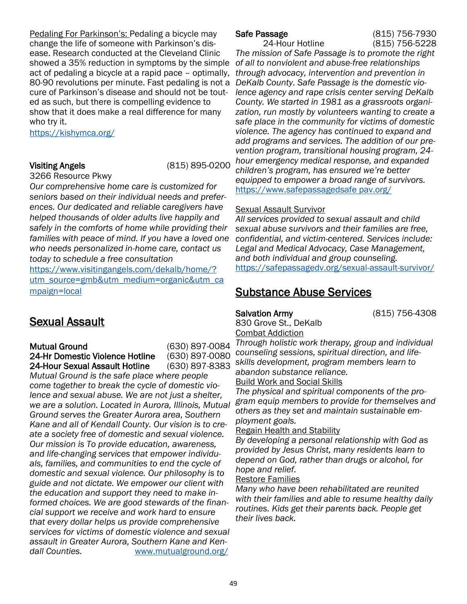<span id="page-48-0"></span>Pedaling For Parkinson's: Pedaling a bicycle may change the life of someone with Parkinson's disease. Research conducted at the Cleveland Clinic showed a 35% reduction in symptoms by the simple *of all to nonviolent and abuse-free relationships*  act of pedaling a bicycle at a rapid pace – optimally, 80-90 revolutions per minute. Fast pedaling is not a *DeKalb County. Safe Passage is the domestic vio*cure of Parkinson's disease and should not be touted as such, but there is compelling evidence to show that it does make a real difference for many who try it.

<https://kishymca.org/>

Visiting Angels (815) 895-0200

3266 Resource Pkwy

*Our comprehensive home care is customized for seniors based on their individual needs and preferences. Our dedicated and reliable caregivers have helped thousands of older adults live happily and safely in the comforts of home while providing their families with peace of mind. If you have a loved one who needs personalized in-home care, contact us today to schedule a free consultation*

[https://www.visitingangels.com/dekalb/home/?](https://www.visitingangels.com/dekalb/home/?utm_source=gmb&utm_medium=organic&utm_campaign=local) [utm\\_source=gmb&utm\\_medium=organic&utm\\_ca](https://www.visitingangels.com/dekalb/home/?utm_source=gmb&utm_medium=organic&utm_campaign=local) [mpaign=local](https://www.visitingangels.com/dekalb/home/?utm_source=gmb&utm_medium=organic&utm_campaign=local)

## Sexual Assault

Mutual Ground (630) 897-0084 24-Hr Domestic Violence Hotline (630) 897-0080 24-Hour Sexual Assault Hotline (630) 897-8383

*Mutual Ground is the safe place where people come together to break the cycle of domestic violence and sexual abuse. We are not just a shelter, we are a solution. Located in Aurora, Illinois, Mutual Ground serves the Greater Aurora area, Southern Kane and all of Kendall County. Our vision is to create a society free of domestic and sexual violence. Our mission is To provide education, awareness, and life-changing services that empower individuals, families, and communities to end the cycle of domestic and sexual violence. Our philosophy is to guide and not dictate. We empower our client with the education and support they need to make informed choices. We are good stewards of the financial support we receive and work hard to ensure that every dollar helps us provide comprehensive services for victims of domestic violence and sexual assault in Greater Aurora, Southern Kane and Kendall Counties.* [www.mutualground.org/](https://www.mutualground.org/)

Safe Passage (815) 756-7930

24-Hour Hotline (815) 756-5228 *The mission of Safe Passage is to promote the right through advocacy, intervention and prevention in lence agency and rape crisis center serving DeKalb County. We started in 1981 as a grassroots organization, run mostly by volunteers wanting to create a safe place in the community for victims of domestic violence. The agency has continued to expand and add programs and services. The addition of our prevention program, transitional housing program, 24 hour emergency medical response, and expanded children's program, has ensured we're better equipped to empower a broad range of survivors.*  [https://www.safepassagedsafe pav.org/](https://www.safepassagedv.org/)

## Sexual Assault Survivor

*All services provided to sexual assault and child sexual abuse survivors and their families are free, confidential, and victim-centered. Services include: Legal and Medical Advocacy, Case Management, and both individual and group counseling.* <https://safepassagedv.org/sexual-assault-survivor/>

## Substance Abuse Services

# 830 Grove St., DeKalb

Salvation Army (815) 756-4308

Combat Addiction *Through holistic work therapy, group and individual counseling sessions, spiritual direction, and lifeskills development, program members learn to abandon substance reliance.* 

## Build Work and Social Skills

*The physical and spiritual components of the program equip members to provide for themselves and others as they set and maintain sustainable employment goals.* 

## Regain Health and Stability

*By developing a personal relationship with God as provided by Jesus Christ, many residents learn to depend on God, rather than drugs or alcohol, for hope and relief.* 

## Restore Families

*Many who have been rehabilitated are reunited with their families and able to resume healthy daily routines. Kids get their parents back. People get their lives back.*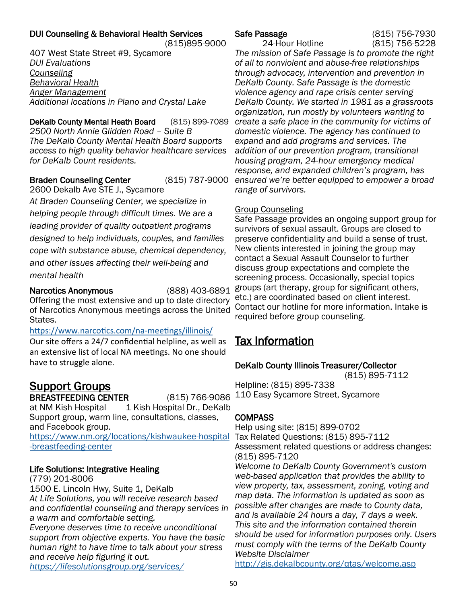## <span id="page-49-0"></span>DUI Counseling & Behavioral Health Services

 (815)895-9000 407 West State Street #9, Sycamore *DUI Evaluations Counseling Behavioral Health Anger Management Additional locations in Plano and Crystal Lake*

DeKalb County Mental Heath Board (815) 899-7089 *2500 North Annie Glidden Road – Suite B The DeKalb County Mental Health Board supports access to high quality behavior healthcare services for DeKalb Count residents.*

### Braden Counseling Center (815) 787-9000 2600 Dekalb Ave STE J., Sycamore

*At Braden Counseling Center, we specialize in helping people through difficult times. We are a leading provider of quality outpatient programs designed to help individuals, couples, and families cope with substance abuse, chemical dependency, and other issues affecting their well-being and mental health*

of Narcotics Anonymous meetings across the United Contact our hotline for more information. Intake is Narcotics Anonymous (888) 403-6891 Offering the most extensive and up to date directory States.

## [https://www.narcotics.com/na](https://www.narcotics.com/na-meetings/illinois/)-meetings/illinois/

Our site offers a 24/7 confidential helpline, as well as an extensive list of local NA meetings. No one should have to struggle alone.

## Support Groups

BREASTFEEDING CENTER (815) 766-9086

at NM Kish Hospital 1 Kish Hospital Dr., DeKalb Support group, warm line, consultations, classes, and Facebook group.

[-breastfeeding-center](https://www.nm.org/locations/kishwaukee-hospital-breastfeeding-center)

## Life Solutions: Integrative Healing

(779) 201-8006 1500 E. Lincoln Hwy, Suite 1, DeKalb *At Life Solutions, you will receive research based and confidential counseling and therapy services in a warm and comfortable setting. Everyone deserves time to receive unconditional support from objective experts. You have the basic human right to have time to talk about your stress and receive help figuring it out. <https://lifesolutionsgroup.org/services/>*

24-Hour Hotline (815) 756-5228

Safe Passage (815) 756-7930

*The mission of Safe Passage is to promote the right of all to nonviolent and abuse-free relationships through advocacy, intervention and prevention in DeKalb County. Safe Passage is the domestic violence agency and rape crisis center serving DeKalb County. We started in 1981 as a grassroots organization, run mostly by volunteers wanting to create a safe place in the community for victims of domestic violence. The agency has continued to expand and add programs and services. The addition of our prevention program, transitional housing program, 24-hour emergency medical response, and expanded children's program, has ensured we're better equipped to empower a broad range of survivors.* 

## Group Counseling

Safe Passage provides an ongoing support group for survivors of sexual assault. Groups are closed to preserve confidentiality and build a sense of trust. New clients interested in joining the group may contact a Sexual Assault Counselor to further discuss group expectations and complete the screening process. Occasionally, special topics groups (art therapy, group for significant others, etc.) are coordinated based on client interest. required before group counseling.

## Tax Information

## DeKalb County Illinois Treasurer/Collector

(815) 895-7112 Helpline: (815) 895-7338 110 Easy Sycamore Street, Sycamore

## COMPASS

Help using site: (815) 899-0702 [https://www.nm.org/locations/kishwaukee-hospital](https://www.nm.org/locations/kishwaukee-hospital-breastfeeding-center) Tax Related Questions: (815) 895-7112 Assessment related questions or address changes: (815) 895-7120

> *Welcome to DeKalb County Government's custom web-based application that provides the ability to view property, tax, assessment, zoning, voting and map data. The information is updated as soon as possible after changes are made to County data, and is available 24 hours a day, 7 days a week. This site and the information contained therein should be used for information purposes only. Users must comply with the terms of the DeKalb County Website Disclaimer*

<http://gis.dekalbcounty.org/qtas/welcome.asp>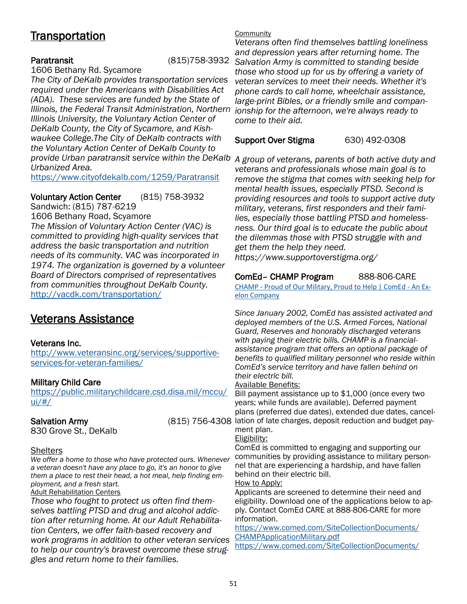## <span id="page-50-0"></span>**Transportation**

## Paratransit (815)758-3932

1606 Bethany Rd. Sycamore

provide Urban paratransit service within the DeKalb A group of veterans, parents of both active duty and *The City of DeKalb provides transportation services required under the Americans with Disabilities Act (ADA). These services are funded by the State of Illinois, the Federal Transit Administration, Northern Illinois University, the Voluntary Action Center of DeKalb County, the City of Sycamore, and Kishwaukee College.The City of DeKalb contracts with the Voluntary Action Center of DeKalb County to Urbanized Area.* 

<https://www.cityofdekalb.com/1259/Paratransit>

Voluntary Action Center (815) 758-3932 Sandwich: (815) 787-6219

1606 Bethany Road, Scyamore *The Mission of Voluntary Action Center (VAC) is committed to providing high-quality services that address the basic transportation and nutrition needs of its community. VAC was incorporated in 1974. The organization is governed by a volunteer Board of Directors comprised of representatives from communities throughout DeKalb County.*  <http://vacdk.com/transportation/>

## Veterans Assistance

## Veterans Inc.

[http://www.veteransinc.org/services/supportive](http://www.veteransinc.org/services/supportive-services-for-veteran-families/)[services-for-veteran-families/](http://www.veteransinc.org/services/supportive-services-for-veteran-families/)

## Military Child Care

[https://public.militarychildcare.csd.disa.mil/mccu/](https://public.militarychildcare.csd.disa.mil/mccu/ui/#/) [ui/#/](https://public.militarychildcare.csd.disa.mil/mccu/ui/#/)

830 Grove St., DeKalb

Shelters

*We offer a home to those who have protected ours. Whenever a veteran doesn't have any place to go, it's an honor to give them a place to rest their head, a hot meal, help finding employment, and a fresh start.* 

Adult Rehabilitation Centers

*Those who fought to protect us often find themselves battling PTSD and drug and alcohol addiction after returning home. At our Adult Rehabilitation Centers, we offer faith-based recovery and work programs in addition to other veteran services to help our country's bravest overcome these struggles and return home to their families.*

## **Community**

*Veterans often find themselves battling loneliness and depression years after returning home. The Salvation Army is committed to standing beside those who stood up for us by offering a variety of veteran services to meet their needs. Whether it's phone cards to call home, wheelchair assistance, large-print Bibles, or a friendly smile and companionship for the afternoon, we're always ready to come to their aid.* 

Support Over Stigma 630) 492-0308

*veterans and professionals whose main goal is to remove the stigma that comes with seeking help for mental health issues, especially PTSD. Second is providing resources and tools to support active duty military, veterans, first responders and their families, especially those battling PTSD and homelessness. Our third goal is to educate the public about the dilemmas those with PTSD struggle with and get them the help they need.*

*https://www.supportoverstigma.org/*

## ComEd– CHAMP Program 888-806-CARE

CHAMP - [Proud of Our Military, Proud to Help | ComEd](https://www.comed.com/MyAccount/CustomerSupport/Pages/CHAMP.aspx) - An Ex[elon Company](https://www.comed.com/MyAccount/CustomerSupport/Pages/CHAMP.aspx)

*Since January 2002, ComEd has assisted activated and deployed members of the U.S. Armed Forces, National Guard, Reserves and honorably discharged veterans with paying their electric bills. CHAMP is a financialassistance program that offers an optional package of benefits to qualified military personnel who reside within ComEd's service territory and have fallen behind on their electric bill.* 

### Available Benefits:

Bill payment assistance up to \$1,000 (once every two years; while funds are available). Deferred payment plans (preferred due dates), extended due dates, cancel-Salvation Army **Exercic Concerns (815) 756-4308** lation of late charges, deposit reduction and budget payment plan.

## Eligibility:

ComEd is committed to engaging and supporting our communities by providing assistance to military personnel that are experiencing a hardship, and have fallen behind on their electric bill.

### How to Apply:

Applicants are screened to determine their need and eligibility. Download one of the applications below to apply. Contact ComEd CARE at 888-806-CARE for more information.

[h](https://www.comed.com/SiteCollectionDocuments/CHAMPApplicationMilitary.pdf)ttps://www.comed.com/SiteCollectionDocuments/ CHAMPApplicationMilitary.pdf

https://www.comed.com/SiteCollectionDocuments/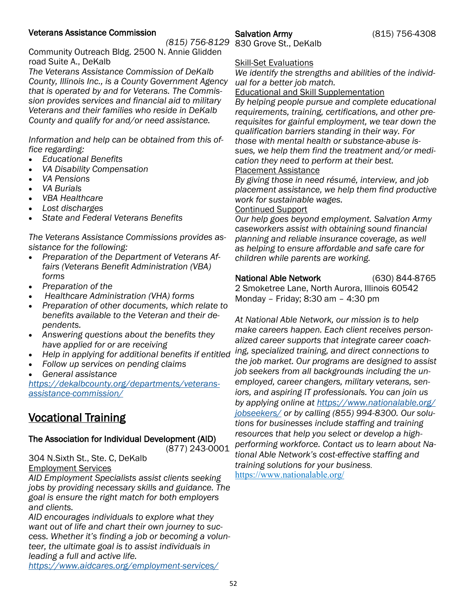## <span id="page-51-0"></span>Veterans Assistance Commission

*(815) 756-8129* 830 Grove St., DeKalb

Salvation Army (815) 756-4308

Community Outreach Bldg. 2500 N. Annie Glidden road Suite A., DeKalb

*The Veterans Assistance Commission of DeKalb County, Illinois Inc., is a County Government Agency that is operated by and for Veterans. The Commission provides services and financial aid to military Veterans and their families who reside in DeKalb County and qualify for and/or need assistance.* 

*Information and help can be obtained from this office regarding:*

- *Educational Benefits*
- *VA Disability Compensation*
- *VA Pensions*
- *VA Burials*
- *VBA Healthcare*
- *Lost discharges*
- *State and Federal Veterans Benefits*

*The Veterans Assistance Commissions provides assistance for the following:*

- *Preparation of the Department of Veterans Affairs (Veterans Benefit Administration (VBA) forms*
- *Preparation of the*
- *Healthcare Administration (VHA) forms*
- *Preparation of other documents, which relate to benefits available to the Veteran and their dependents.*
- *Answering questions about the benefits they have applied for or are receiving*
- *Help in applying for additional benefits if entitled*
- *Follow up services on pending claims*
- *General assistance*

*[https://dekalbcounty.org/departments/veterans](https://dekalbcounty.org/departments/veterans-assistance-commission/)[assistance-commission/](https://dekalbcounty.org/departments/veterans-assistance-commission/)*

## Vocational Training

## The Association for Individual Development (AID)

(877) 243-0001

## 304 N.Sixth St., Ste. C, DeKalb Employment Services

*AID Employment Specialists assist clients seeking jobs by providing necessary skills and guidance. The goal is ensure the right match for both employers and clients.*

*AID encourages individuals to explore what they want out of life and chart their own journey to success. Whether it's finding a job or becoming a volunteer, the ultimate goal is to assist individuals in leading a full and active life. <https://www.aidcares.org/employment-services/>*

**Skill-Set Evaluations** 

*We identify the strengths and abilities of the individual for a better job match.* 

## Educational and Skill Supplementation

*By helping people pursue and complete educational requirements, training, certifications, and other prerequisites for gainful employment, we tear down the qualification barriers standing in their way. For those with mental health or substance-abuse issues, we help them find the treatment and/or medication they need to perform at their best.*  Placement Assistance

*By giving those in need résumé, interview, and job placement assistance, we help them find productive work for sustainable wages.* 

## Continued Support

*Our help goes beyond employment. Salvation Army caseworkers assist with obtaining sound financial planning and reliable insurance coverage, as well as helping to ensure affordable and safe care for children while parents are working.* 

National Able Network (630) 844-8765

2 Smoketree Lane, North Aurora, Illinois 60542 Monday – Friday; 8:30 am – 4:30 pm

*At National Able Network, our mission is to help make careers happen. Each client receives personalized career supports that integrate career coaching, specialized training, and direct connections to the job market. Our programs are designed to assist job seekers from all backgrounds including the unemployed, career changers, military veterans, seniors, and aspiring IT professionals. You can join us by applying online at [https://www.nationalable.org/](https://www.nationalable.org/jobseekers/) [jobseekers/](https://www.nationalable.org/jobseekers/) or by calling (855) 994-8300. Our solutions for businesses include staffing and training resources that help you select or develop a highperforming workforce. Contact us to learn about National Able Network's cost-effective staffing and training solutions for your business.*  <https://www.nationalable.org/>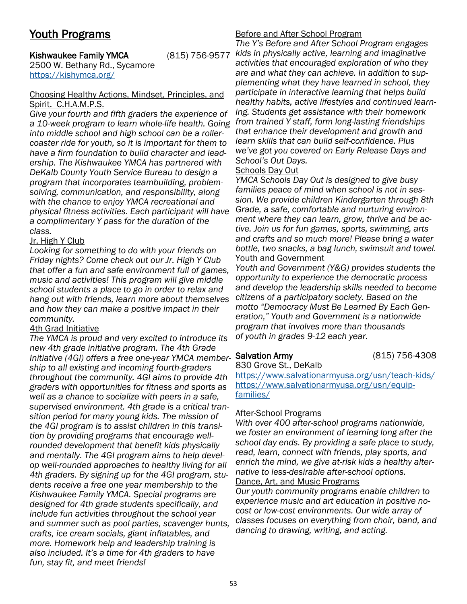## <span id="page-52-0"></span>Youth Programs

## **Kishwaukee Family YMCA**

2500 W. Bethany Rd., Sycamore <https://kishymca.org/>

### Choosing Healthy Actions, Mindset, Principles, and Spirit. C.H.A.M.P.S.

*Give your fourth and fifth graders the experience of a 10-week program to learn whole-life health. Going into middle school and high school can be a rollercoaster ride for youth, so it is important for them to have a firm foundation to build character and leadership. The Kishwaukee YMCA has partnered with DeKalb County Youth Service Bureau to design a program that incorporates teambuilding, problemsolving, communication, and responsibility, along with the chance to enjoy YMCA recreational and physical fitness activities. Each participant will have a complimentary Y pass for the duration of the class.* 

## Jr. High Y Club

*Looking for something to do with your friends on Friday nights? Come check out our Jr. High Y Club that offer a fun and safe environment full of games, music and activities! This program will give middle school students a place to go in order to relax and hang out with friends, learn more about themselves and how they can make a positive impact in their community.* 

## 4th Grad Initiative

*The YMCA is proud and very excited to introduce its new 4th grade initiative program. The 4th Grade Initiative (4GI) offers a free one-year YMCA member-*Salvation Army (815) 756-4308 *ship to all existing and incoming fourth-graders throughout the community. 4GI aims to provide 4th graders with opportunities for fitness and sports as well as a chance to socialize with peers in a safe, supervised environment. 4th grade is a critical transition period for many young kids. The mission of the 4GI program is to assist children in this transition by providing programs that encourage wellrounded development that benefit kids physically and mentally. The 4GI program aims to help develop well-rounded approaches to healthy living for all 4th graders. By signing up for the 4GI program, students receive a free one year membership to the Kishwaukee Family YMCA. Special programs are designed for 4th grade students specifically, and include fun activities throughout the school year and summer such as pool parties, scavenger hunts, crafts, ice cream socials, giant inflatables, and more. Homework help and leadership training is also included. It's a time for 4th graders to have fun, stay fit, and meet friends!* 

## Before and After School Program

*The Y's Before and After School Program engages kids in physically active, learning and imaginative activities that encouraged exploration of who they are and what they can achieve. In addition to supplementing what they have learned in school, they participate in interactive learning that helps build healthy habits, active lifestyles and continued learning. Students get assistance with their homework from trained Y staff, form long-lasting friendships that enhance their development and growth and learn skills that can build self-confidence. Plus we've got you covered on Early Release Days and School's Out Days.* 

## Schools Day Out

*YMCA Schools Day Out is designed to give busy families peace of mind when school is not in session. We provide children Kindergarten through 8th Grade, a safe, comfortable and nurturing environment where they can learn, grow, thrive and be active. Join us for fun games, sports, swimming, arts and crafts and so much more! Please bring a water bottle, two snacks, a bag lunch, swimsuit and towel.* Youth and Government

*Youth and Government (Y&G) provides students the opportunity to experience the democratic process and develop the leadership skills needed to become citizens of a participatory society. Based on the motto "Democracy Must Be Learned By Each Generation," Youth and Government is a nationwide program that involves more than thousands of youth in grades 9-12 each year.* 

830 Grove St., DeKalb

<https://www.salvationarmyusa.org/usn/teach-kids/> [https://www.salvationarmyusa.org/usn/equip](https://www.salvationarmyusa.org/usn/equip-families/)[families/](https://www.salvationarmyusa.org/usn/equip-families/)

## After-School Programs

*With over 400 after-school programs nationwide, we foster an environment of learning long after the school day ends. By providing a safe place to study, read, learn, connect with friends, play sports, and enrich the mind, we give at-risk kids a healthy alternative to less-desirable after-school options.*  Dance, Art, and Music Programs

*Our youth community programs enable children to experience music and art education in positive nocost or low-cost environments. Our wide array of classes focuses on everything from choir, band, and dancing to drawing, writing, and acting.*